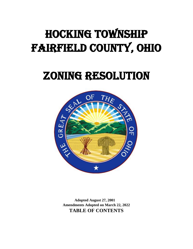# Hocking Township Fairfield County, Ohio

# Zoning Resolution



**Adopted August 27, 2001 Amendments Adopted on March 22, 2022 TABLE OF CONTENTS**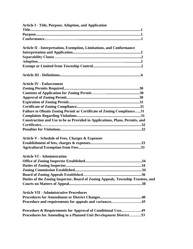| <b>Article I - Title, Purpose, Adoption, and Application</b>                    |
|---------------------------------------------------------------------------------|
|                                                                                 |
|                                                                                 |
|                                                                                 |
| <b>Article II - Interpretation, Exemption, Limitations, and Conformance</b>     |
|                                                                                 |
|                                                                                 |
|                                                                                 |
|                                                                                 |
|                                                                                 |
| <b>Article IV - Enforcement</b>                                                 |
|                                                                                 |
|                                                                                 |
|                                                                                 |
|                                                                                 |
|                                                                                 |
| Failure to Obtain Zoning Permit or Certificate of Zoning Compliance31           |
|                                                                                 |
| Construction and Use to be as Provided in Applications, Plans, Permits, and     |
|                                                                                 |
|                                                                                 |
| <b>Article V - Schedule of Fees, Charges &amp; Expenses</b>                     |
|                                                                                 |
|                                                                                 |
| <b>Article VI - Administration</b>                                              |
|                                                                                 |
|                                                                                 |
|                                                                                 |
|                                                                                 |
| Duties of the Zoning Inspector, Board of Zoning Appeals, Township Trustees, and |
|                                                                                 |
| <b>Article VII - Administrative Procedures</b>                                  |
|                                                                                 |
| Procedure and requirements for appeals and variances45                          |
| <b>Procedure &amp; Requirements for Approval of Conditional Uses49</b>          |
| Procedures for Amending to a Planned Unit Development District53                |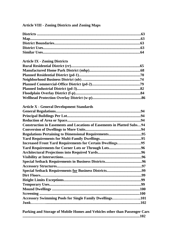# **Article VIII - Zoning Districts and Zoning Maps**

# **Article IX - Zoning Districts**

| <b>Article X - General Development Standards</b>                              |  |
|-------------------------------------------------------------------------------|--|
|                                                                               |  |
|                                                                               |  |
|                                                                               |  |
| <b>Construction in Easements and Locations of Easements in Platted Subs94</b> |  |
|                                                                               |  |
|                                                                               |  |
|                                                                               |  |
| <b>Increased Front Yard Requirements for Certain Dwellings95</b>              |  |
| Yard Requirements for Corner Lots or Through Lots96                           |  |
|                                                                               |  |
|                                                                               |  |
|                                                                               |  |
|                                                                               |  |
|                                                                               |  |
|                                                                               |  |
|                                                                               |  |
|                                                                               |  |
|                                                                               |  |
|                                                                               |  |
| Accessory Swimming Pools for Single Family Dwellings101                       |  |
|                                                                               |  |
|                                                                               |  |

|  |  | Parking and Storage of Mobile Homes and Vehicles other than Passenger Cars |
|--|--|----------------------------------------------------------------------------|
|  |  |                                                                            |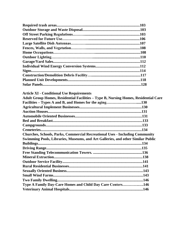| .103 |
|------|
|      |
| .103 |
| .106 |
| .107 |
|      |
|      |
|      |
| .112 |
|      |
| .114 |
|      |
|      |
|      |

| Adult Group Homes, Residential Facilities - Type B, Nursing Homes, Residential Care |
|-------------------------------------------------------------------------------------|
|                                                                                     |
|                                                                                     |
|                                                                                     |
|                                                                                     |
|                                                                                     |
|                                                                                     |
|                                                                                     |
|                                                                                     |
|                                                                                     |
|                                                                                     |
|                                                                                     |
|                                                                                     |
|                                                                                     |
|                                                                                     |
|                                                                                     |
|                                                                                     |
|                                                                                     |
|                                                                                     |
|                                                                                     |
|                                                                                     |
|                                                                                     |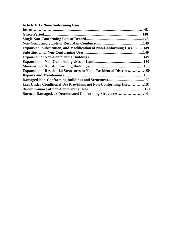# **Article XII - Non-Conforming Uses**

|                                                                              | .148 |
|------------------------------------------------------------------------------|------|
|                                                                              | .148 |
|                                                                              | .148 |
|                                                                              |      |
| <b>Expansion, Substitution, and Modification of Non-Conforming Uses149</b>   |      |
|                                                                              |      |
|                                                                              |      |
|                                                                              |      |
|                                                                              |      |
| <b>Expansion of Residential Structures in Non – Residential Districts150</b> |      |
|                                                                              | .150 |
|                                                                              |      |
| Uses Under Conditional Use Provisions not Non-Conforming Uses151             |      |
|                                                                              | 151  |
| Burned, Damaged, or Deteriorated Conforming Structures144                    |      |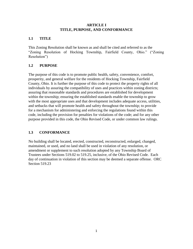#### **ARTICLE I TITLE, PURPOSE, AND CONFORMANCE**

### **1.1 TITLE**

This Zoning Resolution shall be known as and shall be cited and referred to as the "Zoning Resolution of Hocking Township, Fairfield County, Ohio." ("Zoning Resolution")

# **1.2 PURPOSE**

The purpose of this code is to promote public health, safety, convenience, comfort, prosperity, and general welfare for the residents of Hocking Township, Fairfield County, Ohio. It is further the purpose of this code to protect the property rights of all individuals by assuring the compatibility of uses and practices within zoning districts; assuring that reasonable standards and procedures are established for development within the township; ensuring the established standards enable the township to grow with the most appropriate uses and that development includes adequate access, utilities, and setbacks that will promote health and safety throughout the township; to provide for a mechanism for administering and enforcing the regulations found within this code, including the provision for penalties for violations of the code; and for any other purpose provided in this code, the Ohio Revised Code, or under common law rulings.

# **1.3 CONFORMANCE**

No building shall be located, erected, constructed, reconstructed, enlarged, changed, maintained, or used, and no land shall be used in violation of any resolution, or amendment or supplement to such resolution adopted by any Township Board of Trustees under Sections [519.02 to 519.25,](http://codes.ohio.gov/orc/519) inclusive, of the Ohio Revised Code. Each day of continuation in violation of this section may be deemed a separate offense. ORC Section [519.23](http://codes.ohio.gov/orc/519)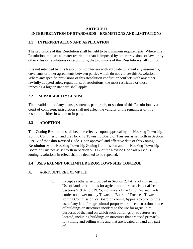#### **ARTICLE II INTERPRETATION OF STANDARDS—EXEMPTIONS AND LIMITATIONS**

# **2.1 INTERPRETATION AND APPLICATION**

The provisions of this Resolution shall be held to be minimum requirements. Where this Resolution imposes a greater restriction than is imposed by other provisions of law, or by other rules or regulations or resolutions, the provisions of this Resolution shall control.

It is not intended by this Resolution to interfere with abrogate, or annul any easements, covenants or other agreements between parties which do not violate this Resolution. Where any specific provisions of this Resolution conflict or conflicts with any other lawfully adopted rules, regulations, or resolutions, the most restrictive or those imposing a higher standard shall apply.

# **2.2 SEPARABILITY CLAUSE**

The invalidation of any clause, sentence, paragraph, or section of this Resolution by a court of competent jurisdiction shall not affect the validity of the remainder of this resolution either in whole or in part.

# **2.3 ADOPTION**

This Zoning Resolution shall become effective upon approval by the Hocking Township Zoning Commission and the Hocking Township Board of Trustees as set forth in Section [519.12 o](http://codes.ohio.gov/orc/519)f the Ohio Revised Code. Upon approval and effective date of this Zoning Resolution by the Hocking Township Zoning Commission and the Hocking Township Board of Trustees as set forth in Secti[on 519.12 o](http://codes.ohio.gov/orc/519)f the Revised Code all previous zoning resolutions in effect shall be deemed to be repealed.

# **2.4 USES EXEMPT OR LIMITED FROM TOWNSHIP CONTROL.**

# A. AGRICULTURE EXEMPTED.

1. Except as otherwise provided in Section 2.4 A. 2. of this section, Use of land or buildings for agricultural purposes is not affected. Sections [519.02 to 519.25,](http://codes.ohio.gov/orc/519) inclusive, of the Ohio Revised Code confer no power on any Township Board of Trustees, Township Zoning Commission, or Board of Zoning Appeals to prohibit the use of any land for agricultural purposes or the construction or use of buildings or structures incident to the use for agricultural purposes of the land on which such buildings or structures are located, including buildings or structures that are used primarily for vinting and selling wine and that are located on land any part of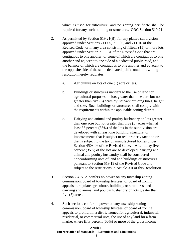which is used for viticulture, and no zoning certificate shall be required for any such building or structures. ORC Section [519.21](http://codes.ohio.gov/orc/519)

- 2. As permitted by Section [519.21\(B\),](http://codes.ohio.gov/orc/519) for any platted subdivision approved under Sections [711.05, 711.09,](http://codes.ohio.gov/orc/711) and [711.10 o](http://codes.ohio.gov/orc/711)f the Revised Code, or in any area consisting of fifteen (15) or more lots approved under Section [711.131](http://codes.ohio.gov/orc/711) of the Revised Code that are contiguous to one another, or some of which are contiguous to one another and adjacent to one side of a dedicated public road, and the balance of which are contiguous to one another and adjacent to the opposite side of the same dedicated public road, this zoning resolution hereby regulates:
	- a. Agriculture on lots of one (1) acre or less.
	- b. Buildings or structures incident to the use of land for agricultural purposes on lots greater than one acre but not greater than five (5) acres by: setback building lines, height and size. Such buildings or structures shall comply with the requirements within the applicable zoning district.
	- c. Dairying and animal and poultry husbandry on lots greater than one acre but not greater than five (5) acres when at least 35 percent (35%) of the lots in the subdivision are developed with at least one building, structure, or improvements that is subject to real property taxation or that is subject to the tax on manufactured homes under Secti[on 4503.06](http://codes.ohio.gov/orc/43) of the Revised Code. After thirty five percent (35%) of the lots are so developed, dairying and animal and poultry husbandry shall be considered nonconforming uses of land and buildings or structures pursuant to Section [519.19 o](http://codes.ohio.gov/orc/519)f the Revised Code and subject to the restrictions in Article XII of this Resolution.
- 3. Section 2.4 A. 2. confers no power on any township zoning commission, board of township trustees, or board of zoning appeals to regulate agriculture, buildings or structures, and dairying and animal and poultry husbandry on lots greater than five (5) acres.
- 4. Such sections confer no power on any township zoning commission, board of township trustees, or board of zoning appeals to prohibit in a district zoned for agricultural, industrial, residential, or commercial uses, the use of any land for a farm market where fifty percent (50%) or more of the gross income

#### **Article II Interpretation of Standards – Exemptions and Limitations**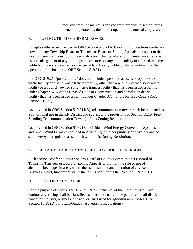received from the market is derived from produce raised on farms owned or operated by the market operator in a normal crop year.

### B. PUBLIC UTILITIES AND RAILROADS.

Except as otherwise provided in ORC Section [519.211\(B\) or \(C\),](http://codes.ohio.gov/orc/519) such sections confer no power on any Township Board of Trustees or Board of Zoning Appeals in respect to the location, erection, construction, reconstruction, change, alteration, maintenance, removal, use or enlargement of any buildings or structures of any public utility or railroad, whether publicly or privately owned, or the use of land by any public utility or railroad, for the operation of its business. (ORC Section [519.21\)](http://codes.ohio.gov/orc/519)

Per [ORC 519.21,](http://codes.ohio.gov/orc/519) "public utility" does not include a person that owns or operates a solid waste facility or a solid waste transfer facility, other than a publicly owned solid waste facility or a publicly owned solid waste transfer facility that has been issued a permit under Chapt[er 3734 of](http://codes.ohio.gov/orc/3734) the Revised Code or a construction and demolition debris facility that has been issued a permit under Chapt[er 3714 o](http://codes.ohio.gov/orc/3714)f the Revised Code. (ORC Section [519.21\)](http://codes.ohio.gov/orc/519)

As provided in ORC Section [519.211\(B\),](http://codes.ohio.gov/orc/519) telecommunication towers shall be regulated as a conditional use in the RR District and subject to the provisions of Section 11.10 (Free Standing Telecommunication Towers) of this Zoning Resolution.

As provided in ORC Secti[on 519.213,](http://codes.ohio.gov/orc/519) Individual Wind Energy Conversion Systems and Small Wind Farms (as defined in Article III), whether publicly or privately owned, shall hereby be regulated as set forth within this Zoning Resolution.

# C. RETAIL ESTABLISHMENTS AND ALCOHOLIC BEVERAGES.

Such sections confer no power on any Board of County Commissioners, Board of Township Trustees, or Board of Zoning Appeals to prohibit the sale or use of alcoholic beverages in areas where the establishment and operation of any Retail Business, Hotel, lunchroom, or Restaurant is permitted. ORC Section [519.211\(D\).](http://codes.ohio.gov/orc/519)

#### D. OUTDOOR ADVERTISING.

For the purpose of Sections [519.02 to 519.25,](http://codes.ohio.gov/orc/519) inclusive, of the Ohio Revised Code, outdoor advertising shall be classified as a business use and be permitted in all districts zoned for industry, business, or trade, or lands used for agricultural purposes. (See Section 10.38 (D) for Signs/Outdoor Advertising Regulations).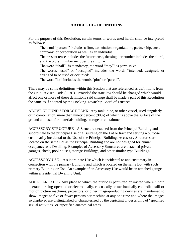#### **ARTICLE III – DEFINITIONS**

For the purpose of this Resolution, certain terms or words used herein shall be interpreted as follows:

The word "person"" includes a firm, association, organization, partnership, trust, company, or corporation as well as an individual.

The present tense includes the future tense, the singular number includes the plural, and the plural number includes the singular.

The word "shall"" is mandatory, the word "may"" is permissive.

The words "used" or "occupied" includes the words "intended, designed, or arranged to be used or occupied".

The word "lot" includes the words "plot" or "parcel".

There may be some definitions within this Section that are referenced as definitions from the Ohio Revised Code (ORC). Provided the state law should be changed which would affect one or more of these definitions said change shall be made a part of this Resolution the same as if adopted by the Hocking Township Board of Trustees.

ABOVE GROUND STORAGE TANK- Any tank, pipe, or other vessel, used singularly or in combination, more than ninety percent (90%) of which is above the surface of the ground and used for materials holding, storage or containment.

ACCESSORY STRUCTURE - A Structure detached from the Principal Building and subordinate to the principal Use of a Building on the Lot or tract and serving a purpose customarily incidental to the Use of the Principal Building. Accessory Structures are located on the same Lot as the Principal Building and are not designed for human occupancy as a Dwelling. Examples of Accessory Structures are detached private garages, sheds, pool houses, storage Buildings, and other similar type Buildings.

 $ACCESSORY USE - A subordinate Use which is incidental to and customary in$ connection with the primary Building and which is located on the same Lot with such primary Building or Use. An example of an Accessory Use would be an attached garage within a residential Dwelling Unit.

ADULT ARCADE - Any place to which the public is permitted or invited wherein coin operated or slug-operated or electronically, electrically or mechanically controlled still or motion picture machines, projectors, or other image-producing devices are maintained to show images to five or fewer persons per machine at any one time and where the images so displayed are distinguished or characterized by the depicting or describing of "specified sexual activities" or "specified anatomical areas."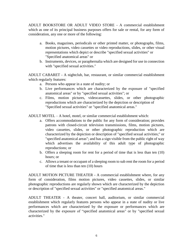ADULT BOOKSTORE OR ADULT VIDEO STORE - A commercial establishment which as one of its principal business purposes offers for sale or rental, for any form of consideration, any one or more of the following:

- a. Books, magazines, periodicals or other printed matter, or photographs, films, motion pictures, video cassettes or video reproductions, slides, or other visual representations which depict or describe "specified sexual activities" or "Specified anatomical areas" or
- b. Instruments, devices, or paraphernalia which are designed for use in connection with "specified sexual activities."

ADULT CABARET - A nightclub, bar, restaurant, or similar commercial establishment which regularly features:

- a. Persons who appear in a state of nudity; or
- b. Live performances which are characterized by the exposure of "specified anatomical areas" or by "specified sexual activities"; or
- c. Films, motion pictures, videocassettes, slides, or other photographic reproductions which are characterized by the depiction or description of "Specified sexual activities" or "specified anatomical areas."

ADULT MOTEL – A hotel, motel, or similar commercial establishment which:

- a. Offers accommodations to the public for any form of consideration; provides patrons with closed-circuit television transmissions, films, motion pictures, video cassettes, slides, or other photographic reproduction which are characterized by the depiction or description of "specified sexual activities;" or "specified anatomical areas"; and has a sign visible from the public right of way which advertises the availability of this adult type of photographic reproductions; or
- b. Offers a sleeping room for rent for a period of time that is less than ten (10) hours; or
- c. Allows a tenant or occupant of a sleeping room to sub rent the room for a period of time that is less than ten (10) hours

ADULT MOTION PICTURE THEATER - A commercial establishment where, for any form of consideration, films motion pictures, video cassettes, slides, or similar photographic reproductions are regularly shown which are characterized by the depiction or description of "specified sexual activities" or "specified anatomical areas."

ADULT THEATER - A theater, concert hall, auditorium, or similar commercial establishment which regularly features persons who appear in a state of nudity or live performances which are characterized by the exposure or performances which are characterized by the exposure of "specified anatomical areas" or by "specified sexual activities."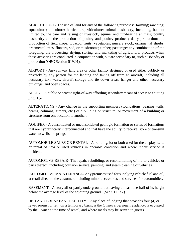AGRICULTURE- The use of land for any of the following purposes: farming; ranching; aquaculture; apiculture; horticulture; viticulture; animal husbandry, including, but not limited to, the care and raising of livestock, equine, and fur-bearing animals; poultry husbandry and the production of poultry and poultry products; dairy production; the production of field crops, tobacco, fruits, vegetables, nursery stock, ornamental shrubs, ornamental trees, flowers, sod, or mushrooms; timber; pasturage; any combination of the foregoing; the processing, drying, storing, and marketing of agricultural products when those activities are conducted in conjunction with, but are secondary to, such husbandry or production (ORC Section [519.01\).](http://codes.ohio.gov/orc/519)

AIRPORT - Any runway land area or other facility designed or used either publicly or privately by any person for the landing and taking off from an aircraft, including all necessary taxi ways, aircraft storage and tie down areas, hanger and other necessary buildings, and open spaces.

ALLEY – A public or private right-of-way affording secondary means of access to abutting property.

ALTERATIONS - Any change in the supporting members (foundations, bearing walls, beams, columns, girders, etc.) of a building or structure; or movement of a building or structure from one location to another.

AQUIFER - A consolidated or unconsolidated geologic formation or series of formations that are hydraulically interconnected and that have the ability to receive, store or transmit water to wells or springs.

AUTOMOBILE SALES OR RENTAL - A building, lot or both used for the display, sale, or rental of new or used vehicles in operable condition and where repair service is incidental.

AUTOMOTIVE REPAIR- The repair, rebuilding, or reconditioning of motor vehicles or parts thereof, including collision service, painting, and steam cleaning of vehicles.

AUTOMOTIVE MAINTENANCE- Any premises used for supplying vehicle fuel and oil, at retail direct to the customer, including minor accessories and services for automobiles.

BASEMENT - A story all or partly underground but having at least one-half of its height below the average level of the adjoining ground. (See STORY).

BED AND BREAKFAST FACILITY – Any place of lodging that provides four (4) or fewer rooms for rent on a temporary basis, is the Owner's personal residence, is occupied by the Owner at the time of rental, and where meals may be served to guests.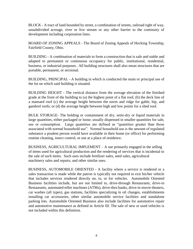BLOCK - A tract of land bounded by street, a combination of streets, railroad right of way, unsubdivided acreage, river or live stream or any other barrier to the continuity of development including corporation lines.

BOARD OF ZONING APPEALS - The Board of Zoning Appeals of Hocking Township, Fairfield County, Ohio.

BUILDING - A combination of materials to form a construction that is safe and stable and adapted to permanent or continuous occupancy for public, institutional, residential, business, or industrial purposes. All building structures shall also mean structures that are portable, permanent, or sectional.

BUILDING, PRINCIPAL - A building in which is conducted the main or principal use of the lot on which said building is situated.

BUILDING HEIGHT - The vertical distance from the average elevation of the finished grade at the front of the building to (a) the highest point of a flat roof, (b) the deck line of a mansard roof (c) the average height between the eaves and ridge for gable, hip, and gambrel roofs; or (d) the average height between high and low points for a shed roof.

BULK STORAGE- The holding or containment of dry, semi-dry or liquid materials in large quantities, either packaged or loose, usually dispensed in smaller quantities for sale, use or consumption. Large quantities are defined as "quantities greater than those associated with normal household use". Normal household use is the amount of regulated substance a prudent person would have available in their home (or office) for performing routine cleaning, insect control, or use at a place of residence.

BUSINESS, AGRICULTURAL IMPLEMENT – A use primarily engaged in the selling of items used for agricultural production and the rendering of services that is incidental to the sale of such items. Such uses include fertilizer sales, seed sales, agricultural machinery sales and repairs, and other similar uses.

BUSINESS, AUTOMOBILE ORIENTED - A facility where a service is rendered or a sales transaction is made while the patron is typically not required to exit his/her vehicle that includes services rendered directly on, to, or for vehicles. Automobile Oriented Business facilities include, but are not limited to, drive-through Restaurants, drive-in Restaurants, automated teller machines (ATMs), drive-thru banks, drive-in movie theaters, car washes (all types), gas stations, facilities specializing in oil changes, establishments installing car accessories, other similar automobile service facilities and standalone parking lots. Automobile Oriented Business also include facilities for automotive repair and automotive maintenance as defined in Article III. The sale of new or used vehicles is not included within this definition.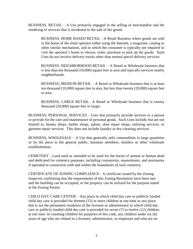BUSINESS, RETAIL – A Use primarily engaged in the selling of merchandise and the rendering of services that is incidental to the sale of the goods.

BUSINESS, HOME BASED RETAIL - A Retail Business where goods are sold in the home of the retail operator either using the Internet, a magazine, catalog or other similar mechanism, and in which the consumer is typically not required to visit the operator's home to choose, order, purchase or pick up the goods. Such Uses do not involve delivery trucks other than normal parcel delivery services.

BUSINESS, NEIGHBORHOOD RETAIL – A Retail or Wholesale business that is less than ten thousand (10,000) square feet in area and typically services nearby neighborhoods.

BUSINESS, MEDIUM RETAIL – A Retail or Wholesale business that is at least ten thousand (10,000) square feet in area, but less than twenty (20,000) square feet in area.

BUSINESS, LARGE RETAIL– A Retail or Wholesale business that is twenty thousand (20,000) square feet or larger.

BUSINESS, PERSONAL SERVICES – Uses that primarily provide services to a person or provide for the care and maintenance of personal goods. Such Uses include, but are not limited to, beauty shops, barber shops, salons, shoe repair shops, tailoring services, or garment repair services. This does not include laundry or dry-cleaning services.

BUSINESS, WHOLESALE – A Use that generally sells commodities in large quantities or by the piece to the general public, business members, retailers or other wholesale establishments.

CEMETERY - Land used or intended to be used for the burial of animal or human dead and dedicated for cemetery purposes, including crematories, mausoleums, and mortuaries if operated in connection with and within the boundaries of such cemetery.

CERTIFICATE OF ZONING COMPLIANCE - A certificate issued by the Zoning Inspector confirming that the requirements of this Zoning Resolution have been met and the building can be occupied, or the property can be utilized for the purpose stated in the Zoning Permit.

CHILD DAY CARE CENTER – Any place in which child day care or publicly funded child day care is provided for thirteen (13) or more children at one time or any place that is not the permanent residence of the licensee or administrator in which child day care or publicly funded child day care is provided for seven (7) to twelve (12) children at one time. In counting children for purposes of this code, any children under six (6) years of age who are related to a licensee, administrator, or employee and who are on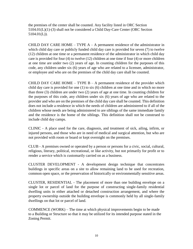the premises of the center shall be counted. Any facility listed in ORC Secti[on](http://codes.ohio.gov/orc/5104)  [5104.01\(L\)\(1\)-\(3\)](http://codes.ohio.gov/orc/5104) shall not be considered a Child Day-Care Center (ORC Secti[on](http://codes.ohio.gov/orc/5104)   $5104.01(L)$ ).

CHILD DAY CARE HOME – TYPE  $A - A$  permanent residence of the administrator in which child day care or publicly funded child day care is provided for seven (7) to twelve (12) children at one time or a permanent residence of the administrator in which child day care is provided for four (4) to twelve (12) children at one time if four (4) or more children at one time are under two (2) years of age. In counting children for the purposes of this code, any children under six (6) years of age who are related to a licensee, administrator, or employee and who are on the premises of the child day care shall be counted.

CHILD DAY CARE HOME – TYPE  $B - A$  permanent residence of the provider which child day care is provided for one (1) to six (6) children at one time and in which no more than three (3) children are under two (2) years of age at one time. In counting children for the purposes of this code, any children under six (6) years of age who are related to the provider and who are on the premises of the child day care shall be counted. This definition does not include a residence in which the needs of children are administered to if all of the children whose needs are being administered to are siblings of the same immediate family and the residence is the home of the siblings. This definition shall not be construed to include child day camps.

CLINIC - A place used for the care, diagnosis, and treatment of sick, ailing, infirm, or injured persons, and those who are in need of medical and surgical attention, but who are not provided with room or board or kept overnight on the premises.

CLUB - A premises owned or operated by a person or persons for a civic, social, cultural, religious, literary, political, recreational, or like activity, but not primarily for profit or to render a service which is customarily carried on as a business.

CLUSTER DEVELOPMENT - A development design technique that concentrates buildings in specific areas on a site to allow remaining land to be used for recreation, common open space, or the preservation of historically or environmentally sensitive areas.

CLUSTER, RESIDENTIAL - The placement of more than one building envelope on a single lot or parcel of land for the purpose of constructing single-family residential dwelling units in either attached or detached construction arrangement, and where the property ownership outside the building envelope is commonly held by all single-family dwellings on that lot or parcel of land.

COMMENCE (WORK) – The time at which physical improvements begin to be made to a Building or Structure so that it may be utilized for its intended purpose stated in the Zoning Permit.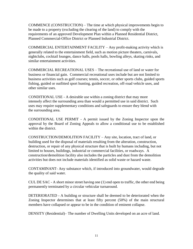COMMENCE (CONSTRUCTION) – The time at which physical improvements begin to be made to a property (excluding the clearing of the land) to comply with the requirements of an approved Development Plan within a Planned Residential District, Planned Commercial-Office District or Planned Industrial District.

COMMERCIAL ENTERTAINMENT FACILITY – Any profit-making activity which is generally related to the entertainment field, such as motion picture theaters, carnivals, nightclubs, cocktail lounges, dance halls, pools halls, bowling alleys, skating rinks, and similar entertainment activities.

COMMERCIAL RECREATIONAL USES – The recreational use of land or water for business or financial gain. Commercial recreational uses include but are not limited to business activities such as golf courses; tennis, soccer, or other sports clubs, guided sports fishing, guided or outfitted sport hunting, guided recreation, off-road vehicle uses, and other similar uses.

CONDITIONAL USE - A desirable use within a zoning district that may more intensely affect the surrounding area than would a permitted use in said district. Such uses may require supplementary conditions and safeguards to ensure they blend with the surrounding area.

CONDITIONAL USE PERMIT - A permit issued by the Zoning Inspector upon the approval by the Board of Zoning Appeals to allow a conditional use to be established within the district.

CONSTRUCTION/DEMOLITION FACILITY – Any site, location, tract of land, or building used for the disposal of materials resulting from the alteration, construction, destruction, or repair of any physical structure that is built by humans including, but not limited to houses, buildings, industrial or commercial facilities, or roadways. A construction/demolition facility also includes the particles and dust from the demolition activities but does not include materials identified as solid waste or hazard waste.

CONTAMINANT- Any substance which, if introduced into groundwater, would degrade the quality of said water.

CUL DE SAC - A short minor street having one (1) end open to traffic, the other end being permanently terminated by a circular vehicular turnaround.

DETERIORATED - A building or structure shall be deemed to be deteriorated when the Zoning Inspector determines that at least fifty percent (50%) of the main structural members have collapsed or appear to be in the condition of eminent collapse.

DENSITY (Residential)– The number of Dwelling Units developed on an acre of land.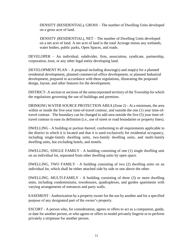DENSITY (RESIDENTIAL), GROSS – The number of Dwelling Units developed on a gross acre of land.

DENSITY (RESIDENTIAL), NET – The number of Dwelling Units developed on a net acre of land. A net acre of land is the total Acreage minus any wetlands, water bodies, public parks, Open Spaces, and roads.

DEVELOPER – An individual, subdivider, firm, association, syndicate, partnership, corporation, trust, or any other legal entity developing land.

DEVELOPMENT PLAN – A proposal including drawing(s) and map(s) for a planned residential development, planned commercial-office development, or planned Industrial development, prepared in accordance with these regulations, illustrating the proposed design, layout, and other features for the development.

DISTRICT- A section or sections of the unincorporated territory of the Township for which the regulations governing the use of buildings and premises.

DRINKING WATER SOURCE PROTECTION AREA (Zone 2) - At a minimum, the area within or inside the five-year time-of-travel contour, and outside the one (1) year time-oftravel contour. The boundary can be changed to add area outside the five (5) year time-oftravel contour to ease its definition (i.e., use of street or road boundaries or property lines).

DWELLING - A building or portion thereof, conforming to all requirements applicable to the district in which it is located and that it is used exclusively for residential occupancy, including single-family dwelling units, two-family dwelling units, and multi-family dwelling units, but excluding hotels, and motels.

DWELLING, SINGLE FAMILY - A building consisting of one (1) single dwelling unit on an individual lot, separated from other dwelling units by open space.

DWELLING, TWO FAMILY - A building consisting of two (2) dwelling units on an individual lot, which shall be either attached side by side or one above the other.

DWELLING. MULTI-FAMILY - A building consisting of three (3) or more dwelling units, including condominiums, townhouses, quadruplexes, and garden apartments with varying arrangements of entrances and party walls.

EASEMENT - Authorization by a property owner for the use by another and for a specified purpose of any designated part of the owner's property.

ESCORT - A person who, for consideration, agrees or offers to act as a companion, guide, or date for another person, or who agrees or offers to model privately lingerie or to perform privately a striptease for another person.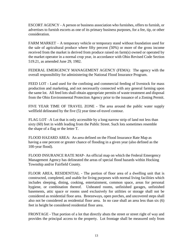ESCORT AGENCY - A person or business association who furnishes, offers to furnish, or advertises to furnish escorts as one of its primary business purposes, for a fee, tip, or other consideration.

FARM MARKET – A temporary vehicle or temporary stand without foundation used for the sale of agricultural produce where fifty percent (50%) or more of the gross income received from the market is derived from produce raised on farm(s) owned or operated by the market operator in a normal crop year, in accordance with Ohio Revised Code Section [519.21,](http://codes.ohio.gov/orc/519) as amended June 29, 1982.

FEDERAL EMERGENCY MANAGEMENT AGENCY (FEMA): The agency with the overall responsibility for administering the National Flood Insurance Program.

FEED LOT - Land used for the confining and commercial feeding of livestock for mass production and marketing, and not necessarily connected with any general farming upon the same lot. All feed lots shall obtain appropriate permits of waste treatment and disposal from the Ohio Environmental Protection Agency prior to the issuance of a Zoning Permit.

FIVE YEAR TIME OF TRAVEL ZONE - The area around the public water supply wellfield delineated by the five (5) year time-of-travel contour.

FLAG LOT –A Lot that is only accessible by a long narrow strip of land not less than sixty (60) feet in width leading from the Public Street. Such lots sometimes resemble the shape of a flag or the letter T.

FLOOD HAZARD AREA: An area defined on the Flood Insurance Rate Map as having a one percent or greater chance of flooding in a given year (also defined as the 100-year flood).

FLOOD INSURANCE RATE MAP- An official map on which the Federal Emergency Management Agency has delineated the areas of special flood hazards within Hocking Township and/or Fairfield County.

FLOOR AREA, RESIDENTIAL - The portion of floor area of a dwelling unit that is constructed, completed, and usable for living purposes with normal living facilities which includes sleeping, dining, cooking, entertainment, common space, areas for personal hygiene, or combination thereof. Unheated rooms, unfinished garages, unfinished basements, attic space or rooms used exclusively for utilities or storage shall not be considered as residential floor area. Breezeways, open porches, and uncovered steps shall also not be considered as residential floor area. In no case shall an area less than six (6) feet in height be considered residential floor area.

FRONTAGE - That portion of a lot that directly abuts the street or street right of way and provides the principal access to the property. Lot frontage shall be measured only from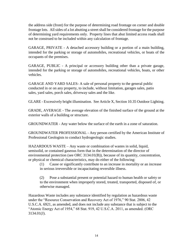the address side (front) for the purpose of determining road frontage on corner and double frontage lots. All sides of a lot abutting a street shall be considered frontage for the purpose of determining yard requirements only. Property lines that abut limited access roads shall not be construed to be included within any calculation of frontage.

GARAGE, PRIVATE - A detached accessory building or a portion of a main building, intended for the parking or storage of automobiles, recreational vehicles, or boats of the occupants of the premises.

GARAGE, PUBLIC - A principal or accessory building other than a private garage, intended for the parking or storage of automobiles, recreational vehicles, boats, or other vehicles.

GARAGE AND YARD SALES- A sale of personal property to the general public conducted in or on any property, to include, without limitation, garages sales, patio sales, yard sales, porch sales, driveway sales and the like.

GLARE - Excessively bright illumination. See Article X, Section 10.35 Outdoor Lighting.

GRADE, AVERAGE - The average elevation of the finished surface of the ground at the exterior walls of a building or structure.

GROUNDWATER - Any water below the surface of the earth in a zone of saturation.

GROUNDWATER PROFESSIONAL - Any person certified by the American Institute of Professional Geologists to conduct hydrogeologic studies.

HAZARDOUS WASTE – Any waste or combination of wastes in solid, liquid, semisolid, or contained gaseous form that in the determination of the director of environmental protection (see [ORC 3134.01\(B\)\)](http://codes.ohio.gov/orc/3745), because of its quantity, concentration, or physical or chemical characteristics, may do either of the following:

(1) Cause or significantly contribute to an increase in mortality or an increase in serious irreversible or incapacitating reversible illness.

(2) Pose a substantial present or potential hazard to human health or safety or to the environment when improperly stored, treated, transported, disposed of, or otherwise managed.

Hazardous Waste includes any substance identified by regulation as hazardous waste under the "Resource Conservation and Recovery Act of 1976," 90 Stat. 2806, 42 U.S.C.A. 6921, as amended, and does not include any substance that is subject to the "Atomic Energy Act of 1954," 68 Stat. 919, 42 U.S.C.A. 2011, as amended. (ORC 3134.01(J).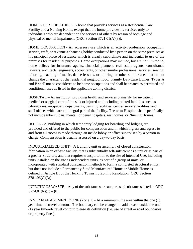HOMES FOR THE AGING –A home that provides services as a Residential Care Facility and a Nursing Home, except that the home provides its services only to individuals who are dependent on the services of others by reason of both age and physical or mental impairment (ORC Section [3721.01\(A\)\(8\)\).](http://codes.ohio.gov/orc/3721)

HOME OCCUPATION - An accessory use which is an activity, profession, occupation, service, craft, or revenue-enhancing hobby conducted by a person on the same premises as his principal place of residence which is clearly subordinate and incidental to use of the premises for residential purposes. Home occupations may include, but are not limited to, home offices for insurance agents, financial planners, real estate agents, consultants, lawyers, architects, engineers, accountants, or other similar professional services, sewing, tailoring, teaching of music, dance lessons, or tutoring, or other similar uses that do not change the character of the residential neighborhood. Family Day-Care Homes, Types A and B shall not be considered to be home occupations and shall be treated as permitted and conditional uses as listed in the applicable zoning district.

HOSPITAL – An institution providing health and services primarily for in-patient medical or surgical care of the sick or injured and including related facilities such as laboratories, out-patient departments, training facilities, central service facilities, and staff offices which are an integral part of the facility. The term Hospital shall specifically not include tuberculosis, mental, or penal hospitals, rest homes, or Nursing Homes.

HOTEL - A Building in which temporary lodging for boarding and lodging are provided and offered to the public for compensation and in which ingress and egress to and from all rooms is made through an inside lobby or office supervised by a person in charge. Compensation is usually assessed on a day-to-day basis.

INDUSTRIALIZED UNIT – A Building unit or assembly of closed construction fabrication in an off-site facility, that is substantially self-sufficient as a unit or as part of a greater Structure, and that requires transportation to the site of intended Use, including units installed on the site as independent units, as part of a group of units, or incorporated with standard construction methods to form a completed structural entity, but does not include a Permanently Sited Manufactured Home or Mobile Home as defined in Article III of the Hocking Township Zoning Resolution (ORC Sectio[n](http://codes.ohio.gov/orc/3781) [3781.06\(C\)\(3\)\).](http://codes.ohio.gov/orc/3781)

INFECTIOUS WASTE – Any of the substances or categories of substances listed in OR[C](http://codes.ohio.gov/orc/3734)  $3734.01(R)(1) - (8)$  $3734.01(R)(1) - (8)$ .

INNER MANAGEMENT ZONE (Zone 1) - At a minimum, the area within the one (1) year time-of-travel contour. The boundary can be changed to add areas outside the one (1) year time-of-travel contour to ease its definition (i.e. use of street or road boundaries or property lines).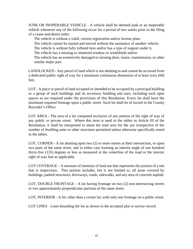JUNK OR INOPERABLE VEHICLE - A vehicle shall be deemed junk or an inoperable vehicle whenever any of the following occur for a period of two weeks prior to the filing of a cease-and-desist order:

The vehicle is without a valid, current registration and/or license plate.

The vehicle cannot be started and moved without the assistance of another vehicle.

The vehicle is without fully inflated tires and/or has a type of support under it.

The vehicle has a missing or shattered window or windshield and/or.

The vehicle has an extensively damaged or missing door, motor, transmission, or other similar major part.

LANDLOCKED - Any parcel of land which is not abutting to and cannot be accessed from a dedicated public right of way for a minimum continuous dimension of at least sixty (60) feet.

LOT - A piece or parcel of land occupied or intended to be occupied by a principal building or a group of such buildings and its accessory building and uses, including such open spaces as are required under the provisions of this Resolution. Every lot shall have the minimum required frontage upon a public street. Such lot shall be of record in the County Recorder's Office.

LOT AREA - The area of a lot computed exclusive of any portion of the right of way of any public or private street. Where this term is used in the tables in Article III of the Resolution, it shall be interpreted to mean the total area for the use irrespective of the number of dwelling units or other structures permitted unless otherwise specifically noted in the tables.

LOT, CORNER - A lot abutting upon two (2) or more streets at their intersection, or upon two parts of the same street, and in either case forming an interior angle of one hundred thirty-five (135) degrees or less as measured at the centerline of the road or the interior right of way line as applicable.

LOT COVERAGE – A measure of intensity of land use that represents the portion of a site that is impervious. This portion includes, but is not limited to, all areas covered by buildings, parked structures, driveways, roads, sidewalks, and any area of concrete asphalt.

LOT, DOUBLE FRONTAGE - A lot having frontage on two (2) non-intersecting streets or two approximately perpendicular portions of the same street.

LOT, INTERIOR - A lot, other than a corner lot, with only one frontage on a public street.

LOT LINES - Lines bounding the lot as shown in the accepted plat or survey record.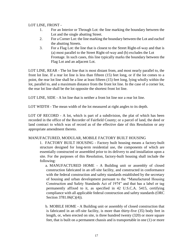LOT LINE, FRONT -

- 1. For an Interior or Through Lot: the line marking the boundary between the Lot and the single abutting Street.
- 2. For a Corner Lot: the line marking the boundary between the Lot and eachof the abutting Streets.
- 3. For a Flag Lot: the line that is closest to the Street Right-of-way and that is (a) most parallel to the Street Right-of-way and (b) excludes the Lot Frontage. In such cases, this line typically marks the boundary between the Flag Lot and an adjacent Lot.

LOT LINE, REAR - The lot line that is most distant from, and most nearly parallel to, the front lot line. If a rear lot line is less than fifteen (15) feet long, or if the lot comes to a point, the rear lot line shall be a line at least fifteen (15) feet long, lying wholly within the lot, parallel to, and a maximum distance from the front lot line. In the case of a corner lot, the rear lot line shall be the lot opposite the shortest front lot line.

LOT LINE, SIDE - A lot line that is neither a front lot line nor a rear lot line.

LOT WIDTH - The mean width of the lot measured at right angles to its depth.

LOT OF RECORD - A lot, which is part of a subdivision, the plat of which has been recorded in the office of the Recorder of Fairfield County; or a parcel of land, the deed or land contract to which was of record as of the effective date of this Resolution or any appropriate amendment thereto.

#### MANUFACTURED, MODULAR, MOBILE FACTORY BUILT HOUSING

1. FACTORY BUILT HOUSING - Factory built housing means a factory-built structure designed for long-term residential use, the components of which are essentially constructed or assembled prior to its delivery to and installation upon a site. For the purposes of this Resolution, factory-built housing shall include the following:

a. MANUFACTURED HOME - A Building unit or assembly of closed construction fabricated in an off-site facility, and constructed in conformance with the federal construction and safety standards established by the secretary of housing and urban development pursuant to the "Manufactured Housing Construction and Safety Standards Act of 1974" and that has a label or tag permanently affixed to it, as specified in 42 U.S.C.A. 5415, certifying compliance with all applicable federal construction and safety standards (ORC Section [3781.06\(C\)\(4\)\).](http://codes.ohio.gov/orc/3781)

b. MOBILE HOME - A Building unit or assembly of closed construction that is fabricated in an off-site facility, is more than thirty-five (35) body feet in length, or, when erected on site, is three hundred twenty (320) or more square feet, that is built on a permanent chassis and is transportable in one (1) or more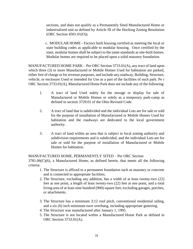sections, and does not qualify as a Permanently Sited Manufactured Home or industrialized unit as defined by Article III of the Hocking Zoning Resolution (ORC Section [4501.01\(O\)\).](http://codes.ohio.gov/orc/4501)

c. MODULAR HOME - Factory built housing certified as meeting the local or state building codes as applicable to modular housing. Once certified by the state, modular homes shall be subject to the same standards as site-built homes. Modular homes are required to be placed upon a solid masonry foundation.

MANUFACTURED HOME PARK – Per ORC Section [3733.01\(A\), a](http://codes.ohio.gov/orc/3733)ny tract of land upon which three (3) or more Manufactured or Mobile Homes Used for habitation are parked, either free of charge or for revenue purposes, and include any roadway, Building, Structure, vehicle, or enclosure Used or intended for Use as a part of the facilities of such park. Pe r ORC Section [3733.01\(A\), M](http://codes.ohio.gov/orc/3733)anufactured Home Park does not include any of the following:

- 1. A tract of land Used solely for the storage or display for sale of Manufactured or Mobile Homes or solely as a temporary park-camp as defined in section [3729.01](http://codes.ohio.gov/orc/3729) of the Ohio Revised Code.
- 2. A tract of land that is subdivided and the individual Lots are for sale or sold for the purpose of installation of Manufactured or Mobile Homes Used for habitation and the roadways are dedicated to the local government authority.
- 3. A tract of land within an area that is subject to local zoning authority and subdivision requirements and is subdivided, and the individual Lots are for sale or sold for the purpose of installation of Manufactured or Mobile Homes for habitation.

#### MANUFACTURED HOME, PERMANENTLY SITED – Per ORC Section

 $3781.06(C)(6)$ , a Manufactured Home, as defined herein, that meets all the following criteria:

- 1. The Structure is affixed to a permanent foundation such as masonry or concrete and is connected to appropriate facilities.
- 2. The Structure, excluding any addition, has a width of at least twenty-two (22) feet at one point, a length of least twenty-two (22) feet at one point, and a total living area of at least nine hundred (900) square feet, excluding garages, porches, or attachments.
- 3. The Structure has a minimum 3:12 roof pitch, conventional residential siding, and a six (6) inch minimum eave overhang, including appropriate guttering.
- 4. The Structure was manufactured after January 1, 1995.
- 5. The Structure is not located within a Manufactured Home Park as defined in ORC Section [3733.01\(A\).](http://codes.ohio.gov/orc/3733)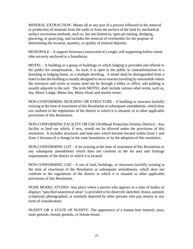MINERAL EXTRACTION- Means all or any part of a process followed in the removal or production of minerals from the earth or from the surface of the land by mechanical surface excavation methods, such as, but not limited to, open pit mining, dredging, placering, or quarrying, and includes the removal of overburden for the purpose of determining the location, quantity, or quality of mineral deposits.

MONOPOLE – A support Structure constructed of a single, self-supporting hollow metal tube securely anchored to a foundation.

MOTEL - A building or a group of buildings in which lodging is provided and offered to the public for compensation. As such, it is open to the public in contradistinction to a boarding or lodging home, or a multiple dwelling. A motel shall be distinguished from a hotel in that the building is usually designed to serve tourists traveling by automobile where the entrances and exists to rooms need not be through a lobby or office, and parking is usually adjacent to the unit. The term MOTEL shall include various other terms, such as, Inn, Motor Lodge, Motor Inn, Motor Hotel and similar terms.

NON-CONFORMING BUILDING OR STRUCTURE - A building or structure lawfully existing at the time of enactment of this Resolution or subsequent amendments, which does not conform to the regulations of the district in which it is situated, or to other applicable provisions of this Resolution.

NON-CONFORMING FACILITY OR USE (Wellhead Protection Overlay District) - Any facility or land use which, if new, would not be allowed under the provisions of this resolution. It includes structures and land uses which became located within Zone 1 and Zone 2 because of a change in the zone boundaries or by the adoption of this resolution.

NON-CONFORMING LOT - A lot existing at the time of enactment of this Resolution or any subsequent amendments which does not conform to the lot area and frontage requirements of the district in which it is located.

NON-CONFORMING USE - A use of land, buildings, or structures lawfully existing at the time of enactment of the Resolution or subsequent amendments, which does not conform to the regulations of the district in which it is situated or other applicable provisions of this Resolution.

NUDE MODEL STUDIO- Any place where a person who appears in a state of nudity or displays "specified anatomical areas" is provided to be observed, sketched, drawn, painted, sculptured, photographed, or similarly depicted by other persons who pay money or any form of consideration.

NUDITY OR A STATE OF NUDITY- The appearance of a human bare buttock, anus, male genitals, female genitals, or female breast.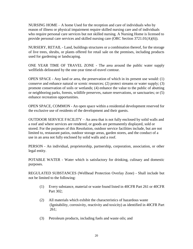NURSING HOME – A home Used for the reception and care of individuals who by reason of illness or physical impairment require skilled nursing care and of individuals who require personal care services but not skilled nursing. A Nursing Home is licensed to provide personal care services and skilled nursing care (ORC Section [3721.01\(A\)\(6\)\).](http://codes.ohio.gov/orc/3721)

NURSERY, RETAIL - Land, buildings structures or a combination thereof, for the storage of live trees, shrubs, or plants offered for retail sale on the premises, including products used for gardening or landscaping.

ONE YEAR TIME OF TRAVEL ZONE - The area around the public water supply wellfields delineated by the one-year time-of-travel contour.

OPEN SPACE - Any land or area, the preservation of which in its present use would: (1) conserve and enhance natural or scenic resources; (2) protect streams or water supply; (3) promote conservation of soils or wetlands; (4) enhance the value to the public of abutting or neighboring parks, forests, wildlife preserves, nature reservations, or sanctuaries; or (5) enhance recreation opportunities.

OPEN SPACE, COMMON - An open space within a residential development reserved for the exclusive use of residents of the development and their guests.

OUTDOOR SERVICE FACILITY – An area that is not fully enclosed by solid walls and a roof and where services are rendered, or goods are permanently displayed, sold or stored. For the purposes of this Resolution, outdoor service facilities include, but are not limited to, restaurant patios, outdoor storage areas, garden stores, and the conduct of a use in an area not fully enclosed by solid walls and a roof.

PERSON - An individual, proprietorship, partnership, corporation, association, or other legal entity.

POTABLE WATER - Water which is satisfactory for drinking, culinary and domestic purposes.

REGULATED SUBSTANCES (Wellhead Protection Overlay Zone) - Shall include but not be limited to the following:

- (1) Every substance, material or waste found listed in 40CFR Part 261 or 40CFR Part 302;
- (2) All materials which exhibit the characteristics of hazardous waste (Ignitability, corrosivity, reactivity and toxicity) as identified in 40CFR Part 261;
- (3) Petroleum products, including fuels and waste oils; and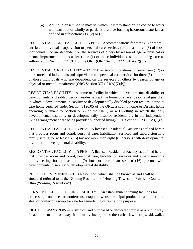(4) Any solid or semi-solid material which, if left to stand or if exposed to water will leach out or wholly or partially dissolve forming hazardous materials as defined in subsections  $(1)$ ,  $(2)$  or  $(3)$ .

RESIDENTIAL CARE FACILITY – TYPE A – Accommodations for three (3) or more unrelated individuals, supervision or personal care services for at least three (3) of those individuals who are dependent on the services of others by reason of age or physical or mental impairment, and to at least one (1) of those individuals, skilled nursing care as authorized by Section [3721.011 o](http://codes.ohio.gov/orc/3721)f the ORC (ORC Section [3721.01\(A\)\(7\)\(b\)\).](http://codes.ohio.gov/orc/3721)

RESIDENTIAL CARE FACILITY – TYPE B – Accommodations for seventeen (17) or more unrelated individuals and supervision and personal care services for three (3) or more of those individuals who are dependent on the services of others by reason of age or physical or mental impairment (ORC Section [3721.01\(A\)\(7\)\(b\)\).](http://codes.ohio.gov/orc/3721)

RESIDENTIAL FACILITY – A home or facility in which a developmental disability or developmentally disabled person resides, except the home of a relative or legal guardian in which a developmental disability or developmentally disabled person resides, a respite care home certified under Section [5126.05](http://codes.ohio.gov/orc/5126) of the ORC, a county home or District home operating pursuant to Section [5155 o](http://codes.ohio.gov/orc/5155)f the ORC, or a Dwelling in which the only developmental disability or developmentally disabled residents are in the independent living arrangement or are being provided supported living (ORC Section [5123.19\(A\)\(1\)\(a\).](http://codes.ohio.gov/orc/5123)

RESIDENTIAL FACILITY – TYPE A – A licensed Residential Facility as defined herein that provides room and board, personal care, habilitation services and supervision in a family setting for at least six (6) but not more than eight (8) persons with developmental disability or developmental disability.

RESIDENTIAL FACILITY – TYPE B – A licensed Residential Facility as defined herein that provides room and board, personal care, habilitation services and supervision in a family setting for at least nine (9) but not more than sixteen (16) persons with developmental disability or developmental disability.

RESOLUTION, ZONING – This Resolution, which shall be known as and shall be cited and referred to as the "Zoning Resolution of Hocking Township, Fairfield County, Ohio ("Zoning Resolution").

SCRAP METAL PROCESSING FACILITY – An establishment having facilities for processing iron, steel, or nonferrous scrap and whose principal product is scrap iron and steel or nonferrous scrap for sale for remodeling or re-melting purposes.

RIGHT OF WAY (ROW) – A strip of land purchased or dedicated for use as a public way. In addition to the roadway, it normally incorporates the curbs, lawn strips, sidewalks,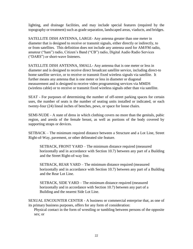lighting, and drainage facilities, and may include special features (required by the topography or treatment) such as grade separation, landscaped areas, viaducts, and bridges.

SATELLITE DISH ANTENNA, LARGE- Any antenna greater than one meter in diameter that is designed to receive or transmit signals, either directly or indirectly, to or from satellites. This definition does not include any antenna used for AM/FM radio, amateur ("ham") radio, Citizen's Band ("CB") radio, Digital Audio Radio Services ("DARS") or short-wave listeners.

SATELLITE DISH ANTENNA, SMALL- Any antenna that is one meter or less in diameter and is designed to receive direct broadcast satellite service, including direct-to home satellite service, or to receive or transmit fixed wireless signals via satellite. It further means any antenna that is one meter or less in diameter or diagonal measurement and is designed to receive video programming services via MMDS (wireless cable) or to receive or transmit fixed wireless signals other than via satellite.

SEAT - For purposes of determining the number of off-street parking spaces for certain uses, the number of seats is the number of seating units installed or indicated, or each twenty-four (24) lineal inches of benches, pews, or space for loose chairs.

SEMI-NUDE - A state of dress in which clothing covers no more than the genitals, pubic region, and areola of the female breast, as well as portions of the body covered by supporting straps or devices.

SETBACK – The minimum required distance between a Structure and a Lot Line, Street Right-of-Way, pavement, or other delineated site feature.

SETBACK, FRONT YARD – The minimum distance required (measured horizontally and in accordance with Section 10.7) between any part of a Building and the Street Right-of-way line.

SETBACK, REAR YARD – The minimum distance required (measured horizontally and in accordance with Section 10.7) between any part of a Building and the Rear Lot Line.

SETBACK, SIDE YARD – The minimum distance required (measured horizontally and in accordance with Section 10.7) between any part of a Building and the nearest Side Lot Line.

SEXUAL ENCOUNTER CENTER - A business or commercial enterprise that, as one of its primary business purposes, offers for any form of consideration:

Physical contact in the form of wrestling or tumbling between persons of the opposite sex; or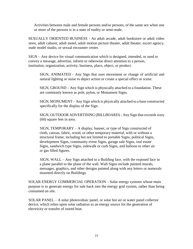Activities between male and female persons and/or persons, of the same sex when one or more of the persons is in a state of nudity or semi-nude.

SEXUALLY ORIENTED BUSINESS - An adult arcade, adult bookstore or adult video store, adult cabaret, adult motel, adult motion picture theater, adult theater, escort agency, nude model studio, or sexual encounter center.

SIGN – Any device for visual communication which is designed, intended, or used to convey a message, advertise, inform or otherwise direct attention to a person, institution, organization, activity, business, place, object, or product.

SIGN, ANIMATED - Any Sign that uses movement or change of artificial and natural lighting or noise to depict action or create a special effect or scene.

SIGN, GROUND – Any Sign which is physically attached to a foundation. These are commonly known as pole, pylon, or Monument Signs.

SIGN, MONUMENT – Any Sign which is physically attached to a base constructed specifically for the display of the Sign.

SIGN, OUTDOOR ADVERTISING (BILLBOARD) - Any Sign that exceeds sixty (60) square feet in area.

SIGN, TEMPORARY – A display, banner, or type of Sign constructed of cloth, canvas, fabric, wood, or other temporary material, with or without a structural frame, including but not limited to portable Signs, political Signs, development Signs, community event Signs, garage sale Signs, real estate Signs, sandwich type Signs, sidewalk or curb Signs, and balloon or other air or gas filled figures.

SIGN, WALL – Any Sign attached to a Building face, with the exposed face in a plane parallel to the plane of the wall. Wall Signs include painted murals, messages, graphics, and other designs painted along with any letters or numerals mounted directly on Buildings.

SOLAR ENERGY COMMERCIAL OPERATION – Solar energy systems whose main purpose is to generate energy for sale back into the energy grid system, rather than being consumed on site.

SOLAR PANEL – A solar photovoltaic panel, or solar hot air or water panel collector device, which relies upon solar radiation as an energy source for the generation of electricity or transfer of stored heat.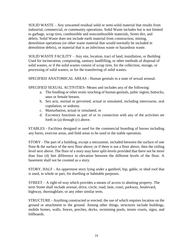SOLID WASTE – Any unwanted residual solid or semi-solid material that results from industrial, commercial, or community operations. Solid Waste includes but is not limited to garbage, scrap tires, combustible and noncombustible materials, Street dirt, and debris. Solid Waste does not include earth material from construction, mining, demolition operations (or other waste material that would normally be included in demolition debris), or material that is an infectious waste or hazardous waste.

SOLID WASTE FACILITY – Any site, location, tract of land, installation, or Building Used for incineration, composting, sanitary landfilling, or other methods of disposal of solid wastes, or if the solid wastes consist of scrap tires, for the collection, storage, or processing of solid wastes; or for the transferring of solid wastes.

SPECIFIED ANATOMICAL AREAS - Human genitals in a state of sexual arousal.

SPECIFIED SEXUAL ACTIVITIES- Means and includes any of the following:

- a. The fondling or other erotic touching of human genitals, pubic region, buttocks, anus or female breasts.
- b. Sex acts, normal or perverted, actual or simulated, including intercourse, oral copulation, or sodomy.
- c. Masturbation, actual or simulated, or
- d. Excretory functions as part of or in connection with any of the activities set forth in (a) through (c) above.

STABLES - Facilities designed or used for the commercial boarding of horses including any barns, exercise areas, and field areas to be used in the stable operation.

STORY - The part of a building, except a mezzanine, included between the surface of one floor & the surface of the next floor above; or if there is not a floor above, then the ceiling level next above. The floor of a story may have split-levels provided that there not be more than four (4) feet difference in elevation between the different levels of the floor. A basement shall not be counted as a story.

STORY, HALF - An uppermost story lying under a gambrel, hip, gable, or shed roof that is used, in whole or part, for dwelling or habitable purposes.

STREET – A right-of-way which provides a means of access to abutting property. The term Street shall include avenue, drive, circle, road, lane, court, parkway, boulevard, highway, thoroughfare, or any other similar term.

STRUCTURE - Anything constructed or erected, the use of which requires location on the ground or attachment to the ground. Among other things, structures include buildings, mobile homes, walls, fences, porches, decks, swimming pools, tennis courts, signs, and billboards.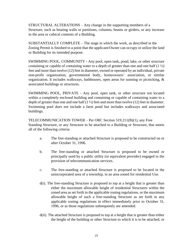STRUCTURAL ALTERATIONS – Any change in the supporting members of a Structure, such as bearing walls or partitions, columns, beams or girders, or any increase in the area or cubical contents of a Building.

SUBSTANTIALLY COMPLETE – The stage in which the work, as described in the Zoning Permit is finished to a point that the applicant/Owner can occupy or utilize the land or Building for its intended purpose.

SWIMMING POOL, COMMUNITY - Any pool, open tank, pond, lake, or other structure containing or capable of containing water to a depth of greater than one and one half  $(1 \frac{1}{2})$ feet and more than twelve (12) feet in diameter, owned or operated by an individual, private non-profit organization, governmental body, homeowners' association, or similar organization. It includes walkways, bathhouses, open areas for sunning or picnicking, & associated buildings or structures.

SWIMMING POOL, PRIVATE - Any pool, open tank, or other structure not located within a completely enclosed building and containing or capable of containing water to a depth of greater than one and one half (1  $\frac{1}{2}$ ) feet and more than twelve (12) feet in diameter. Swimming pool does not include a farm pond but includes walkways and associated buildings.

TELECOMMUNICATION TOWER – Per ORC Section [519.211\(B\)\(1\),](http://codes.ohio.gov/orc/519) any Free Standing Structure, or any Structure to be attached to a Building or Structure, that meets all of the following criteria:

- a. The free-standing or attached Structure is proposed to be constructed on or after October 31, 1996.
- b. The free-standing or attached Structure is proposed to be owned or principally used by a public utility (or equivalent provider) engaged in the provision of telecommunication services.
- c. The free-standing or attached Structure is proposed to be located in the unincorporated area of a township, in an area zoned for residential Use.
- d(i). The free-standing Structure is proposed to top at a height that is greater than either the maximum allowable height of residential Structures within the zoned area as set forth in the applicable zoning regulations, or the maximum allowable height of such a free-standing Structure as set forth in any applicable zoning regulations in effect immediately prior to October 31, 1996, or as those regulations subsequently are amended.
- d(ii). The attached Structure is proposed to top at a height that is greater than either the height of the building or other Structure to which it is to be attached, or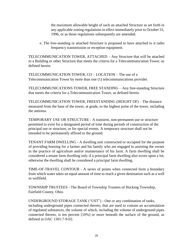the maximum allowable height of such an attached Structure as set forth in any applicable zoning regulations in effect immediately prior to October 31, 1996, or as those regulations subsequently are amended.

e. The free-standing or attached Structure is proposed to have attached to it radio frequency transmission or reception equipment.

TELECOMMUNICATION TOWER, ATTACHED – Any Structure that will be attached to a Building or other Structure that meets the criteria for a Telecommunication Tower, as defined herein.

TELECOMMUNICATION TOWER, CO – LOCATION – The use of a Telecommunication Tower by more than one (1) telecommunications provider.

TELECOMMUNICATIONS TOWER, FREE STANDING – Any free-standing Structure that meets the criteria for a Telecommunication Tower, as defined herein.

TELECOMMUNICATION TOWER, FREESTANDING (HEIGHT OF) – The distance measured from the base of the tower, at grade, to the highest point of the tower, including the antenna.

TEMPORARY USE OR STRUCTURE - A transient, non-permanent use or structure permitted to exist for a designated period of time during periods of construction of the principal use or structure, or for special events. A temporary structure shall not be intended to be permanently affixed to the ground.

TENANT FARM DWELLING - A dwelling unit constructed or occupied for the purpose of providing housing for a farmer and his family who are engaged in assisting the owner in the practice of agriculture and/or maintenance of his farm. A farm dwelling shall be considered a tenant farm dwelling only if a principal farm dwelling also exists upon a lot, otherwise the dwelling shall be considered a principal farm dwelling.

TIME-OF-TRAVEL CONTOUR - A series of points when connected form a boundary from which water takes an equal amount of time to reach a given destination such as a well or wellfield.

TOWNSHIP TRUSTEES - The Board of Township Trustees of Hocking Township, Fairfield County, Ohio.

UNDERGROUND STORAGE TANK ("UST") - One or any combination of tanks, including underground pipes connected thereto, that are used to contain an accumulation of regulated substances, the volume of which, including the volume of underground pipes connected thereto, is ten percent (10%) or more beneath the surface of the ground, as defined in O[AC 1301:7-9-02.](http://codes.ohio.gov/oac/1301%3A7-9)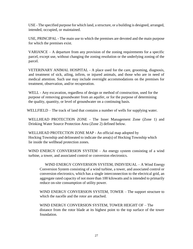USE - The specified purpose for which land, a structure, or a building is designed, arranged, intended, occupied, or maintained.

USE, PRINCIPAL - The main use to which the premises are devoted and the main purpose for which the premises exist.

VARIANCE – A departure from any provision of the zoning requirements for a specific parcel, except use, without changing the zoning resolution or the underlying zoning of the parcel.

VETERINARY ANIMAL HOSPITAL - A place used for the care, grooming, diagnosis, and treatment of sick, ailing, infirm, or injured animals, and those who are in need of medical attention. Such use may include overnight accommodations on the premises for treatment, observation, and/or recuperation.

WELL - Any excavation, regardless of design or method of construction, used for the purpose of removing groundwater from an aquifer, or for the purpose of determining the quality, quantity, or level of groundwater on a continuing basis.

WELLFIELD – The track of land that contains a number of wells for supplying water.

WELLHEAD PROTECTION ZONE - The Inner Management Zone (Zone 1) and Drinking Water Source Protection Area (Zone 2) defined below.

WELLHEAD PROTECTION ZONE MAP - An official map adopted by Hocking Township and delineated to indicate the area(s) of Hocking Township which lie inside the wellhead protection zones.

WIND ENERGY CONVERSION SYSTEM – An energy system consisting of a wind turbine, a tower, and associated control or conversion electronics.

WIND ENERGY CONVERSION SYSTEM, INDIVIDUAL – A Wind Energy Conversion System consisting of a wind turbine, a tower, and associated control or conversion electronics, which has a single interconnection to the electrical grid, an aggregate rated capacity of not more than 100 kilowatts and is intended to primarily reduce on-site consumption of utility power.

WIND ENERGY CONVERSION SYSTEM, TOWER – The support structure to which the nacelle and the rotor are attached.

WIND ENERGY CONVERSION SYSTEM, TOWER HEIGHT OF – The distance from the rotor blade at its highest point to the top surface of the tower foundation.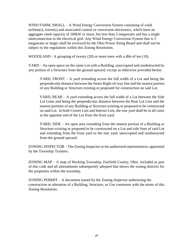WIND FARM, SMALL – A Wind Energy Conversion System consisting of wind turbine(s), tower(s) and associated control or conversion electronics, which have an aggregate rated capacity of 100kW or more, but less than 5 megawatts and has a single interconnection to the electrical grid. Any Wind Energy Conversion System that is 5 megawatts or larger shall be reviewed by the Ohio Power Siting Board and shall not be subject to the regulations within this Zoning Resolution.

WOODLAND - A grouping of twenty (20) or more trees with a dbh of ten (10).

YARD – An open space on the same Lot with a Building, unoccupied and unobstructed by any portion of a Structure from the ground upward, except as otherwise provided herein.

YARD, FRONT  $-$  A yard extending across the full width of a Lot and being the perpendicular distance between the Street Right-of-way line and the nearest portion of any Building or Structure existing or proposed for construction on said Lot.

YARD, REAR – A yard extending across the full width of a Lot between the Side Lot Lines and being the perpendicular distance between the Rear Lot Line and the nearest portions of any Building or Structure existing or proposed to be constructed on said Lot. In both Corner Lots and Interior Lots, the rear yard shall be in all cases at the opposite end of the Lot from the front yard.

YARD, SIDE – An open area extending from the nearest portion of a Building or Structure existing or proposed to be constructed on a Lot and side lines of said Lot and extending from the front yard to the rear yard, unoccupied and unobstructed from the ground upward.

ZONING INSPECTOR – The Zoning Inspector or his authorized representative, appointed by the Township Trustees.

ZONING MAP – A map of Hocking Township, Fairfield County, Ohio, included as part of this code and all amendments subsequently adopted that shows the zoning districts for the properties within the township.

ZONING PERMIT – A document issued by the Zoning Inspector authorizing the construction or alteration of a Building, Structure, or Use consistent with the terms of this Zoning Resolution.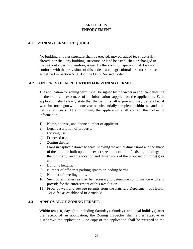#### **ARTICLE IV ENFORCEMENT**

#### **4.1 ZONING PERMIT REQUIRED.**

No building or other structure shall be erected, moved, added to, structurally altered, nor shall any building, structure, or land be established or changed in use without a permit therefore, issued by the Zoning Inspector, that does not conform with the provisions of this code, except agricultural structures or uses as defined in Section [519.01 o](http://codes.ohio.gov/orc/519)f the Ohio Revised Code.

#### **4.2 CONTENTS OF APPLICATION FOR ZONING PERMIT.**

The application for zoning permit shall be signed by the owner or applicant attesting to the truth and exactness of all information supplied on the application. Each application shall clearly state that the permit shall expire and may be revoked if work has not begun within one year or substantially completed within two and onehalf  $(2 \frac{1}{2})$  years. At a minimum, the application shall contain the following information:

- 1) Name, address, and phone number of applicant.
- 2) Legal description of property.
- 3) Existing use.
- 4) Proposed use.
- 5) Zoning district.
- 6) Plans in triplicate drawn to scale, showing the actual dimensions and the shape of the lot to be built upon; the exact size and location of existing buildings on the lot, if any; and the location and dimensions of the proposed building(s) or alteration.
- 7) Building heights.
- 8) Number of off-street parking spaces or loading berths.
- 9) Number of dwelling units.
- 10) Such other matters as may be necessary to determine conformance with and provide for the enforcement of this Resolution.
- 11) Proof of well and sewage permits from the Fairfield Department of Health; 12) A fee as established in Article V

#### **4.3 APPROVAL OF ZONING PERMIT.**

Within ten (10) days (not including Saturdays, Sundays, and legal holidays) after the receipt of an application, the Zoning Inspector shall either approve or disapprove the application. One copy of the application shall be returned to the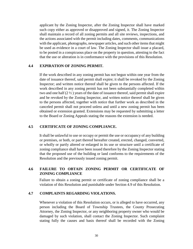applicant by the Zoning Inspector, after the Zoning Inspector shall have marked such copy either as approved or disapproved and signed, it. The Zoning Inspector shall maintain a record of all zoning permits and all site reviews, inspections, and the actions associated with the permit including dates, comments, communications with the applicant, photographs, newspaper articles, and such other items that might be used as evidence in a court of law. The Zoning Inspector shall issue a placard, to be posted in a conspicuous place on the property in question, attesting to the fact that the use or alteration is in conformance with the provisions of this Resolution.

#### **4.4 EXPIRATION OF ZONING PERMIT.**

If the work described in any zoning permit has not begun within one year from the date of issuance thereof, said permit shall expire; it shall be revoked by the Zoning Inspector; and written notice thereof shall be given to the persons affected. If the work described in any zoning permit has not been substantially completed within two and one half  $(2 \frac{1}{2})$  years of the date of issuance thereof, said permit shall expire and be revoked by the Zoning Inspector, and written notice thereof shall be given to the persons affected, together with notice that further work as described in the canceled permit shall not proceed unless and until a new zoning permit has been obtained or extension granted. Extensions may be requested by submitting a letter to the Board or Zoning Appeals stating the reasons the extension is needed.

#### **4.5 CERTIFICATE OF ZONING COMPLIANCE.**

It shall be unlawful to use or occupy or permit the use or occupancy of any building or premises, or both, or part thereof hereafter created, erected, changed, converted, or wholly or partly altered or enlarged in its use or structure until a certificate of zoning compliance shall have been issued therefore by the Zoning Inspector stating that the proposed use of the building or land conforms to the requirements of the Resolution and the previously issued zoning permit.

#### **4.6 FAILURE TO OBTAIN ZONING PERMIT OR CERTIFICATE OF ZONING COMPLIANCE**

Failure to obtain a zoning permit or certificate of zoning compliance shall be a violation of this Resolution and punishable under Section 4.9 of this Resolution.

#### **4.7 COMPLAINTS REGARDING VIOLATIONS.**

Whenever a violation of this Resolution occurs, or is alleged to have occurred, any person including the Board of Township Trustees, the County Prosecuting Attorney, the Zoning Inspector, or any neighboring property owner who would be damaged by such violation, shall contact the Zoning Inspector. Such complaint stating fully the causes and basis thereof shall be recorded with the Zoning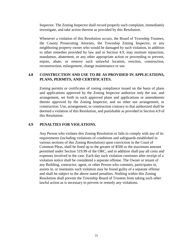Inspector. The Zoning Inspector shall record properly such complaint, immediately investigate, and take action thereon as provided by this Resolution.

Whenever a violation of this Resolution occurs, the Board of Township Trustees, the County Prosecuting Attorney, the Township Zoning Inspector, or any neighboring property owner who would be damaged by such violation, in addition to other remedies provided by law and in Section 4.9, may institute injunction, mandamus, abatement, or any other appropriate action or proceeding to prevent, enjoin, abate, or remove such unlawful location, erection, construction, reconstruction, enlargement, change maintenance or use.

## **4.8 CONSTRUCTION AND USE TO BE AS PROVIDED IN APPLICATIONS, PLANS, PERMITS, AND CERTIFICATES.**

Zoning permits or certificates of zoning compliance issued on the basis of plans and applications approved by the Zoning Inspector authorize only the use, and arrangement, set forth in such approved plans and applications or amendments thereto approved by the Zoning Inspector, and no other use arrangement, or construction. Use, arrangement, or construction contrary to that authorized shall be deemed a violation of this Resolution, and punishable as provided in Section 4.9 of this Resolution.

### **4.9 PENALTIES FOR VIOLATIONS.**

Any Person who violates this Zoning Resolution or fails to comply with any of its requirements (including violations of conditions and safeguards established in various sections of this Zoning Resolution) upon conviction in the Court of Common Pleas, shall be fined up to the greater of \$500 or the maximum amount permitted under Section [519.99 o](http://codes.ohio.gov/orc/519)f the ORC, and in addition shall pay all costs and expenses involved in the case. Each day such violation continues after receipt of a violation notice shall be considered a separate offense. The Owner or tenant of any Building, contractor, agent, or other Person who commits, participates in, assists in, or maintains such violation may be found guilty of a separate offense and shall be subject to the above stated penalties. Nothing within this Zoning Resolution shall prevent the Township Board of Trustees from taking such other lawful action as is necessary to prevent or remedy any violations.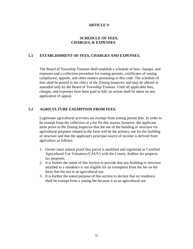## **ARTICLE V**

## **SCHEDULE OF FEES, CHARGES, & EXPENSES**

## **5.1 ESTABLISHMENT OF FEES, CHARGES AND EXPENSES.**

The Board of Township Trustees shall establish a schedule of fees, charges, and expenses and a collection procedure for zoning permits, certificates of zoning compliance, appeals, and other matters pertaining to this code. The schedule of fees shall be posted in the office of the Zoning Inspector and may be altered or amended only by the Board of Township Trustees. Until all applicable fees, charges, and expenses have been paid in full, no action shall be taken on any application of appeal.

### **5.2 AGRICULTURE EXEMPTION FROM FEES.**

Legitimate agricultural activities are exempt from zoning permit fees. In order to be exempt from the collection of a fee for this reason, however, the applicant must prove to the Zoning Inspector that the use of the building or structure for agricultural purposes related to the farm will be the primary use for the building or structure and that the applicant's principal source of income is derived from agriculture as follows:

- 1. Owner must submit proof that parcel is qualified and registered as Certified Agricultural Use Valuation (CAUV) with the County Auditor for property tax purposes.
- 2. It is further the intent of this section to provide that any building or structure attached to a residence is not eligible for an exemption from the fee on the basis that the use is an agricultural use.
- 3. It is further the stated purpose of this section to declare that no residence shall be exempt from a zoning fee because it as an agricultural use.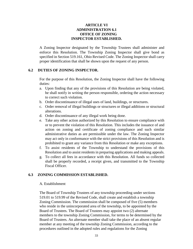## **ARTICLE VI ADMINISTRATION 6.1 OFFICE OF ZONING INSPECTOR ESTABLISHED.**

A Zoning Inspector designated by the Township Trustees shall administer and enforce this Resolution. The Township Zoning Inspector shall give bond as specified in Section [519.161,](http://codes.ohio.gov/orc/519) Ohio Revised Code. The Zoning Inspector shall carry proper identification that shall be shown upon the request of any person.

### **6.2 DUTIES OF ZONING INSPECTOR.**

For the purpose of this Resolution, the Zoning Inspector shall have the following duties:

- a. Upon finding that any of the provisions of this Resolution are being violated, he shall notify in writing the person responsible, ordering the action necessary to correct such violation.
- b. Order discontinuance of illegal uses of land, buildings, or structures.
- c. Order removal of illegal buildings or structures or illegal additions or structural alterations.
- d. Order discontinuance of any illegal work being done.
- e. Take any other action authorized by this Resolution to ensure compliance with or to prevent the violation of this Resolution. This includes the issuance of and action on zoning and certificate of zoning compliance and such similar administrative duties as are permissible under the law. The Zoning Inspector may act only in conformance with the strict provisions of this Resolution and is prohibited to grant any variance from this Resolution or make any exceptions.
- f. To assist residents of the Township to understand the provisions of this Resolution and to assist residents in preparing applications and making appeals.
- g. To collect all fees in accordance with this Resolution. All funds so collected shall be properly recorded, a receipt given, and transmitted to the Township Fiscal Officer.

### **6.3 ZONING COMMISSION ESTABLISHED.**

### A. Establishment

The Board of Township Trustees of any township proceeding under sections [519.01 to 519.99 o](http://codes.ohio.gov/orc/519)f the Revised Code, shall create and establish a township Zoning Commission. The commission shall be composed of five (5) members who reside in the unincorporated area of the township, to be appointed by the Board of Trustees. The Board of Trustees may appoint two (2) alternate members to the township Zoning Commission, for terms to be determined by the Board of Trustees. An alternate member shall take the place of an absent regular member at any meeting of the township Zoning Commission, according to the procedures outlined in the adopted rules and regulations for the Zoning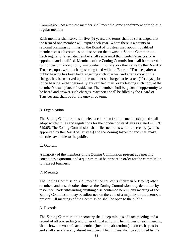Commission. An alternate member shall meet the same appointment criteria as a regular member.

Each member shall serve for five (5) years, and terms shall be so arranged that the term of one member will expire each year. Where there is a county or regional planning commission the Board of Trustees may appoint qualified members of such commission to serve on the township Zoning Commission. Each regular or alternate member shall serve until the member's successor is appointed and qualified. Members of the Zoning Commission shall be removable for nonperformance of duty, misconduct in office, or other cause by the Board of Trustees, upon written charges being filed with the Board of Trustees, after a public hearing has been held regarding such charges, and after a copy of the charges has been served upon the member so charged at least ten (10) days prior to the hearing, either personally, by certified mail, or by leaving such copy at the member's usual place of residence. The member shall be given an opportunity to be heard and answer such charges. Vacancies shall be filled by the Board of Trustees and shall be for the unexpired term.

### B. Organization

The Zoning Commission shall elect a chairman from its membership and shall adopt written rules and regulations for the conduct of its affairs as stated in ORC [519.05.](http://codes.ohio.gov/orc/519) The Zoning Commission shall file such rules with its secretary (who is appointed by the Board of Trustees) and the Zoning Inspector and shall make the rules available to the public.

### C. Quorum

A majority of the members of the Zoning Commission present at a meeting constitutes a quorum, and a quorum must be present in order for the commission to transact business.

### D. Meetings

The Zoning Commission shall meet at the call of its chairman or two (2) other members and at such other times as the Zoning Commission may determine by resolution. Notwithstanding anything else contained herein, any meeting of the Zoning Commission may be adjourned on the vote of a majority of the members present. All meetings of the Commission shall be open to the public.

### E. Records

The Zoning Commission's secretary shall keep minutes of each meeting and a record of all proceedings and other official actions. The minutes of each meeting shall show the vote of each member (including abstentions) upon each question and shall also show any absent members. The minutes shall be approved by the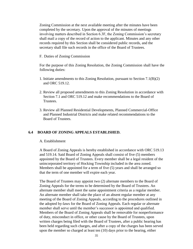Zoning Commission at the next available meeting after the minutes have been completed by the secretary. Upon the approval of the minutes of meetings involving matters described in Section 6.3F, the Zoning Commission's secretary shall mail a copy of the record of action to the applicant. Minutes and any other records required by this Section shall be considered public records, and the secretary shall file such records in the office of the Board of Trustees.

F. Duties of Zoning Commission

For the purpose of this Zoning Resolution, the Zoning Commission shall have the following duties:

- 1. Initiate amendments to this Zoning Resolution, pursuant to Section 7.1(B)(2) and [ORC 519.12.](http://codes.ohio.gov/orc/519)
- 2. Review all proposed amendments to this Zoning Resolution in accordance with Section 7.1 and [ORC 519.12 a](http://codes.ohio.gov/orc/519)nd make recommendations to the Board of Trustees.
- 3. Review all Planned Residential Developments, Planned Commercial-Office and Planned Industrial Districts and make related recommendations to the Board of Trustees.

### **6.4 BOARD OF ZONING APPEALS ESTABLISHED.**

#### A. Establishment

A Board of Zoning Appeals is hereby established in accordance with [ORC 519.13](http://codes.ohio.gov/orc/519)  and [519.14.](http://codes.ohio.gov/orc/519) Said Board of Zoning Appeals shall consist of five (5) members appointed by the Board of Trustees. Every member shall be a legal resident of the unincorporated territory of Hocking Township included in the area zoned. Members shall be appointed for a term of five (5) years and shall be arranged so that the term of one member will expire each year.

The Board of Trustees may appoint two (2) alternate members to the Board of Zoning Appeals for the terms to be determined by the Board of Trustees. An alternate member shall meet the same appointment criteria as a regular member. An alternate member shall take the place of an absent regular member at any meeting of the Board of Zoning Appeals, according to the procedures outlined in the adopted by-laws for the Board of Zoning Appeals. Each regular or alternate member shall serve until the member's successor is appointed and qualified. Members of the Board of Zoning Appeals shall be removable for nonperformance of duty, misconduct in office, or other cause by the Board of Trustees, upon written charges being filed with the Board of Trustees, after a public hearing has been held regarding such charges, and after a copy of the charges has been served upon the member so charged at least ten (10) days prior to the hearing, either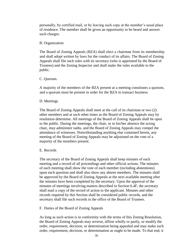personally, by certified mail, or by leaving such copy at the member's usual place of residence. The member shall be given an opportunity to be heard and answer such charges.

### B. Organization

The Board of Zoning Appeals (BZA) shall elect a chairman from its membership and shall adopt written by laws for the conduct of its affairs. The Board of Zoning Appeals shall file such rules with its secretary (who is appointed by the Board of Trustees) and the Zoning Inspector and shall make the rules available to the public.

### C. Quorum.

A majority of the members of the BZA present at a meeting constitutes a quorum, and a quorum must be present in order for the BZA to transact business.

### D. Meetings

The Board of Zoning Appeals shall meet at the call of its chairman or two (2) other members and at such other times as the Board of Zoning Appeals may by resolution determine. All meetings of the Board of Zoning Appeals shall be open to the public. During the meetings, the chair, or in his/her absence the acting chair, may administer oaths, and the Board of Zoning Appeals may compel the attendance of witnesses. Notwithstanding anything else contained herein, any meeting of the Board of Zoning Appeals may be adjourned on the vote of a majority of the members present.

### E. Records

The secretary of the Board of Zoning Appeals shall keep minutes of each meeting and a record of all proceedings and other official actions. The minutes of each meeting shall show the vote of each member (including abstentions) upon each question and shall also show any absent members. The minutes shall be approved by the Board of Zoning Appeals at the next available meeting after the minutes have been completed by the secretary. Upon the approval of the minutes of meetings involving matters described in Section 6.4F, the secretary shall mail a copy of the record of action to the applicant. Minutes and other records required by this Section shall be considered public records, and the secretary shall file such records in the office of the Board of Trustees.

### F. Duties of the Board of Zoning Appeals

As long as such action is in conformity with the terms of this Zoning Resolution, the Board of Zoning Appeals may reverse, affirm wholly or partly, or modify the order, requirement, decision, or determination being appealed and may make such order, requirement, decision, or determination as ought to be made. To that end, it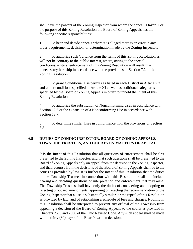shall have the powers of the Zoning Inspector from whom the appeal is taken. For the purpose of this Zoning Resolution the Board of Zoning Appeals has the following specific responsibilities:

1. To hear and decide appeals where it is alleged there is an error in any order, requirements, decision, or determination made by the Zoning Inspector.

2. To authorize such Variance from the terms of this Zoning Resolution as will not be contrary to the public interest, where, owing to the special conditions, a literal enforcement of this Zoning Resolution will result in an unnecessary hardship in accordance with the provisions of Section 7.2 of this Zoning Resolution.

3. To grant Conditional Use permits as listed in each District in Article 7.3 and under conditions specified in Article XI as well as additional safeguards specified by the Board of Zoning Appeals in order to uphold the intent of this Zoning Resolution.

4. To authorize the substitution of Nonconforming Uses in accordance with Section 12.6 or the expansion of a Nonconforming Use in accordance with Section 12.7.

5. To determine similar Uses in conformance with the provisions of Section 8.5

## **6.5 DUTIES OF ZONING INSPECTOR, BOARD OF ZONING APPEALS, TOWNSHIP TRUSTEES, AND COURTS ON MATTERS OF APPEAL.**

It is the intent of this Resolution that all questions of enforcement shall be first presented to the Zoning Inspector, and that such questions shall be presented to the Board of Zoning Appeals only on appeal from the decision to the Zoning Inspector, and that recourse from the decisions of the Board of Zoning Appeals shall be to the courts as provided by law. It is further the intent of this Resolution that the duties of the Township Trustees in connection with this Resolution shall not include hearing and deciding questions of interpretation and enforcement that may arise. The Township Trustees shall have only the duties of considering and adopting or rejecting proposed amendments, approving or rejecting the recommendation of the Zoning Inspector that a use is substantially similar, or the repeal of this Resolution as provided by law, and of establishing a schedule of fees and charges. Nothing in this Resolution shall be interpreted to prevent any official of the Township from appealing a decision of the Board of Zoning Appeals to the courts as provided in Chapters [2505 a](http://codes.ohio.gov/orc/2505)nd [2506 o](http://codes.ohio.gov/orc/2506)f the Ohio Revised Code. Any such appeal shall be made within thirty (30) days of the Board's written decision.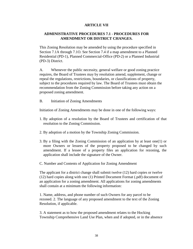## **ARTICLE VII**

## **ADMINISTRATIVE PROCEDURES 7.1 - PROCEDURES FOR AMENDMENT OR DISTRICT CHANGES.**

This Zoning Resolution may be amended by using the procedure specified in Section 7.1A through 7.1O. See Section 7.4 if a map amendment to a Planned Residential (PD-1), Planned Commercial-Office (PD-2) or a Planned Industrial (PD-3) District.

A. Whenever the public necessity, general welfare or good zoning practice requires, the Board of Trustees may by resolution amend, supplement, change or repeal the regulations, restrictions, boundaries, or classifications of property, subject to the procedures required by law. The Board of Trustees must obtain the recommendation from the Zoning Commission before taking any action on a proposed zoning amendment.

B. Initiation of Zoning Amendments

Initiation of Zoning Amendments may be done in one of the following ways:

- 1. By adoption of a resolution by the Board of Trustees and certification of that resolution to the Zoning Commission.
- 2. By adoption of a motion by the Township Zoning Commission.
- 3. By a filing with the Zoning Commission of an application by at least one(1) or more Owners or lessees of the property proposed to be changed by such amendment. If a lessee of a property files an application for rezoning, the application shall include the signature of the Owner.
- C. Number and Contents of Application for Zoning Amendment

The applicant for a district change shall submit twelve (12) hard copies or twelve (12) hard copies along with one (1) Printed Document Format (.pdf) document of an application for a zoning amendment. All applications for zoning amendments shall contain at a minimum the following information:

1. Name, address, and phone number of such Owners for any parcel to be rezoned. 2. The language of any proposed amendment to the text of the Zoning Resolution, if applicable.

3. A statement as to how the proposed amendment relates to the Hocking Township Comprehensive Land Use Plan, when and if adopted, or in the absence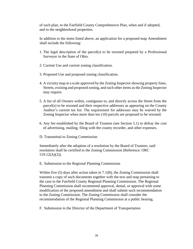of such plan, to the Fairfield County Comprehensive Plan, when and if adopted, and to the neighborhood properties.

In addition to the items listed above, an application for a proposed map Amendment shall include the following:

- 1. The legal description of the parcel(s) to be rezoned prepared by a Professional Surveyor in the State of Ohio.
- 2. Current Use and current zoning classification.
- 3. Proposed Use and proposed zoning classification.
- 4. A vicinity map at a scale approved by the Zoning Inspector showing property lines, Streets, existing and proposed zoning, and such other items as the Zoning Inspector may require.
- 5. A list of all Owners within, contiguous to, and directly across the Street from the parcel(s) to be rezoned and their respective addresses as appearing on the County Auditor's current tax list. The requirement for addresses may be waived by the Zoning Inspector when more than ten (10) parcels are proposed to be rezoned.
- 6. Any fee established by the Board of Trustees (see Section 5.1) to defray the cost of advertising, mailing, filing with the county recorder, and other expenses.
- D. Transmittal to Zoning Commission

Immediately after the adoption of a resolution by the Board of Trustees, said resolution shall be certified to the Zoning Commission (Reference: ORC [519.12\(A\)\(2\)\).](http://codes.ohio.gov/orc/519)

E. Submission to the Regional Planning Commission

Within five (5) days after action taken in 7.1(B), the Zoning Commission shall transmit a copy of such documents together with the text and map pertaining to the case to the Fairfield County Regional Planning Commission. The Regional Planning Commission shall recommend approval, denial, or approval with some modification of the proposed amendment and shall submit such recommendation to the Zoning Commission. The Zoning Commission shall consider the recommendation of the Regional Planning Commission at a public hearing.

F. Submission to the Director of the Department of Transportation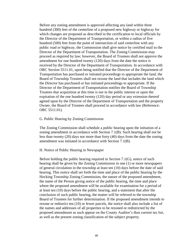Before any zoning amendment is approved affecting any land within three hundred (300) feet of the centerline of a proposed new highway or highway for which changes are proposed as described in the certification to local officials by the Director of the Department of Transportation, or within a radius of five hundred (500) feet from the point of intersection of said centerline with any public road or highway, the Commission shall give notice by certified mail to the Director of the Department of Transportation. The Zoning Commission may proceed as required by law; however, the Board of Trustees shall not approve the amendment for one hundred twenty (120) days from the date the notice is received by the Director of the Department of Transportation. In accordance with ORC [Section 5511.01,](http://codes.ohio.gov/orc/5511) upon being notified that the Director of the Department of Transportation has purchased or initiated proceedings to appropriate the land, the Board of Township Trustees shall not rezone the land that includes the land which the Director has purchased or has initiated proceedings to appropriate. If the Director of the Department of Transportation notifies the Board of Township Trustees that acquisition at this time is not in the public interest or upon the expiration of the one hundred twenty (120) day period or any extension thereof agreed upon by the Director of the Department of Transportation and the property Owner, the Board of Trustees shall proceed in accordance with law (Reference: [ORC 5511.01\).](http://codes.ohio.gov/orc/5511)

#### G. Public Hearing by Zoning Commission

The Zoning Commission shall schedule a public hearing upon the initiation of a zoning amendment in accordance with Section 7.1(B). Such hearing shall not be less than twenty (20) days nor more than forty (40) days from the date the zoning amendment was initiated in accordance with Section 7.1(B).

#### H. Notice of Public Hearing in Newspaper

Before holding the public hearing required in Section 7.1(G), notice of such hearing shall be given by the Zoning Commission in one (1) or more newspapers of general circulation in the township at least ten (10) days before the date of said hearing. This notice shall set forth the time and place of the public hearing by the Hocking Township Zoning Commission, the nature of the proposed amendment, the name of the Person giving notice of the public hearing, the time and place where the proposed amendment will be available for examination for a period of at least ten (10) days before the public hearing, and a statement that after the conclusion of such public hearing, the matter will be referred to the township Board of Trustees for further determination. If the proposed amendment intends to rezone or redistrict ten (10) or fewer parcels, the notice shall also include a list of the names and addresses of all properties to be rezoned or redistricted by the proposed amendment as such appear on the County Auditor's then current tax list, as well as the present zoning classification of the subject property.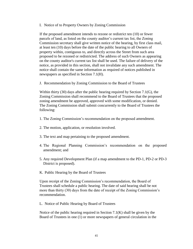I. Notice of to Property Owners by Zoning Commission

If the proposed amendment intends to rezone or redistrict ten (10) or fewer parcels of land, as listed on the county auditor's current tax list, the Zoning Commission secretary shall give written notice of the hearing, by first class mail, at least ten (10) days before the date of the public hearing to all Owners of property within, contiguous to, and directly across the Street from such area proposed to be rezoned or redistricted. The address of such Owners as appearing on the county auditor's current tax list shall be used. The failure of delivery of the notice, as provided in this section, shall not invalidate any such amendment. The notice shall contain the same information as required of notices published in newspapers as specified in Section 7.1(H).

J. Recommendation by Zoning Commission to the Board of Trustees

Within thirty (30) days after the public hearing required by Section 7.1(G), the Zoning Commission shall recommend to the Board of Trustees that the proposed zoning amendment be approved, approved with some modification, or denied. The Zoning Commission shall submit concurrently to the Board of Trustees the following:

- 1. The Zoning Commission's recommendation on the proposed amendment.
- 2. The motion, application, or resolution involved.
- 3. The text and map pertaining to the proposed amendment.
- 4. The Regional Planning Commission's recommendation on the proposed amendment; and
- 5. Any required Development Plan (if a map amendment to the PD-1, PD-2 or PD-3 District is proposed).
- K. Public Hearing by the Board of Trustees

Upon receipt of the Zoning Commission's recommendation, the Board of Trustees shall schedule a public hearing. The date of said hearing shall be not more than thirty (30) days from the date of receipt of the Zoning Commission's recommendation.

L. Notice of Public Hearing by Board of Trustees

Notice of the public hearing required in Section 7.1(K) shall be given by the Board of Trustees in one (1) or more newspapers of general circulation in the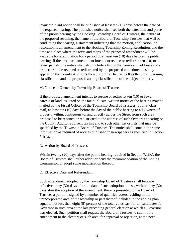township. Said notice shall be published at least ten (10) days before the date of the required hearing. The published notice shall set forth the date, time and place of the public hearing by the Hocking Township Board of Trustees, the nature of the proposed rezoning, the name of the Board of Township Trustees that will be conducting the hearing, a statement indicating that the motion, application, or resolution is an amendment to the Hocking Township Zoning Resolution, and the time and place where the texts and maps of the proposed amendment will be available for examination for a period of at least ten (10) days before the public hearing. If the proposed amendment intends to rezone or redistrict ten (10) or fewer parcels, the notice shall also include a list of the names and addresses of all properties to be rezoned or redistricted by the proposed amendment, as they appear on the County Auditor's then current tax list, as well as the present zoning classification and the proposed zoning classification of the subject property.

M. Notice to Owners by Township Board of Trustees

If the proposed amendment intends to rezone or redistrict ten (10) or fewer parcels of land, as listed on the tax duplicate, written notice of the hearing may be mailed by the Fiscal Officer of the Township Board of Trustees, by first class mail, at least ten (10) days before the day of the public hearing to all Owners of property within, contiguous to, and directly across the Street from such area proposed to be rezoned or redistricted to the address of such Owners appearing on the County Auditor's current tax list and to such other list or lists that may be specified by the Township Board of Trustees. The notice shall contain the same information as required of notices published in newspapers as specified in Section 7.1(L).

#### N. Action by Board of Trustees

Within twenty  $(20)$  days after the public hearing required in Section 7.1 $(K)$ , the Board of Trustees shall either adopt or deny the recommendation of the Zoning Commission or adopt some modification thereof.

#### O. Effective Date and Referendum

Such amendment adopted by the Township Board of Trustees shall become effective thirty (30) days after the date of such adoption unless, within thirty (30) days after the adoption of the amendment, there is presented to the Board of Trustees a petition, signed by a number of qualified voters residing in the unincorporated area of the township or part thereof included in the zoning plan equal to not less than eight (8) percent of the total votes cast for all candidates for Governor in such area at the last preceding general election at which a Governor was elected. Such petition shall request the Board of Trustees to submit the amendment to the electors of such area, for approval or rejection, at the next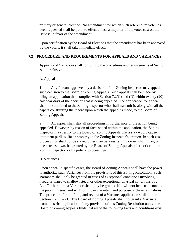primary or general election. No amendment for which such referendum vote has been requested shall be put into effect unless a majority of the votes cast on the issue is in favor of the amendment.

Upon certification by the Board of Elections that the amendment has been approved by the voters, it shall take immediate effect.

# **7.2 PROCEDURE AND REQUIREMENTS FOR APPEALS AND VARIANCES.**

Appeals and Variances shall conform to the procedures and requirements of Section  $A - J$  inclusive.

## A. Appeals

1. Any Person aggrieved by a decision of the Zoning Inspector may appeal such decision to the Board of Zoning Appeals. Such appeal shall be made by filing an application that complies with Section 7.2(C) and (D) within twenty (20) calendar days of the decision that is being appealed. The application for appeal shall be submitted to the Zoning Inspector who shall transmit it, along with all the papers constituting the record upon which the appeal is made, to the Board of Zoning Appeals.

2. An appeal shall stay all proceedings in furtherance of the action being appealed. However, by reason of facts stated within the application, the Zoning Inspector may certify to the Board of Zoning Appeals that a stay would cause imminent peril to life or property in the Zoning Inspector's opinion. In such case, proceedings shall not be stayed other than by a restraining order which may, on due cause shown, be granted by the Board of Zoning Appeals after notice to the Zoning Inspector, or by judicial proceedings.

## B. Variances

Upon appeal in specific cases, the Board of Zoning Appeals shall have the power to authorize such Variances from the provisions of this Zoning Resolution. Such Variances shall only be granted in cases of exceptional conditions involving irregular, narrow, shallow, steep, or other exceptional physical conditions of a Lot. Furthermore, a Variance shall only be granted if it will not be detrimental to the public interest and will not impair the intent and purpose of these regulations. The procedure for the filing and review of a Variance application shall follow Section  $7.2(C) - (J)$ . The Board of Zoning Appeals shall not grant a Variance from the strict application of any provision of this Zoning Resolution unless the Board of Zoning Appeals finds that all of the following facts and conditions exist: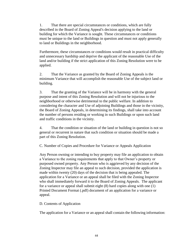1. That there are special circumstances or conditions, which are fully described in the Board of Zoning Appeal's decision applying to the land or building for which the Variance is sought. These circumstances or conditions must be unique to the land or Buildings in question and must not apply generally to land or Buildings in the neighborhood.

Furthermore, these circumstances or conditions would result in practical difficulty and unnecessary hardship and deprive the applicant of the reasonable Use of the land and/or building if the strict application of this Zoning Resolution were to be applied.

2. That the Variance as granted by the Board of Zoning Appeals is the minimum Variance that will accomplish the reasonable Use of the subject land or building.

3. That the granting of the Variance will be in harmony with the general purpose and intent of this Zoning Resolution and will not be injurious to the neighborhood or otherwise detrimental to the public welfare. In addition to considering the character and Use of adjoining Buildings and those in the vicinity, the Board of Zoning Appeals, in determining its findings, shall take into account the number of persons residing or working in such Buildings or upon such land and traffic conditions in the vicinity.

4. That the condition or situation of the land or building in question is not so general or recurrent in nature that such condition or situation should be made a part of this Zoning Resolution.

C. Number of Copies and Procedure for Variance or Appeals Application

Any Person owning or intending to buy property may file an application to obtain a Variance to the zoning requirements that apply to that Owner's property or purposed owned property. Any Person who is aggrieved by any decision of the Zoning Inspector may file an appeal to such decision, provided the application is made within twenty (20) days of the decision that is being appealed. The application for a Variance or an appeal shall be filed with the Zoning Inspector who shall immediately forward it to the Board of Zoning Appeals. The applicant for a variance or appeal shall submit eight (8) hard copies along with one (1) Printed Document Format (.pdf) document of an application for a variance or appeal.

### D. Contents of Application

The application for a Variance or an appeal shall contain the following information: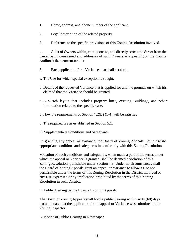- 1. Name, address, and phone number of the applicant.
- 2. Legal description of the related property.
- 3. Reference to the specific provisions of this Zoning Resolution involved.

4. A list of Owners within, contiguous to, and directly across the Street from the parcel being considered and addresses of such Owners as appearing on the County Auditor's then current tax list.

- 5. Each application for a Variance also shall set forth:
- a. The Use for which special exception is sought.
- b. Details of the requested Variance that is applied for and the grounds on which itis claimed that the Variance should be granted.
- c. A sketch layout that includes property lines, existing Buildings, and other information related to the specific case.
- d. How the requirements of Section 7.2(B) (1-4) will be satisfied.
- 6. The required fee as established in Section 5.1.
- E. Supplementary Conditions and Safeguards

In granting any appeal or Variance, the Board of Zoning Appeals may prescribe appropriate conditions and safeguards in conformity with this Zoning Resolution.

Violation of such conditions and safeguards, when made a part of the terms under which the appeal or Variance is granted, shall be deemed a violation of this Zoning Resolution, punishable under Section 4.9. Under no circumstances shall the Board of Zoning Appeals grant an appeal or Variance to allow a Use not permissible under the terms of this Zoning Resolution in the District involved or any Use expressed or by implication prohibited by the terms of this Zoning Resolution in such District.

F. Public Hearing by the Board of Zoning Appeals

The Board of Zoning Appeals shall hold a public hearing within sixty (60) days from the date that the application for an appeal or Variance was submitted to the Zoning Inspector.

G. Notice of Public Hearing in Newspaper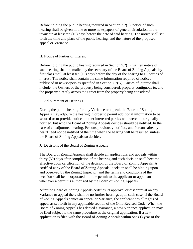Before holding the public hearing required in Section 7.2(F), notice of such hearing shall be given in one or more newspapers of general circulation in the township at least ten (10) days before the date of said hearing. The notice shall set forth the time and place of the public hearing, and the nature of the proposed appeal or Variance.

### H. Notice of Parties of Interest

Before holding the public hearing required in Section 7.2(F), written notice of such hearing shall be mailed by the secretary of the Board of Zoning Appeals, by first class mail, at least ten (10) days before the day of the hearing to all parties of interest. The notice shall contain the same information required of notices published in newspapers as specified in Section 7.2(G). Parties of interest shall include, the Owners of the property being considered, property contiguous to, and the property directly across the Street from the property being considered.

### I. Adjournment of Hearings

During the public hearing for any Variance or appeal, the Board of Zoning Appeals may adjourn the hearing in order to permit additional information to be secured or to provide notice to other interested parties who were not originally notified, but who the Board of Zoning Appeals decides should be notified. In the case of an adjourned hearing, Persons previously notified, and Persons already heard need not be notified of the time when the hearing will be resumed, unless the Board of Zoning Appeals so decides.

### J. Decisions of the Board of Zoning Appeals

The Board of Zoning Appeals shall decide all applications and appeals within thirty (30) days after completion of the hearing and such decision shall become effective upon certification of the decision of the Board of Zoning Appeals. A certified copy of the Board of Zoning Appeals' decision shall be binding upon and observed by the Zoning Inspector, and the terms and conditions of the decision shall be incorporated into the permit to the applicant or appellant whenever a permit is authorized by the Board of Zoning Appeals.

After the Board of Zoning Appeals certifies its approval or disapproval on any Variance or appeal there shall be no further hearings upon such case. If the Board of Zoning Appeals denies an appeal or Variance, the applicant has all rights of appeal as set forth in any applicable section of the Ohio Revised Code. When the Board of Zoning Appeals has denied a Variance, a new Variance application may be filed subject to the same procedure as the original application. If a new application is filed with the Board of Zoning Appeals within one (1) year of the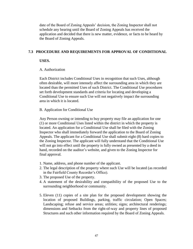date of the Board of Zoning Appeals' decision, the Zoning Inspector shall not schedule any hearing until the Board of Zoning Appeals has received the application and decided that there is new matter, evidence, or facts to be heard by the Board of Zoning Appeals.

### **7.3 PROCEDURE AND REQUIREMENTS FOR APPROVAL OF CONDITIONAL**

### **USES.**

### A. Authorization

Each District includes Conditional Uses in recognition that such Uses, although often desirable, will more intensely affect the surrounding area in which they are located than the permitted Uses of such District. The Conditional Use procedures set forth development standards and criteria for locating and developing a Conditional Use to ensure such Use will not negatively impact the surrounding area in which it is located.

### B. Application for Conditional Use

Any Person owning or intending to buy property may file an application for one (1) or more Conditional Uses listed within the district in which the property is located. An application for a Conditional Use shall be filed with the Zoning Inspector who shall immediately forward the application to the Board of Zoning Appeals. The applicant for a Conditional Use shall submit eight (8) hard copies to the Zoning Inspector. The applicant will fully understand that the Conditional Use will not go into effect until the property is fully owned as presented by a deed in hand, recorded on the auditor's website, and given to the Zoning Inspector for final approval.

- 1. Name, address, and phone number of the applicant.
- 2. The legal description of the property where such Use will be located (as recorded in the Fairfield County Recorder's Office).
- 3. The proposed Use of the property.
- 4. A statement of the desirability and compatibility of the proposed Use to the surrounding neighborhood or community.
- 5. Eleven (11) copies of a site plan for the proposed development showing the location of proposed Buildings, parking, traffic circulation; Open Spaces; Landscaping; refuse and service areas; utilities; signs; architectural renderings; dimensions and Setbacks from the right-of-way and property lines of proposed Structures and such other information required by the Board of Zoning Appeals.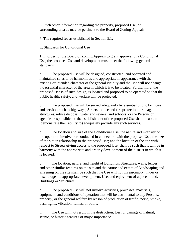6. Such other information regarding the property, proposed Use, or surrounding area as may be pertinent to the Board of Zoning Appeals.

7. The required fee as established in Section 5.1.

C. Standards for Conditional Use

1. In order for the Board of Zoning Appeals to grant approval of a Conditional Use, the proposed Use and development must meet the following general standards:

a. The proposed Use will be designed, constructed, and operated and maintained so as to be harmonious and appropriate in appearance with the existing or intended character of the general vicinity and the Use will not change the essential character of the area in which it is to be located. Furthermore, the proposed Use is of such design, is located and proposed to be operated so that the public health, safety, and welfare will be protected.

b. The proposed Use will be served adequately by essential public facilities and services such as highways, Streets, police and fire protection, drainage structures, refuse disposal, water and sewers, and schools; or the Persons or agencies responsible for the establishment of the proposed Use shall be able to (demonstrate their ability to) adequately provide any such services.

c. The location and size of the Conditional Use, the nature and intensity of the operation involved or conducted in connection with the proposed Use; the size of the site in relationship to the proposed Use; and the location of the site with respect to Streets giving access to the proposed Use, shall be such that it will be in harmony with the appropriate and orderly development of the district in which it is located.

d. The location, nature, and height of Buildings, Structures, walls, fences, and other similar features on the site and the nature and extent of Landscaping and screening on the site shall be such that the Use will not unreasonably hinder or discourage the appropriate development, Use, and enjoyment of adjacent land, Buildings or Structures.

e. The proposed Use will not involve activities, processes, materials, equipment, and conditions of operation that will be detrimental to any Persons, property, or the general welfare by reason of production of traffic, noise, smoke, dust, lights, vibration, fumes, or odors.

f. The Use will not result in the destruction, loss, or damage of natural, scenic, or historic features of major importance.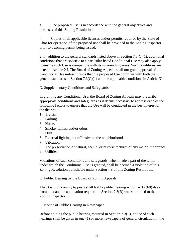g. The proposed Use is in accordance with the general objectives and purposes of this Zoning Resolution.

h. Copies of all applicable licenses and/or permits required by the State of Ohio for operation of the proposed use shall be provided to the Zoning Inspector prior to a zoning permit being issued.

2. In addition to the general standards listed above in Section  $7.3(C)(1)$ , additional conditions that are specific to a particular listed Conditional Use may also apply to ensure such Use is compatible with its surrounding areas. Such conditions are listed in Article XI. The Board of Zoning Appeals shall not grant approval of a Conditional Use unless it finds that the proposed Use complies with both the general standards in Section 7.3(C)(1) and the applicable conditions in Article XI.

D. Supplementary Conditions and Safeguards

In granting any Conditional Use, the Board of Zoning Appeals may prescribe appropriate conditions and safeguards as it deems necessary to address each of the following factors to ensure that the Use will be conducted in the best interest of the district:

- 1. Traffic.
- 2. Parking.
- 3. Noise.
- 4. Smoke, fumes, and/or odors.
- 5. Dust.
- 6. External lighting not offensive to the neighborhood.
- 7. Vibration.
- 8. The preservation of natural, scenic, or historic features of any major importance.
- 9. Utilities.

Violations of such conditions and safeguards, when made a part of the terms under which the Conditional Use is granted, shall be deemed a violation of this Zoning Resolution punishable under Section 4.9 of this Zoning Resolution.

E. Public Hearing by the Board of Zoning Appeals

The Board of Zoning Appeals shall hold a public hearing within sixty (60) days from the date the application required in Section 7.3(B) was submitted to the Zoning Inspector.

F. Notice of Public Hearing in Newspaper.

Before holding the public hearing required in Section 7.3(E), notice of such hearings shall be given in one (1) or more newspapers of general circulation in the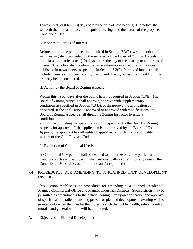Township at least ten (10) days before the date of said hearing. The notice shall set forth the time and place of the public hearing, and the nature of the proposed Conditional Use.

### G. Notices to Parties of Interest

Before holding the public hearing required in Section 7.3(E), written notice of such hearing shall be mailed by the secretary of the Board of Zoning Appeals, by first class mail, at least ten (10) days before the day of the hearing to all parties of interest. The notice shall contain the same information as required of notices published in newspapers as specified in Section 7.3(F). Parties of interest shall include Owners of property contiguous to and directly across the Street from the property being considered.

### H. Action by the Board of Zoning Appeals

Within thirty (30) days after the public hearing required in Section 7.3(E), The Board of Zoning Appeals shall approve, approve with supplementary conditions as specified in Section 7.3(D), or disapprove the application as presented. If the application is approved or approved with modifications, the Board of Zoning Appeals shall direct the Zoning Inspector to issue a conditional

Zoning Permit listing the specific conditions specified by the Board of Zoning Appeals for approval. If the application is disapproved by the Board of Zoning Appeals, the applicant has all rights of appeal as set forth in any applicable section of the Ohio Revised Code.

I. Expiration of Conditional Use Permit

A Conditional Use permit shall be deemed to authorize only one particular Conditional Use and said permit shall automatically expire, if for any reason, the Conditional Use shall cease for more than six (6) months.

## 7.4 PROCEDURES FOR AMENDING TO A PLANNED UNIT DEVELOPMENT DISTRICT.

This Section establishes the procedures for amending to a Planned Residential, Planned Commercial-Office and Planned Industrial Districts. Such districts may be permitted as amendments to the official zoning map upon application and approval of specific and detailed plans. Approval for planned development rezoning will be granted only when the plan for the project is such that public health, safety, comfort, morals, and general welfare will be promoted.

A. Objectives of Planned Development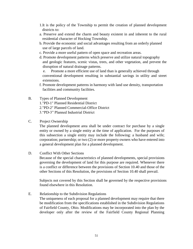- 1.It is the policy of the Township to permit the creation of planned development districts to:
- a. Preserve and extend the charm and beauty existent in and inherent to the rural residential character of Hocking Township.
- b. Provide the economic and social advantages resulting from an orderly planned use of large parcels of land.
- c. Provide a more useful pattern of open space and recreation areas.
- d. Promote development patterns which preserve and utilize natural topography and geologic features, scenic vistas, trees, and other vegetation, and prevent the disruption of natural drainage patterns.

e. Promote a more efficient use of land than is generally achieved through conventional development resulting in substantial savings in utility and street extensions.

- f. Promote development patterns in harmony with land use density, transportation facilities and community facilities.
- B. Types of Planned Development 1."PD-1" Planned Residential District 2."PD-2" Planned Commercial-Office District 3."PD-3" Planned Industrial District
- C. Project Ownership

The planned development area shall be under contract for purchase by a single entity or owned by a single entity at the time of application. For the purposes of this subsection a single entity may include the following: a husband and wife; corporation; partnership; or two (2) or more property owners who have entered into a general development plan for a planned development.

D. Conflict With Other Sections

Because of the special characteristics of planned developments, special provisions governing the development of land for this purpose are required. Whenever there is a conflict or difference between the provisions of Section 10.40 and those of the other Sections of this Resolution, the provisions of Section 10.40 shall prevail.

Subjects not covered by this Section shall be governed by the respective provisions found elsewhere in this Resolution.

E. Relationship to the Subdivision Regulations

The uniqueness of each proposal for a planned development may require that there be modification from the specifications established in the Subdivision Regulations of Fairfield County, Ohio. Modifications may be incorporated into the plan by the developer only after the review of the Fairfield County Regional Planning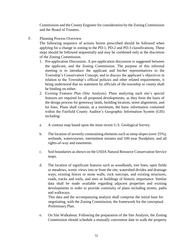Commission and the County Engineer for consideration by the Zoning Commission and the Board of Trustees.

F. Planning Process Overview

The following sequence of actions herein prescribed should be followed when applying for a change in zoning to the PD-1, PD-2 and PD-3 classifications. These steps should be followed sequentially and may be combined only at the discretion of the Zoning Commission.

- 1. Pre-application Discussion. A pre-application discussion is suggested between the applicant, and the Zoning Commission. The purpose of this informal meeting is to introduce the applicant and his/her representatives to the Township's Conservation Concept, and to discuss the applicant's objectives in relation to the Township's official policies and other related requirements, it being understood that no statement by officials of the township or county shall be binding on either.
- 2. Existing Features Plan (Site Analysis). Plans analyzing each site's special features are required for all proposed developments, as they form the basis of the design process for greenway lands, building location, street alignments, and lot lines. Plans shall contain, at a minimum, the basic information contained within the Fairfield County Auditor's Geographic Information System (GIS) including:
- a. A contour map based upon the most recent U.S. Geological Survey.
- b. The location of severely constraining elements such as steep slopes (over 25%), wetlands, watercourses, intermittent streams and 100-year floodplain, and all rights-of-way and easements.
- c. Soil boundaries as shown on the USDA Natural Resource Conservation Service maps.
- d. The location of significant features such as woodlands, tree lines, open fields or meadows, scenic views into or from the site, watershed divides and drainage ways, existing fences or stone walls, rock outcrops, and existing structures, roads, tracks and trails, and sites or buildings of historic importance. Similar data shall be made available regarding adjacent properties and existing developments in order to provide continuity of plans including streets, paths and walkways.

This data and the accompanying analysis shall comprise the initial base for negotiating, with the Zoning Commission, the framework for the conceptual Preliminary Plan.

e. On Site Walkabout. Following the preparation of the Site Analysis, the Zoning Commission should schedule a mutually convenient date to walk the property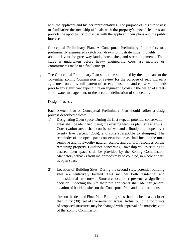with the applicant and his/her representatives. The purpose of this site visit is to familiarize the township officials with the property's special features and provide the opportunity to discuss with the applicant their plans and the public interests.

- f. Conceptual Preliminary Plan. A Conceptual Preliminary Plan refers to a preliminarily engineered sketch plan drawn to illustrate initial thoughts about a layout for greenway lands, house sites, and street alignments. This stage is undertaken before heavy engineering costs are incurred or commitments made to a final concept.
- g. The Conceptual Preliminary Plan should be submitted by the applicant to the Township Zoning Commission for review for the purpose of securing early agreement on an overall pattern of streets, house lots and conservation lands prior to any significant expenditure on engineering costs in the design of streets, storm water management, or the accurate delineation of site details.
- h. Design Process.
- i. Each Sketch Plan or Conceptual Preliminary Plan should follow a design process described below:
	- 1) Designating Open Space. During the first step, all potential conservation areas shall be identified, using the existing features plan (site analysis). Conservation areas shall consist of wetlands, floodplain, slopes over twenty five percent (25%), and soils susceptible to slumping. The remainder of the open space conservation areas shall include the most sensitive and noteworthy natural, scenic, and cultural resources on the remaining property. Guidance concerning Township values relating to desired open space shall be provided by the Zoning Commission. Mandatory setbacks from major roads may be counted, in whole or part, as open space.
	- 2) Location of Building Sites. During the second step, potential building sites are tentatively located. This includes both residential and nonresidential structures. Structure location represents a significant decision impacting the site therefore applicants shall identify general location of building sites on the Conceptual Plan and proposed house

sites on the detailed Final Plan. Building sites shall not be located closer than thirty (30) feet of Conservation Areas. Actual building footprints of proposed structures may be changed with approval of a majority vote of the Zoning Commission.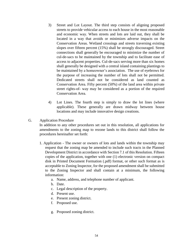- 3) Street and Lot Layout. The third step consists of aligning proposed streets to provide vehicular access to each house in the most reasonable and economic way. When streets and lots are laid out, they shall be located in a way that avoids or minimizes adverse impacts on the Conservation Areas. Wetland crossings and streets traversing existing slopes over fifteen percent (15%) shall be strongly discouraged. Street connections shall generally be encouraged to minimize the number of cul-de-sacs to be maintained by the township and to facilitate ease of access to adjacent properties. Cul-de-sacs serving more than six homes shall generally be designed with a central island containing plantings to be maintained by a homeowner's association. The use of eyebrows for the purpose of increasing the number of lots shall not be permitted. Dedicated streets shall not be considered as land counted as Conservation Area. Fifty percent (50%) of the land area within private street rights-of- way may be considered as a portion of the required Conservation Area.
- 4) Lot Lines. The fourth step is simply to draw the lot lines (where applicable). These generally are drawn midway between house locations and may include innovative design creations.
- G. Application Procedure

In addition to any other procedures set out in this resolution, all applications for amendments to the zoning map to rezone lands to this district shall follow the procedures hereinafter set forth:

- 1. Application The owner or owners of lots and lands within the township may request that the zoning map be amended to include such tracts in the Planned Development District in accordance with Section 7.1 of this Resolution. Fifteen copies of the application, together with one (1) electronic version on compact disk in Printed Document Formation (.pdf) format, or other such format as is acceptable to Zoning Inspector, for the proposed amendment shall be submitted to the Zoning Inspector and shall contain at a minimum, the following information:
	- a. Name, address, and telephone number of applicant.
	- b. Date.
	- c. Legal description of the property.
	- d. Present use.
	- e. Present zoning district.
	- f. Proposed use.
	- g. Proposed zoning district.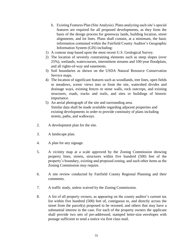- h. Existing Features Plan (Site Analysis). Plans analyzing each site's special features are required for all proposed developments, as they form the basis of the design process for greenway lands, building location, street alignments, and lot lines. Plans shall contain, at a minimum, the basic information contained within the Fairfield County Auditor's Geographic Information System (GIS) including:
- 1) A contour map based upon the most recent U.S. Geological Survey.
- 2) The location of severely constraining elements such as steep slopes (over 25%), wetlands, watercourses, intermittent streams and 100-year floodplain, and all rights-of-way and easements.
- 3) Soil boundaries as shown on the USDA Natural Resource Conservation Service maps.
- 4) The location of significant features such as woodlands, tree lines, open fields or meadows, scenic views into or from the site, watershed divides and drainage ways, existing fences or stone walls, rock outcrops, and existing structures, roads, tracks and trails, and sites or buildings of historic importance.
- 5) An aerial photograph of the site and surrounding area. Similar data shall be made available regarding adjacent properties and existing developments in order to provide continuity of plans including streets, paths, and walkways.
- 2. A development plan for the site.
- 3. A landscape plan.
- 4. A plan for any signage.
- 5. A vicinity map at a scale approved by the Zoning Commission showing property lines, streets, structures within five hundred (500) feet of the property's boundary, existing and proposed zoning, and such other items as the Zoning Commission may require.
- 6. A site review conducted by Fairfield County Regional Planning and their comments.
- 7. A traffic study, unless waived by the Zoning Commission.
- 8. A list of all property owners, as appearing on the county auditor's current tax list within five hundred (500) feet of, contiguous to, and directly across the street from the parcel(s) proposed to be rezoned, and others that may have a substantial interest in the case. For each of the property owners the applicant shall provide two sets of pre-addressed, stamped letter-size envelopes with postage sufficient to send a notice via first class mail.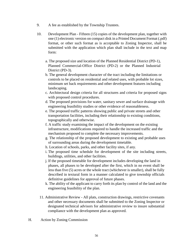- 9. A fee as established by the Township Trustees.
- 10. Development Plan Fifteen (15) copies of the development plan, together with one (1) electronic version on compact disk in a Printed Document Format (.pdf) format, or other such format as is acceptable to Zoning Inspector, shall be submitted with the application which plan shall include in the text and map form:
	- a. The proposed size and location of the Planned Residential District (PD-1), Planned Commercial-Office District (PD-2) or the Planned Industrial District (PD-3).
	- b. The general development character of the tract including the limitations or controls to be placed on residential and related uses, with probable lot sizes, minimum set back requirements and other development features including landscaping.
	- c. Architectural design criteria for all structures and criteria for proposed signs with proposed control procedures.
	- d. The proposed provisions for water, sanitary sewer and surface drainage with engineering feasibility studies or other evidence of reasonableness.
	- e. The proposed traffic patterns showing public and private streets and other transportation facilities, including their relationship to existing conditions, topographically and otherwise.
	- f. A traffic study examining the impact of the development on the existing infrastructure, modifications required to handle the increased traffic and the mechanism proposed to complete the necessary improvements.
	- g. The relationship of the proposed development to existing and probable uses of surrounding areas during the development timetable.
	- h. Location of schools, parks, and other facility sites, if any.
	- i. The proposed time schedule for development of the site including streets, buildings, utilities, and other facilities.
	- j. If the proposed timetable for development includes developing the land in phases, all phases to be developed after the first, which in no event shall be less than five (5) acres or the whole tract (whichever is smaller), shall be fully described in textural form in a manner calculated to give township officials definitive guidelines for approval of future phases.
	- k. The ability of the applicant to carry forth its plan by control of the land and the engineering feasibility of the plan.
	- 11. Administrative Review All plats, construction drawings, restrictive covenants and other necessary documents shall be submitted to the Zoning Inspector or designated technical advisors for administrative review to insure substantial compliance with the development plan as approved.
- H. Action by Zoning Commission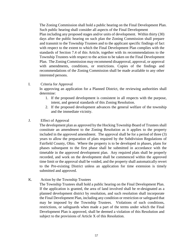The Zoning Commission shall hold a public hearing on the Final Development Plan. Such public hearing shall consider all aspects of the Final Development Plan including any proposed stages and/or units of development. Within thirty (30) days after the public hearing on such plan the Zoning Commission shall prepare and transmit to the Township Trustees and to the applicant specific findings of fact with respect to the extent to which the Final Development Plan complies with the standards of Section 7.4 of this Article, together with its recommendations to the Township Trustees with respect to the action to be taken on the Final Development Plan. The Zoning Commission may recommend disapproval, approval, or approval with amendments, conditions, or restrictions. Copies of the findings and recommendations of the Zoning Commission shall be made available to any other interested persons.

I. Criteria for Approval

In approving an application for a Planned District, the reviewing authorities shall determine:

- 1. If the proposed development is consistent in all respects with the purpose, intent, and general standards of this Zoning Resolution.
- 2. If the proposed development advances the general welfare of the township and the immediate vicinity.
- J. Effect of Approval

The development plan as approved by the Hocking Township Board of Trustees shall constitute an amendment to the Zoning Resolution as it applies to the property included in the approved amendment. The approval shall be for a period of three (3) years to allow the preparation of plats required by the Subdivision Regulations of Fairfield County, Ohio. Where the property is to be developed in phases, plans for phases subsequent to the first phase shall be submitted in accordance with the timetable in the approved development plan. Any required plats shall be properly recorded, and work on the development shall be commenced within the approved time limit or the approval shall be voided, and the property shall automatically revert to the Pre-existing District unless an application for time extension is timely submitted and approved.

K. Action by the Township Trustees

The Township Trustees shall hold a public hearing on the Final Development Plan. If the application is granted, the area of land involved shall be re-designated as a planned development district by resolution, and such resolution shall incorporate the Final Development Plan, including any condition or restriction or safeguard that may be imposed by the Township Trustees. Violations of such conditions, restrictions, or safeguards when made a part of the terms under which the Final Development Plan is approved, shall be deemed a violation of this Resolution and subject to the provisions of Article X of this Resolution.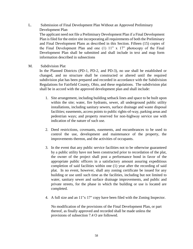## L. Submission of Final Development Plan Without an Approved Preliminary Development Plan

The applicant need not file a Preliminary Development Plan if a Final Development Plan is filed for the entire site incorporating all requirements of both the Preliminary and Final Development Plans as described in this Section. Fifteen (15) copies of the Final Development Plan and one (1) 11" x 17" photocopy of the Final Development Plan shall be submitted and shall include in text and map form information described in subsections

## M. Subdivision Plat

In the Planned Districts (PD-1, PD-2, and PD-3), no use shall be established or changed, and no structure shall be constructed or altered until the required subdivision plat has been prepared and recorded in accordance with the Subdivision Regulations for Fairfield County, Ohio, and these regulations. The subdivision plat shall be in accord with the approved development plan and shall include:

- 1. Site arrangement, including building setback lines and space to be built upon within the site; water, fire hydrants, sewer, all underground public utility installations, including sanitary sewers, surface drainage and waste disposal facilities; easements, access points to public rights-of-way, parking areas and pedestrian ways; and property reserved for non-highway service use with indication of the nature of such use.
- 2. Deed restrictions, covenants, easements, and encumbrances to be used to control the use, development and maintenance of the property, the improvements thereon, and the activities of occupants.
- 3. In the event that any public service facilities not to be otherwise guaranteed by a public utility have not been constructed prior to recordation of the plat, the owner of the project shall post a performance bond in favor of the appropriate public officers in a satisfactory amount assuring expeditious completion of said facilities within one (1) year after the recording of said plat. In no event, however, shall any zoning certificate be issued for any building or use until such time as the facilities, including but not limited to water, sanitary sewer and surface drainage improvements, and public and private streets, for the phase in which the building or use is located are completed.
- 4. A full size and an 11"x 17" copy have been filed with the Zoning Inspector.

No modification of the provisions of the Final Development Plan, or part thereof, as finally approved and recorded shall be made unless the provisions of subsection 7.4 O are followed.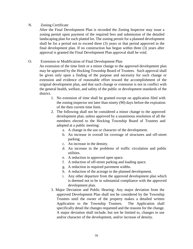## N. Zoning Certificate

After the Final Development Plan is recorded the Zoning Inspector may issue a zoning permit upon payment of the required fees and submission of the detailed landscaping plan for each platted lot. The zoning permit for a planned development shall be for a period not to exceed three (3) years or that period approved in the final development plan. If no construction has begun within three (3) years after approval is granted the Final Development Plan approval shall be void.

## O. Extension or Modification of Final Development Plan

An extension of the time limit or a minor change to the approved development plan may be approved by the Hocking Township Board of Trustees. Such approval shall be given only upon a finding of the purpose and necessity for such change or extension and evidence of reasonable effort toward the accomplishment of the original development plan, and that such change or extension is not in conflict with the general health, welfare, and safety of the public or development standards of the district.

- 1. No extension of time shall be granted except on application filed with the zoning inspector not later than ninety (90) days before the expiration of the then current time limit.
- 2. The following shall not be considered a minor change to the approved development plan, unless approved by a unanimous resolution of all the members elected to the Hocking Township Board of Trustees and adopted at a public meeting:
	- a. A change in the use or character of the development.
	- b. An increase in overall lot coverage of structures and off-street parking.
	- c. An increase in the density.
	- d. An increase in the problems of traffic circulation and public utilities.
	- e. A reduction in approved open space.
	- f. A reduction of off-street parking and loading space.
	- g. A reduction in required pavement widths.
	- h. A reduction of the acreage in the planned development.
	- i. Any other departure from the approved development plan which is deemed not to be in substantial compliance with the approved development plan.
- 3. Major Deviation and Public Hearing: Any major deviation from the approved Development Plan shall not be considered by the Township Trustees until the owner of the property makes a detailed written Application to the Township Trustees. The Application shall specifically detail the changes requested and the reasons for the change. A major deviation shall include, but not be limited to, changes in use and/or character of the development, and/or increase of density.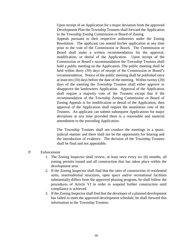Upon receipt of an Application for a major deviation from the approved Development Plan the Township Trustees shall forward the Application to the Township Zoning Commission or Board of Zoning

Appeals pursuant to their respective authorities under the Zoning Resolution. The applicant can amend his/her application at any time prior to the vote of the Commission or Board. The Commission or Board shall make a written recommendation for the approval, modification, or denial of the Application. Upon receipt of the Commission or Board's recommendation the Township Trustees shall hold a public meeting on the Application. The public meeting shall be held within thirty (30) days of receipt of the Commission or Board's recommendation. Notice of the public meeting shall be published once at least ten (10) days before the date of the meeting. Within twenty (20) days of the meeting the Township Trustees shall either approve or disapprove the landowners Application. Approval of the Application shall require a majority vote of the Trustees except that if the recommendation of the Township Zoning Commission or Board of Zoning Appeals is for modification or denial of the Application, then approval of the Application shall require the unanimous vote of the Trustees. An applicant can submit subsequent Applications for major deviations at any time provided there is a reasonable and material amendment to the preceding Application.

The Township Trustees shall not conduct the meetings in a quasijudicial manner and there shall not be the opportunity for hearing and the introduction of evidence. The decision of the Township Trustees shall be final and not appealable.

### P. Enforcement

- 1. The Zoning Inspector shall review, at least once every six (6) months, all zoning permits issued and all construction that has taken place within the development area.
- 2. If the Zoning Inspector shall find that the ratio of construction of residential units, nonresidential structures, open space and/or recreational facilities substantially differs from the approved phasing program, he shall follow the procedures of Article VI in order to suspend further construction until compliance is achieved.
- 3. If the Zoning Inspector shall find that the developer of a planned development has failed to meet the approved development schedule, he shall forward this information to the Township Trustees.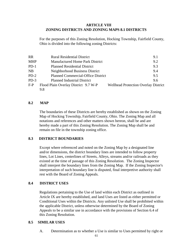## **ARTICLE VIII ZONING DISTRICTS AND ZONING MAPS 8.1 DISTRICTS**

For the purposes of this Zoning Resolution, Hocking Township, Fairfield County, Ohio is divided into the following zoning Districts:

| <b>RR</b> | <b>Rural Residential District</b>         | 9.1                                         |
|-----------|-------------------------------------------|---------------------------------------------|
| MHP       | <b>Manufactured Home Park District</b>    | 9.2                                         |
| $PD-1$    | <b>Planned Residential District</b>       | 9.3                                         |
| NB        | Neighborhood Business District            | 9.4                                         |
| $PD-2$    | <b>Planned Commercial-Office District</b> | 9.5                                         |
| $PD-3$    | <b>Planned Industrial District</b>        | 9.6                                         |
| F-P       | Flood Plain Overlay District 9.7 W-P      | <b>Wellhead Protection Overlay District</b> |
|           | 9.8                                       |                                             |

## **8.2 MAP**

The boundaries of these Districts are hereby established as shown on the Zoning Map of Hocking Township, Fairfield County, Ohio. The Zoning Map and all notations and references and other matters shown hereon, shall be and are hereby made a part of this Zoning Resolution. The Zoning Map shall be and remain on file in the township zoning office.

## **8.3 DISTRICT BOUNDARIES**

Except where referenced and noted on the Zoning Map by a designated line and/or dimensions, the district boundary lines are intended to follow property lines, Lot Lines, centerlines of Streets, Alleys, streams and/or railroads as they existed at the time of passage of this Zoning Resolution. The Zoning Inspector shall interpret the boundary lines from the Zoning Map. If the Zoning Inspector's interpretation of such boundary line is disputed, final interpretive authority shall rest with the Board of Zoning Appeals.

## **8.4 DISTRICT USES**

Regulations pertaining to the Use of land within each District as outlined in Article IX are hereby established, and land Uses are listed as either permitted or Conditional Uses within the Districts. Any unlisted Use shall be prohibited within the applicable District, unless otherwise determined by the Board of Zoning Appeals to be a similar use in accordance with the provisions of Section 6.4 of this Zoning Resolution.

## **8.5 SIMILAR USES**

A. Determination as to whether a Use is similar to Uses permitted by right or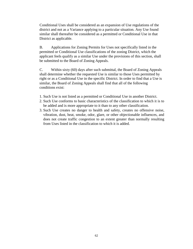Conditional Uses shall be considered as an expansion of Use regulations of the district and not as a Variance applying to a particular situation. Any Use found similar shall thereafter be considered as a permitted or Conditional Use in that District as applicable.

B. Applications for Zoning Permits for Uses not specifically listed in the permitted or Conditional Use classifications of the zoning District, which the applicant feels qualify as a similar Use under the provisions of this section, shall be submitted to the Board of Zoning Appeals.

C. Within sixty (60) days after such submittal, the Board of Zoning Appeals shall determine whether the requested Use is similar to those Uses permitted by right or as a Conditional Use in the specific District. In order to find that a Use is similar, the Board of Zoning Appeals shall find that all of the following conditions exist:

- 1. Such Use is not listed as a permitted or Conditional Use in another District.
- 2. Such Use conforms to basic characteristics of the classification to which it is to be added and is more appropriate to it than to any other classification.
- 3. Such Use creates no danger to health and safety, creates no offensive noise, vibration, dust, heat, smoke, odor, glare, or other objectionable influences, and does not create traffic congestion to an extent greater than normally resulting from Uses listed in the classification to which it is added.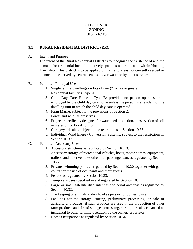# **SECTION IX ZONING DISTRICTS**

## **9.1 RURAL RESIDENTIAL DISTRICT (RR).**

## A. Intent and Purpose

The intent of the Rural Residential District is to recognize the existence of and the demand for residential lots of a relatively spacious nature located within Hocking Township. This district is to be applied primarily to areas not currently served or planned to be served by central sewers and/or water or by other services.

- B. Permitted Principal Uses
	- 1. Single family dwellings on lots of two (2) acres or greater.
	- 2. Residential facilities Type A.
	- 3. Child Day Care Home Type B; provided no person operates or is employed by the child day care home unless the person is a resident of the dwelling unit in which the child day care is operated.
	- 4. Farm Market subject to the provisions of Section 2.4.
	- 5. Forest and wildlife preserves.
	- 6. Projects specifically designed for watershed protection, conservation of soil or water or for flood control.
	- 7. Garage/yard sales, subject to the restrictions in Section 10.36.
	- 8. Individual Wind Energy Conversion Systems, subject to the restrictions in Section 10.37.
- C. Permitted Accessory Uses
	- 1. Accessory structures as regulated by Section 10.13.
	- 2. Accessory storage of recreational vehicles, boats, motor homes, equipment, trailers, and other vehicles other than passenger cars as regulated by Section 10.22.
	- 3. Private swimming pools as regulated by Section 10.20 together with game courts for the use of occupants and their guests.
	- 4. Fences as regulated by Section 10.33.
	- 5. Temporary uses specified in and regulated by Section 10.17.
	- 6. Large or small satellite dish antennas and aerial antennas as regulated by Section 10.32.
	- 7. The keeping of animals and/or fowl as pets or for domestic use.
	- 8. Facilities for the storage, sorting, preliminary processing, or sale of agricultural products, if such products are used in the production of other farm products and if said storage, processing, sorting, or sales is carried as incidental to other farming operation by the owner/ proprietor.
	- 9. Home Occupations as regulated by Section 10.34.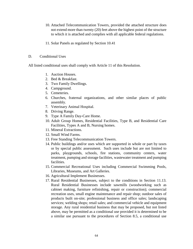- 10. Attached Telecommunication Towers, provided the attached structure does not extend more than twenty (20) feet above the highest point of the structure to which it is attached and complies with all applicable federal regulations.
- 11. Solar Panels as regulated by Section 10.41

#### D. Conditional Uses

All listed conditional uses shall comply with Article 11 of this Resolution.

- 1. Auction Houses.
- 2. Bed & Breakfast.
- 3. Two Family Dwellings.
- 4. Campground.
- 5. Cemeteries.
- 6. Churches, fraternal organizations, and other similar places of public assembly.
- 7. Veterinary Animal Hospital.
- 8. Driving Range.
- 9. Type A Family Day-Care Home.
- 10. Adult Group Homes, Residential Facilities, Type B, and Residential Care Facilities, Types A and B, Nursing homes.
- 11. Mineral Extractions.
- 12. Small Wind Farms.
- 13. Free Standing Telecommunication Towers.
- 14. Public buildings and/or uses which are supported in whole or part by taxes or by special public assessment. Such uses include but are not limited to parks, playgrounds, schools, fire stations, community centers, water treatment, pumping and storage facilities, wastewater treatment and pumping facilities.
- 15. Commercial Recreational Uses including Commercial Swimming Pools, Libraries, Museums, and Art Galleries.
- 16. Agricultural Implement Businesses.
- 17. Rural Residential Businesses, subject to the conditions in Section 11.13. Rural Residential Businesses include sawmills (woodworking such as cabinet making, furniture refinishing, repair or construction); commercial recreation uses, small engine maintenance and repair shop; outdoor sales of products built on-site; professional business and office sales; landscaping services; welding shops; retail sales; and commercial vehicle and equipment storage. Any rural residential business that may be proposed, but not listed above, may be permitted as a conditional use provided it is determined to be a similar use pursuant to the procedures of Section 8.5, a conditional use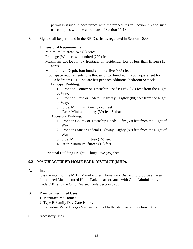permit is issued in accordance with the procedures in Section 7.3 and such use complies with the conditions of Section 11.13.

- E. Signs shall be permitted in the RR District as regulated in Section 10.38.
- F. Dimensional Requirements

Minimum lot area: two (2) acres

Frontage (Width): two hundred (200) feet

Maximum Lot Depth: 5x frontage, on residential lots of less than fifteen (15) acres

Minimum Lot Depth: four hundred thirty-five (435) feet

Floor space requirements: one thousand two hundred (1,200) square feet for

1-3 bedrooms + 150 square feet per each additional bedroom Setback.

Principal Building:

1. Front on County or Township Roads: Fifty (50) feet from the Right of Way.

2. Front on State or Federal Highway: Eighty (80) feet from the Right of Way.

- 3. Side, Minimum: twenty (20) feet
- 4. Rear, Minimum: thirty (30) feet Setback.

## Accessory Building:

- 1. Front on County or Township Roads: Fifty (50) feet from the Right of Way.
- 2. Front on State or Federal Highway: Eighty (80) feet from the Right of Way.
- 3. Side, Minimum: fifteen (15) feet
- 4. Rear, Minimum: fifteen (15) feet

Principal Building Height - Thirty-Five (35) feet

## **9.2 MANUFACTURED HOME PARK DISTRICT (MHP).**

A. Intent.

It is the intent of the MHP, Manufactured Home Park District, to provide an area for planned Manufactured Home Parks in accordance with Ohio Administrative Code [3701](http://codes.ohio.gov/oac/3701) and the Ohio Revised Code Section [3733.](http://codes.ohio.gov/orc/3733)

### B. Principal Permitted Uses.

- 1. Manufactured Homes
- 2. Type B Family Day-Care Home.
- 3. Individual Wind Energy Systems, subject to the standards in Section 10.37.
- C. Accessory Uses.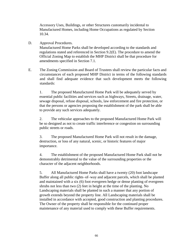Accessory Uses, Buildings, or other Structures customarily incidental to Manufactured Homes, including Home Occupations as regulated by Section 10.34.

D. Approval Procedures.

Manufactured Home Parks shall be developed according to the standards and regulations stated and referenced in Section 9.2(E). The procedure to amend the Official Zoning Map to establish the MHP District shall be that procedure for amendments specified in Section 7.1.

E. The Zoning Commission and Board of Trustees shall review the particular facts and circumstances of each proposed MHP District in terms of the following standards and shall find adequate evidence that such development meets the following standards:

1. The proposed Manufactured Home Park will be adequately served by essential public facilities and services such as highways, Streets, drainage, water, sewage disposal, refuse disposal, schools, law enforcement and fire protection, or that the persons or agencies proposing the establishment of the park shall be able to provide any such services adequately.

2. The vehicular approaches to the proposed Manufactured Home Park will be so designed as not to create traffic interference or congestion on surrounding public streets or roads.

3. The proposed Manufactured Home Park will not result in the damage, destruction, or loss of any natural, scenic, or historic features of major importance.

4. The establishment of the proposed Manufactured Home Park shall not be demonstrably detrimental to the value of the surrounding properties or the character of the adjacent neighborhoods.

5. All Manufactured Home Parks shall have a twenty (20) foot landscape Buffer along all public rights–of–way and adjacent parcels, which shall be planted and maintained with a six (6) foot evergreen hedge or dense planting of evergreen shrubs not less than two (2) feet in height at the time of the planting. No Landscaping materials shall be planted in such a manner that any portion of growth extends beyond the property line. All Landscaping materials shall be installed in accordance with accepted, good construction and planting procedures. The Owner of the property shall be responsible for the continued proper maintenance of any material used to comply with these Buffer requirements.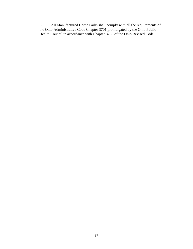6. All Manufactured Home Parks shall comply with all the requirements of the Ohio Administrative Code Chapter [3701 p](http://codes.ohio.gov/oac/3701)romulgated by the Ohio Public Health Council in accordance with Chapter [3733](http://codes.ohio.gov/orc/3733) of the Ohio Revised Code.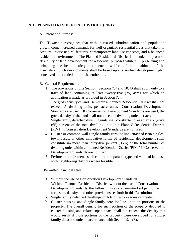## **9.3 PLANNED RESIDENTIAL DISTRICT (PD-1).**

#### A. Intent and Purpose

The Township recognizes that with increased suburbanization and population growth come increased demands for well-organized residential areas that take into account unique natural features, contemporary land use concepts, and a balanced residential environment. The Planned Residential District is intended to promote flexibility of land development for residential purposes while still preserving and enhancing the health, safety, and general welfare of the inhabitants of the Township. Such developments shall be based upon a unified development plan conceived and carried out for the entire site.

- B. General Requirements
	- 1. The provisions of this Section, Sections 7.4 and 10.40 shall apply only to a tract of land containing at least twenty-five (25) acres for which an application is made as provided in Section 7.4.
	- 2. The gross density of land use within a Planned Residential District shall not exceed .5 dwelling units per acre unless Conservation Development Standards are used. If Conservation Development Standards are used, the gross density of the land shall not exceed 1 dwelling units per acre.
	- 3. Single family detached dwelling units shall constitute no less than sixty-five (65) percent of the total dwelling units in a Planned Residential District (PD-1) if Conservation Development Standards are not used.
	- 4. Cluster or common wall Single-family zero lot line, attached twin singles, townhouses, or other innovative forms of residential development shall constitute no more than thirty-five percent (35%) of the total number of dwelling units within a Planned Residential District (PD-1) if Conservation Development Standards are not used.
	- 5. Perimeter requirements shall call for comparable type and value of land use with neighboring districts where feasible.
- C. Permitted Principal Uses
	- 1. Without the use of Conservation Development Standards Within a Planned Residential District, without the use of Conservation Development Standards, the following uses are permitted subject to the area, size, density, and other provisions set forth in this Resolution.
	- a. Single family detached dwellings on lots of two (2) acres or greater.
	- b. Cluster housing and Single-family zero lot line units on portions of the property. The overall density for such portion of the property devoted to cluster housing and related open space shall not exceed the density that would result if those portions of the property were developed for singlefamily detached units in accordance with Section 9.1 (B).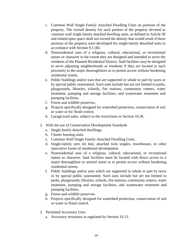- c. Common Wall Single Family Attached Dwelling Units on portions of the property. The overall density for such portion of the property devoted to common wall single family attached dwelling units, as defined in Article III and related open space shall not exceed the density that would result if those portions of the property were developed for single-family detached units in accordance with Section 9.1 (B).
- d. Nonresidential uses of a religious, cultural, educational, or recreational nature or character to the extent they are designed and intended to serve the residents of the Planned Residential District. Said facilities may be designed to serve adjoining neighborhoods or residents if they are located in such proximity to the major thoroughfares as to permit access without burdening residential streets.
- e. Public buildings and/or uses that are supported in whole or part by taxes or by special public assessment. Such uses include but are not limited to parks, playgrounds, libraries, schools, fire stations, community centers, water treatment, pumping and storage facilities, and wastewater treatment and pumping facilities.
- f. Forest and wildlife preserves.
- g. Projects specifically designed for watershed protection, conservation of soil or water or for flood control.
- h. Garage/yard sales, subject to the restrictions in Section 10.36.
- 2. With the use of Conservation Development Standards
	- a. Single family detached dwellings.
	- b. Cluster housing units.
	- c. Common Wall Single Family Attached Dwelling Units.
	- d. Single-family zero lot line, attached twin singles, townhouses, or other innovative forms of residential development.
	- e. Nonresidential uses of a religious, cultural, educational, or recreational nature or character. Said facilities must be located with direct access to a major thoroughfare or arterial street as to permit access without burdening residential streets.
	- f. Public buildings and/or uses which are supported in whole or part by taxes or by special public assessment. Such uses include but are not limited to parks, playgrounds, libraries, schools, fire stations, community centers, water treatment, pumping and storage facilities, and wastewater treatment and pumping facilities.
	- g. Forest and wildlife preserves.
	- h. Projects specifically designed for watershed protection, conservation of soil or water or flood control.
- 3. Permitted Accessory Uses
	- a. Accessory structures as regulated by Section 10.13.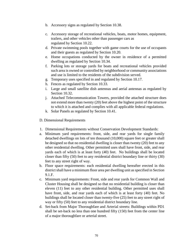- b. Accessory signs as regulated by Section 10.38.
- c. Accessory storage of recreational vehicles, boats, motor homes, equipment, trailers, and other vehicles other than passenger cars as regulated by Section 10.22.
- d. Private swimming pools together with game courts for the use of occupants and their guests as regulated by Section 10.20.
- e. Home occupations conducted by the owner in residence of a permitted dwelling as regulated by Section 10.34.
- f. Parking lots or storage yards for boats and recreational vehicles provided such area is owned or controlled by neighborhood or community associations and use is limited to the residents of the subdivision served.
- g. Temporary uses specified in and regulated by Section 10.17.
- h. Fences as regulated by Section 10.33.
- i. Large and small satellite dish antennas and aerial antennas as regulated by Section 10.32.
- j. Attached Telecommunication Towers, provided the attached structure does not extend more than twenty (20) feet above the highest point of the structure to which it is attached and complies with all applicable federal regulations.
- k. Solar Panels as regulated by Section 10.41.
- D. Dimensional Requirements
- 1. Dimensional Requirements without Conservation Development Standards:
- a. Minimum yard requirements: front, side, and rear yards for single family detached dwellings on lots of ten thousand (10,000) square feet or greater shall be designed so that no residential dwelling is closer than twenty (20) feet to any other residential dwelling. Other permitted uses shall have front, side, and rear yards each of which is at least forty (40) feet. No buildings shall be located closer than fifty (50) feet to any residential district boundary line or thirty (30) feet to any street right of way.
- b. Floor space requirements: each residential dwelling hereafter erected in this district shall have a minimum floor area per dwelling unit as specified in Section 9.1.F.
- c. Minimum yard requirements: Front, side and rear yards for Common Wall and Cluster Housing shall be designed so that no residential building is closer than eleven (11) feet to any other residential building. Other permitted uses shall have front, side, and rear yards each of which is at least forty (40) feet. No buildings shall be located closer than twenty-five (25) feet to any street right of way or fifty (50) feet to any residential district boundary line.
- d. Set-back from Major Thoroughfare and Arterial streets: Buildings within PD1 shall be set-back no less than one hundred fifty (150) feet from the center line of a major thoroughfare or arterial street.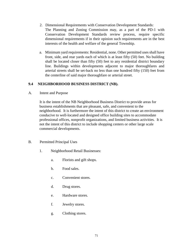- 2. Dimensional Requirements with Conservation Development Standards: The Planning and Zoning Commission may, as a part of the PD-1 with Conservation Development Standards review process, require specific dimensional requirements if in their opinion such requirements are in the best interests of the health and welfare of the general Township.
- a. Minimum yard requirements: Residential, none. Other permitted uses shall have front, side, and rear yards each of which is at least fifty (50) feet. No building shall be located closer than fifty (50) feet to any residential district boundary line. Buildings within developments adjacent to major thoroughfares and arterial streets shall be set-back no less than one hundred fifty (150) feet from the centerline of said major thoroughfare or arterial street.

## **9.4 NEIGHBORHOOD BUSINESS DISTRICT (NB).**

A. Intent and Purpose

It is the intent of the NB Neighborhood Business District to provide areas for business establishments that are pleasant, safe, and convenient to the neighborhood. It is furthermore the intent of this district to create an environment conducive to well-located and designed office building sites to accommodate professional offices, nonprofit organizations, and limited business activities. It is not the intent of this district to include shopping centers or other large scale commercial developments.

- B. Permitted Principal Uses
	- 1. Neighborhood Retail Businesses:
		- a. Florists and gift shops.
		- b. Food sales.
		- c. Convenient stores.
		- d. Drug stores.
		- e. Hardware stores.
		- f. Jewelry stores.
		- g. Clothing stores.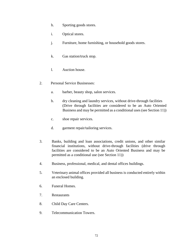- h. Sporting goods stores.
- i. Optical stores.
- j. Furniture, home furnishing, or household goods stores.
- k. Gas station/truck stop.
- l. Auction house.
- 2. Personal Service Businesses:
	- a. barber, beauty shop, salon services.
	- b. dry cleaning and laundry services, without drive-through facilities (Drive through facilities are considered to be an Auto Oriented Business and may be permitted as a conditional uses (see Section 11))
	- c. shoe repair services.
	- d. garment repair/tailoring services.
- 3. Banks, building and loan associations, credit unions, and other similar financial institutions, without drive-through facilities (drive through facilities are considered to be an Auto Oriented Business and may be permitted as a conditional use (see Section 11))
- 4. Business, professional, medical, and dental offices buildings.
- 5. Veterinary animal offices provided all business is conducted entirely within an enclosed building.
- 6. Funeral Homes.
- 7. Restaurants
- 8. Child Day Care Centers.
- 9. Telecommunication Towers.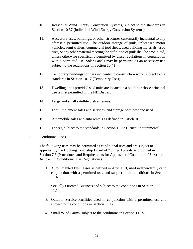- 10. Individual Wind Energy Conversion Systems, subject to the standards in Section 10.37 (Individual Wind Energy Conversion Systems)
- 11. Accessory uses, buildings, or other structures customarily incidental to any aforesaid permitted use. The outdoor storage of junk, unlicensed motor vehicles, semi-trailers, commercial tool sheds, used building materials, used tires, or any other material meeting the definition of junk shall be prohibited, unless otherwise specifically permitted by these regulations in conjunction with a permitted use. Solar Panels may be permitted as an accessory use subject to the regulations in Section 10.41
- 12. Temporary buildings for uses incidental to construction work, subject to the standards in Section 10.17 (Temporary Uses).
- 13. Dwelling units provided said units are located in a building whose principal use is first permitted in the NB District.
- 14. Large and small satellite dish antennas.
- 15. Farm implement sales and services, and storage both new and used.
- 16. Automobile sales and auto rentals as defined in Article III.
- 17. Fences, subject to the standards in Section 10.33 (Fence Requirements).
- C. Conditional Uses.

The following uses may be permitted as conditional uses and are subject to approval by the Hocking Township Board of Zoning Appeals as provided in Section 7.3 (Procedures and Requirements for Approval of Conditional Uses) and Article 11 (Conditional Use Regulations).

- 1. Auto Oriented Businesses as defined in Article III, used independently or in conjunction with a permitted use, and subject to the conditions in Section 11.4.
- 2. Sexually Oriented Business and subject to the conditions in Section 11.14.
- 3. Outdoor Service Facilities used in conjunction with a permitted use and subject to the conditions in Section 11.12.
- 4. Small Wind Farms, subject to the conditions in Section 11.15.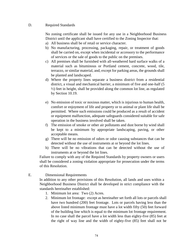## D. Required Standards

No zoning certificate shall be issued for any use in a Neighborhood Business District until the applicant shall have certified to the Zoning Inspector that:

- a) All business shall be of retail or service character.
- b) No manufacturing, processing, packaging, repair, or treatment of goods shall be carried on, except when incidental or accessory to the performance of services or the sale of goods to the public on the premises.
- c) All premises shall be furnished with all-weathered hard surface walks of a material such as bituminous or Portland cement, concrete, wood, tile, terrazzo, or similar material, and, except for parking areas, the grounds shall be planted and landscaped.
- d) Where the property lines separate a business district from a residential district, a visual and mechanical barrier, a minimum of five and one-half (5 ½) feet in height, shall be provided along the common lot line, as regulated by Section 10.19.
- e) No emission of toxic or noxious matter, which is injurious to human health, comfort or enjoyment of life and property or to animal or plant life shall be permitted. Where such emissions could be produced as a result of accident or equipment malfunction, adequate safeguards considered suitable for safe operation in the business involved shall be taken.
- f) The emission of smoke or other air pollutants and dust borne by wind shall be kept to a minimum by appropriate landscaping, paving, or other acceptable means.
- g) There will be no emission of odors or odor causing substances that can be detected without the use of instruments at or beyond the lot lines.
- h) There will be no vibrations that can be detected without the use of instruments at or beyond the lot lines.

Failure to comply with any of the Required Standards by property owners or users shall be considered a zoning violation appropriate for prosecution under the terms of this Resolution.

## E. Dimensional Requirements

In addition to any other provisions of this Resolution, all lands and uses within a Neighborhood Business District shall be developed in strict compliance with the standards hereinafter established:

- 1. Minimum lot area: Two (2) Acres.
- 2. Minimum lot frontage: except as hereinafter set forth all lots or parcels shall have two hundred (200) feet frontage. Lots or parcels having less than the above listed minimum frontage must have a lot width fifty (50) feet forward of the building line which is equal to the minimum lot frontage requirement. In no case shall the parcel have a lot width less than eighty-five (85) feet at the right of way line and the width of eighty-five (85) feet shall not be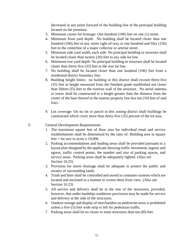decreased at any point forward of the building line of the principal building located on the premises.

- 3. Minimum corner lot frontage: One hundred (100) feet on one (1) street.
- 4. Minimum front yard depth: No building shall be located closer than one hundred (100) feet to any street right-of-way or one hundred and fifty (150) feet to the centerline of a major collector or arterial street.
- 5. Minimum side yard width, each side: No principal building or structure shall be located closer than twenty (20) feet to any side lot line.
- 6. Minimum rear yard depth: No principal building or structure shall be located closer than thirty-five (35) feet to the rear lot line.
- 7. No building shall be located closer than one hundred (100) feet from a residential district boundary line.
- 8. Building height limits: no building in this district shall exceed thirty-five (35) feet in height measured from the finished grade established not closer than fifteen (l5) feet to the exterior wall of the structure. No aerial antenna or tower shall be constructed to a height greater than the distance from the center of the base thereof to the nearest property line less ten (10) feet of said tract.
- 9. Lot coverage: On no lot or parcel in this zoning district shall buildings be constructed which cover more than thirty-five (35) percent of the lot area.

#### F. General Development Requirements

- 1. The maximum square feet of floor area for individual retail and service establishments shall be determined by the ratio of: Building area in square  $f$ eet = lot size in acres x 10,000.
- 2. Parking accommodations and loading areas shall be provided pursuant to a layout plan designed by the applicant showing traffic movement, ingress and egress, traffic control points, the number and size of parking spaces, and service areas. Parking areas shall be adequately lighted. (Also see Section 10.25)
- 3. Provision for storm drainage shall be adequate to protect the public and owners of surrounding lands.
- 4. Trash and litter shall be controlled and stored in container systems which are located and enclosed in a manner to screen them from view. (Also see Section 10.23)
- 5. All service and delivery shall be at the rear of the structures; provided, however, that under hardship conditions provisions may be made for service and delivery at the side of the structures.
- 6. Outdoor storage and display of merchandise on pedestrian areas is prohibited unless a five (5) foot wide strip is left for pedestrian traffic.
- 7. Parking areas shall be no closer to main structures than ten (l0) feet.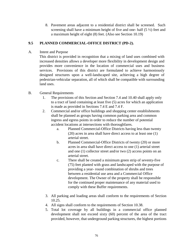8. Pavement areas adjacent to a residential district shall be screened. Such screening shall have a minimum height of five and one- half  $(5 \frac{1}{2})$  feet and a maximum height of eight (8) feet. (Also see Section 10.19)

## **9.5 PLANNED COMMERCIAL-OFFICE DISTRICT (PD-2).**

A. Intent and Purpose

This district is provided in recognition that a mixing of land uses combined with increased densities allows a developer more flexibility in development design and provides more convenience in the location of commercial uses and business services. Provisions of this district are formulated to achieve harmoniously designed structures upon a well-landscaped site, achieving a high degree of pedestrian-vehicular separation, all of which shall be compatible with surrounding land uses.

## B. General Requirements

- 1. The provisions of this Section and Section 7.4 and 10.40 shall apply only to a tract of land containing at least five (5) acres for which an application is made as provided in Sections 7.4 E and 7.4 F.
- 2. Commercial and/or office buildings and shopping center establishments shall be planned as groups having common parking area and common ingress and egress points in order to reduce the number of potential accident locations at intersections with thoroughfares.
	- a. Planned Commercial-Office Districts having less than twenty (20) acres in area shall have direct access to at least one (1) arterial street.
	- b. Planned Commercial-Office Districts of twenty (20) or more acres in area shall have direct access to one (1) arterial street and one (1) collector street and/or two (2) access points on an arterial street.
	- c. There shall be created a minimum green strip of seventy-five (75) feet planted with grass and landscaped with the purpose of providing a year- round combination of shrubs and trees between a residential use area and a Commercial Office development. The Owner of the property shall be responsible for the continued proper maintenance of any material used to comply with these Buffer requirements.
	- 3. All parking and loading areas shall conform to the requirements of Section 10.25.
	- 4. All signs shall conform to the requirements of Section 10.38.
	- 5. Total lot coverage by all buildings in a commercial office planned development shall not exceed sixty (60) percent of the area of the tract provided, however, that underground parking structures, the highest portions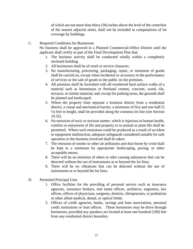of which are not more than thirty (30) inches above the level of the centerline of the nearest adjacent street, shall not be included in computations of lot coverage by buildings.

C. Required Conditions for Businesses

No business shall be approved in a Planned Commercial-Office District until the applicant shall certify as part of the Final Development Plan that:

- 1. The business activity shall be conducted wholly within a completely enclosed building.
- 2. All businesses shall be of retail or service character.
- 3. No manufacturing, processing, packaging, repair, or treatment of goods shall be carried on, except when incidental or accessory to the performance of services or the sale of goods to the public on the premises.
- 4. All premises shall be furnished with all-weathered hard surface walks of a material such as bituminous or Portland cement, concrete, wood, tile, terrazzo, or similar material, and, except for parking areas, the grounds shall be planted and landscaped.
- 5. Where the property lines separate a business district from a residential district, a visual and mechanical barrier, a minimum of five and one-half (5 ½) feet in height, shall be provided along the common lot line (see Section 10.33).
- 6. No emission of toxic or noxious matter, which is injurious to human health, comfort or enjoyment of life and property or to animal or plant life shall be permitted. Where such emissions could be produced as a result of accident or equipment malfunction, adequate safeguards considered suitable for safe operation in the business involved shall be taken.
- 7. The emission of smoke or other air pollutants and dust borne by wind shall be kept to a minimum by appropriate landscaping, paving, or other acceptable means.
- 8. There will be no emission of odors or odor causing substances that can be detected without the use of instruments at or beyond the lot lines.
- 9. There will be no vibrations that can be detected without the use of instruments at or beyond the lot lines.
- D. Permitted Principal Uses
	- 1. Office facilities for the providing of personal service such as insurance agencies, insurance brokers, real estate offices, architects, engineers, law offices, offices of physicians, surgeons, dentists, chiropractors, or podiatrists or other allied medical, dental, or optical fields.
	- 2. Offices of credit agencies, banks, savings and loan associations, personal credit institutions or loan offices. These businesses may be drive through businesses, provided any speakers are located at least one hundred (100) feet from any residential district boundary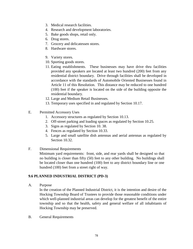- 3. Medical research facilities.
- 4. Research and development laboratories.
- 5. Bake goods shops, retail only.
- 6. Drug stores.
- 7. Grocery and delicatessen stores.
- 8. Hardware stores.
- 9. Variety stores.
- 10. Sporting goods stores.
- 11. Eating establishments. These businesses may have drive thru facilities provided any speakers are located at least two hundred (200) feet from any residential district boundary. Drive through facilities shall be developed in accordance with the standards of Automobile Oriented Businesses found in Article 11 of this Resolution. This distance may be reduced to one hundred (100) feet if the speaker is located on the side of the building opposite the residential boundary.
- 12. Large and Medium Retail Businesses.
- 13. Temporary uses specified in and regulated by Section 10.17.
- E. Permitted Accessory Uses
	- 1. Accessory structures as regulated by Section 10.13.
	- 2. Off-street parking and loading spaces as regulated by Section 10.25.
	- 3. Signs as regulated by Section 10. 38.
	- 4. Fences as regulated by Section 10.33.
	- 5. Large and small satellite dish antennas and aerial antennas as regulated by Section 10.32.
- F. Dimensional Requirements

Minimum yard requirements: front, side, and rear yards shall be designed so that no building is closer than fifty (50) feet to any other building. No buildings shall be located closer than one hundred (100) feet to any district boundary line or one hundred (100) feet from a street right of way.

## **9.6 PLANNED INDUSTRIAL DISTRICT (PD-3)**

A. Purpose

In the creation of the Planned Industrial District, it is the intention and desire of the Hocking Township Board of Trustees to provide those reasonable conditions under which well-planned industrial areas can develop for the greatest benefit of the entire township and so that the health, safety and general welfare of all inhabitants of Hocking Township may be preserved.

B. General Requirements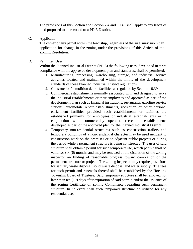The provisions of this Section and Section 7.4 and 10.40 shall apply to any tracts of land proposed to be rezoned to a PD-3 District.

C. Application

The owner of any parcel within the township, regardless of the size, may submit an application for change in the zoning under the provisions of this Article of the Zoning Resolution.

D. Permitted Uses

Within the Planned Industrial District (PD-3) the following uses, developed in strict compliance with the approved development plan and standards, shall be permitted:

- 1. Manufacturing, processing, warehousing, storage, and industrial service activities located and maintained within the limits of the development standards of these Planned Industrial District regulations.
- 2. Construction/demolition debris facilities as regulated by Section 10.39.
- 3. Commercial establishments normally associated with and designed to serve the industrial establishments or their employees and approved as part of the development plan such as financial institutions, restaurants, gasoline service stations, automobile repair establishments, recreation or other personal enrichment facilities provided such establishments or facilities are established primarily for employees of industrial establishments or in conjunction with commercially operated recreation establishments developed as part of the approved plan for the Planned Industrial District.
- 4. Temporary non-residential structures such as construction trailers and temporary buildings of a non-residential character may be used incident to construction work on the premises or on adjacent public projects or during the period while a permanent structure is being constructed. The user of said structure shall obtain a permit for such temporary use, which permit shall be valid for six (6) months and may be renewed at the discretion of the zoning inspector on finding of reasonable progress toward completion of the permanent structure or project. The zoning inspector may require provisions for sanitary waste disposal, solid waste disposal and water supply. The fees for such permit and renewals thereof shall be established by the Hocking Township Board of Trustees. Said temporary structure shall be removed not later than ten (10) days after expiration of said permit, and/or the issuance of the zoning Certificate of Zoning Compliance regarding such permanent structure. In no event shall such temporary structure be utilized for any residential use.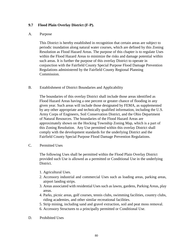## **9.7 Flood Plain Overlay District (F-P).**

#### A. Purpose

This District is hereby established in recognition that certain areas are subject to periodic inundation along natural water courses, which are defined by this Zoning Resolution as Flood Hazard Areas. The purpose of this chapter is to regulate Uses within the Flood Hazard Areas to minimize the risks and damage potential within such areas. It is further the purpose of this overlay District to operate in conjunction with the Fairfield County Special Purpose Flood Damage Prevention Regulations administered by the Fairfield County Regional Planning Commission.

#### B. Establishment of District Boundaries and Applicability

The boundaries of this overlay District shall include those areas identified as Flood Hazard Areas having a one percent or greater chance of flooding in any given year. Such areas will include those designated by FEMA, as supplemented by any other appropriate and technically qualified information, including the U.S. Army Corps of Engineers, Soil Conservation District, and the Ohio Department of Natural Resources. The boundaries of the Flood Hazard Areas are approximately shown on the Hocking Township Zoning Map, which is a part of this Zoning Resolution. Any Use permitted within this overlay District shall comply with the development standards for the underlying District and the Fairfield County Special Purpose Flood Damage Prevention Regulations.

C. Permitted Uses

The following Uses shall be permitted within the Flood Plain Overlay District provided such Use is allowed as a permitted or Conditional Use in the underlying District.

- 1. Agricultural Uses.
- 2. Accessory industrial and commercial Uses such as loading areas, parking areas, airport landing strips.
- 3. Areas associated with residential Uses such as lawns, gardens, Parking Areas, play areas.
- 4. Parks, picnic areas, golf courses, tennis clubs, swimming facilities, country clubs, riding academies, and other similar recreational facilities.
- 5. Strip mining, including sand and gravel extraction, soil and peat moss removal.
- 6. Accessory Structures to a principally permitted or Conditional Use.
- D. Prohibited Uses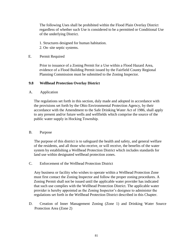The following Uses shall be prohibited within the Flood Plain Overlay District regardless of whether such Use is considered to be a permitted or Conditional Use of the underlying District.

- 1. Structures designed for human habitation.
- 2. On–site septic systems.

#### E. Permit Required

Prior to issuance of a Zoning Permit for a Use within a Flood Hazard Area, evidence of a Flood Building Permit issued by the Fairfield County Regional Planning Commission must be submitted to the Zoning Inspector.

## **9.8 Wellhead Protection Overlay District**

## A. Application

The regulations set forth in this section, duly made and adopted in accordance with the provisions set forth by the Ohio Environmental Protection Agency, by their accordance with the Amendment to the Safe Drinking Water Act of 1986, shall apply to any present and/or future wells and wellfields which comprise the source of the public water supply in Hocking Township.

#### B. Purpose

The purpose of this district is to safeguard the health and safety, and general welfare of the residents, and all those who receive, or will receive, the benefits of the water system by establishing a Wellhead Protection District which includes standards for land use within designated wellhead protection zones.

#### C. Enforcement of the Wellhead Protection District

Any business or facility who wishes to operate within a Wellhead Protection Zone must first contact the Zoning Inspector and follow the proper zoning procedures. A Zoning Permit shall not be issued until the applicable water provider has indicated that such use complies with the Wellhead Protection District. The applicable water provider is hereby appointed as the Zoning Inspector's designee to administer the regulations set forth in the Wellhead Protection District described in this Chapter.

D. Creation of Inner Management Zoning (Zone 1) and Drinking Water Source Protection Area (Zone 2)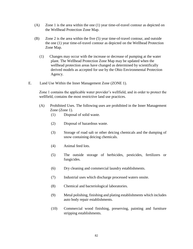- (A) Zone 1 is the area within the one (1) year time-of-travel contour as depicted on the Wellhead Protection Zone Map.
- (B) Zone 2 is the area within the five (5) year time-of-travel contour, and outside the one (1) year time-of-travel contour as depicted on the Wellhead Protection Zone Map.
	- (1) Changes may occur with the increase or decrease of pumping at the water plant. The Wellhead Protection Zone Map may be updated when the wellhead protection areas have changed as determined by scientifically derived models as accepted for use by the Ohio Environmental Protection Agency.
- E. Land Use Within the Inner Management Zone (ZONE 1).

Zone 1 contains the applicable water provider's wellfield, and in order to protect the wellfield, contains the most restrictive land use practices.

- (A) Prohibited Uses. The following uses are prohibited in the Inner Management Zone (Zone 1).
	- (1) Disposal of solid waste.
	- (2) Disposal of hazardous waste.
	- (3) Storage of road salt or other deicing chemicals and the dumping of snow containing deicing chemicals.
	- (4) Animal feed lots.
	- (5) The outside storage of herbicides, pesticides, fertilizers or fungicides.
	- (6) Dry cleaning and commercial laundry establishments.
	- (7) Industrial uses which discharge processed waters onsite.
	- (8) Chemical and bacteriological laboratories.
	- (9) Metal polishing, finishing and plating establishments which includes auto body repair establishments.
	- (10) Commercial wood finishing, preserving, painting and furniture stripping establishments.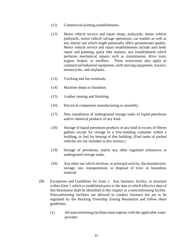- (11) Commercial printing establishments.
- (12) Motor vehicle service and repair shops, junkyards, motor vehicle junkyards, motor vehicle salvage operations, car washes as well as any similar use which might potentially affect groundwater quality. Motor vehicle service and repair establishments include auto body repair and painting, quick lube stations, any establishment which performs mechanical repairs such as transmission, drive train, engine, brakes, or mufflers. These restrictions also apply to commercial/industrial equipment, earth moving equipment, tractors, motorcycles, and airplanes.
- (13) Trucking and bus terminals.
- (14) Machine shops or foundries.
- (15) Leather tanning and finishing.
- (16) Electrical component manufacturing or assembly.
- (17) New installation of underground storage tanks of liquid petroleum and/or chemical products of any kind.
- (18) Storage of liquid petroleum products of any kind in excess of fifteen gallons except for storage in a free-standing container within a building, or fuel for heating of that building. (Fuel tanks of parked vehicles are not included in this section.)
- (19) Storage of petroleum, and/or any other regulated substances in underground storage tanks.
- (20) Any other use which involves, as principal activity, the manufacture, storage, use, transportation, or disposal of toxic or hazardous material.
- (B) Exceptions and Guidelines for Zone 1. Any business, facility, or structure within Zone 1 which is established prior to the date in which effective date of this Resolution shall be identified in this chapter as a nonconforming facility. Nonconforming facilities are allowed to conduct business but are to be regulated by the Hocking Township Zoning Resolution and follow these guidelines.
	- (1) All nonconforming facilities must register with the applicable water provider.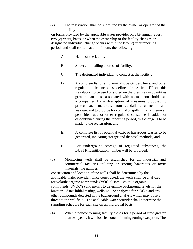(2) The registration shall be submitted by the owner or operator of the facility

on forms provided by the applicable water provider on a bi-annual (every two (2) years) basis, or when the ownership of the facility changes or designated individual change occurs within the two (2) year reporting period, and shall contain at a minimum, the following:

- A. Name of the facility.
- B. Street and mailing address of facility.
- C. The designated individual to contact at the facility.
- D. A complete list of all chemicals, pesticides, fuels, and other regulated substances as defined in Article III of this Resolution to be used or stored on the premises in quantities greater than those associated with normal household use, accompanied by a description of measures proposed to protect such materials from vandalism, corrosion and leakage, and to provide for control of spills. If any chemical, pesticide, fuel, or other regulated substance is added or discontinued during the reporting period, this change is to be made to the registration; and
- E. A complete list of potential toxic or hazardous wastes to be generated, indicating storage and disposal methods; and
- F. For underground storage of regulated substances, the BUSTR Identification number will be provided.
- (3) Monitoring wells shall be established for all industrial and commercial facilities utilizing or storing hazardous or toxic materials, the number,

construction and location of the wells shall be determined by the applicable water provider. Once constructed, the wells shall be analyzed for volatile organic compounds (VOC's) semi- volatile organic compounds (SVOC's) and metals to determine background levels for the location. After initial testing, wells will be analyzed for VOC's and any other compounds detected in the background analysis which may pose a threat to the wellfield. The applicable water provider shall determine the sampling schedule for each site on an individual basis.

(4) When a nonconforming facility closes for a period of time greater than two years, it will lose its nonconforming zoning exception. The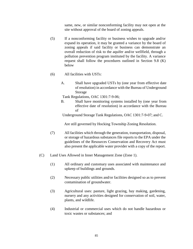same, new, or similar nonconforming facility may not open at the site without approval of the board of zoning appeals.

- (5) If a nonconforming facility or business wishes to upgrade and/or expand its operation, it may be granted a variance by the board of zoning appeals if said facility or business can demonstrate an overall reduction of risk to the aquifer and/or wellfield, through a pollution prevention program instituted by the facility. A variance request shall follow the procedures outlined in Section 9.8 (K) below
- (6) All facilities with USTs:
	- A. Shall have upgraded USTs by (one year from effective date of resolution) in accordance with the Bureau of Underground Storage

Tank Regulations, [OAC 1301:7-9-06;](http://codes.ohio.gov/oac/1301%3A7-9)

B. Shall have monitoring systems installed by (one year from effective date of resolution) in accordance with the Bureau of

Underground Storage Tank Regulations, [OAC](http://codes.ohio.gov/oac/1301%3A7-9) [1301:7-9-07;](http://codes.ohio.gov/oac/1301%3A7-9) and C.

Are still governed by Hocking Township Zoning Resolution.

- (7) All facilities which through the generation, transportation, disposal, or storage of hazardous substances file reports to the EPA under the guidelines of the Resources Conservation and Recovery Act must also present the applicable water provider with a copy of the report.
- (C) Land Uses Allowed in Inner Management Zone (Zone 1).
	- (1) All ordinary and customary uses associated with maintenance and upkeep of buildings and grounds.
	- (2) Necessary public utilities and/or facilities designed so as to prevent contamination of groundwater.
	- (3) Agricultural uses: pasture, light grazing, hay making, gardening, nursery and any activities designed for conservation of soil, water, plants, and wildlife.
	- (4) Industrial or commercial uses which do not handle hazardous or toxic wastes or substances; and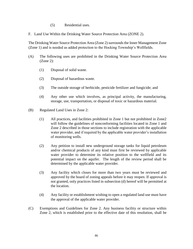- (5) Residential uses.
- F. Land Use Within the Drinking Water Source Protection Area (ZONE 2).

The Drinking Water Source Protection Area (Zone 2) surrounds the Inner Management Zone (Zone 1) and is needed as added protection to the Hocking Township's Wellfields.

- (A) The following uses are prohibited in the Drinking Water Source Protection Area (Zone 2):
	- (1) Disposal of solid waste.
	- (2) Disposal of hazardous waste.
	- (3) The outside storage of herbicide, pesticide fertilizer and fungicide; and
	- (4) Any other use which involves, as principal activity, the manufacturing, storage, use, transportation, or disposal of toxic or hazardous material.
- (B) Regulated Land Uses in Zone 2:
	- (1) All practices, and facilities prohibited in Zone 1 but not prohibited in Zone2 will follow the guidelines of nonconforming facilities located in Zone 1 and Zone 2 described in those sections to include registration with the applicable water provider, and if required by the applicable water provider's installation of monitoring wells.
	- (2) Any petition to install new underground storage tanks for liquid petroleum and/or chemical products of any kind must first be reviewed by applicable water provider to determine its relative position to the wellfield and its potential impact on the aquifer. The length of the review period shall be determined by the applicable water provider.
	- (3) Any facility which closes for more than two years must be reviewed and approved by the board of zoning appeals before it may reopen. If approval is not granted, only practices listed in subsection (d) hereof will be permitted at the location.
	- (4) Any facility or establishment wishing to open a regulated land use must have the approval of the applicable water provider.
- (C) Exemptions and Guidelines for Zone 2. Any business facility or structure within Zone 2, which is established prior to the effective date of this resolution, shall be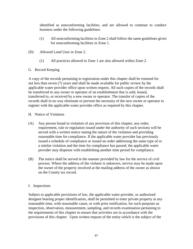identified as nonconforming facilities, and are allowed to continue to conduct business under the following guidelines:

- (1) All nonconforming facilities in Zone 2 shall follow the same guidelines given for nonconforming facilities in Zone 1.
- (D) Allowed Land Uses in Zone 2.
	- (1) All practices allowed in Zone 1 are also allowed within Zone 2.
- G. Record Keeping

A copy of the records pertaining to registration under this chapter shall be retained for not less than seven (7) years and shall be made available for public review by the applicable water provider office upon written request. All such copies of the records shall be transferred to any owner or operator of an establishment that is sold, leased, transferred to, or received by a new owner or operator. The transfer of copies of the records shall in no way eliminate or prevent the necessity of the new owner or operator to register with the applicable water provider office as required by this chapter.

- H. Notice of Violation
- (A) Any person found in violation of any provision of this chapter, any order, requirement, rule or regulation issued under the authority of such sections will be served with a written notice stating the nature of the violation and providing reasonable time for compliance. If the applicable water provider has previously issued a schedule of compliance or issued an order addressing the same type of or a similar violation and the time for compliance has passed, the applicable water provider may dispense with establishing another time period for compliance.
- (B) The notice shall be served in the manner provided by law for the service of civil process. Where the address of the violator is unknown, service may be made upon the owner of the property involved at the mailing address of the owner as shown on the County tax record.

## I. Inspections

Subject to applicable provisions of law, the applicable water provider, or authorized designee bearing proper identification, shall be permitted to enter private property at any reasonable time, with reasonable cause, or with prior notification, for such purposes as inspection, observation, measurement, sampling, and records examination pertaining to the requirements of this chapter to ensure that activities are in accordance with the provisions of this chapter. Upon written request of the entity which is the subject of the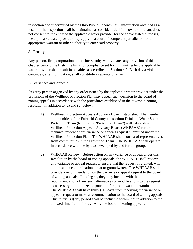inspection and if permitted by the Ohio Public Records Law, information obtained as a result of the inspection shall be maintained as confidential. If the owner or tenant does not consent to the entry of the applicable water provider for the above stated purposes, the applicable water provider may apply to a court of competent jurisdiction for an appropriate warrant or other authority to enter said property.

## J. Penalty

Any person, firm, corporation, or business entity who violates any provision of this chapter beyond the first-time limit for compliance set forth in writing by the applicable water provider shall result in penalties as described in Section 4.9. Each day a violation continues, after notification, shall constitute a separate offense.

## K. Variances and Appeals

(A) Any person aggrieved by any order issued by the applicable water provider under the provisions of the Wellhead Protection Plan may appeal such decision to the board of zoning appeals in accordance with the procedures established in the township zoning resolution in addition to (a) and (b) below:

- (1) Wellhead Protection Appeals Advisory Board Established. The member communities of the Fairfield County consortium Drinking Water Source Protection Team (hereinafter "Protection Team") will establish a Wellhead Protection Appeals Advisory Board (WHPAAB) for the technical review of any variance or appeals request submitted under the Wellhead Protection Plan. The WHPAAB shall consist of representatives from communities in the Protection Team. The WHPAAB shall operate in accordance with the bylaws developed by and for the group.
- (2) WHPAAB Review. Before action on any variance or appeal under this Resolution by the board of zoning appeals, the WHPAAB shall review any variance or appeal request to ensure that the request, if granted, will not present a contamination threat to groundwater. The WHPAAB shall provide a recommendation on the variance or appeal request to the board of zoning appeals. In doing so, they may include with the recommendation of any such alternatives or modifications to the request as necessary to minimize the potential for groundwater contamination. The WHPAAB shall have thirty (30) days from receiving the variance or appeals request to make a recommendation to the board of zoning appeals. This thirty (30) day period shall be inclusive within, not in addition to the allowed time frame for review by the board of zoning appeals.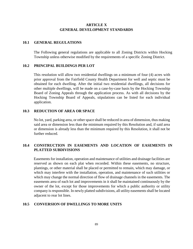## **ARTICLE X GENERAL DEVELOPMENT STANDARDS**

#### **10.1 GENERAL REGULATIONS**

The Following general regulations are applicable to all Zoning Districts within Hocking Township unless otherwise modified by the requirements of a specific Zoning District.

#### **10.2 PRINCIPAL BUILDINGS PER LOT**

This resolution will allow two residential dwellings on a minimum of four (4) acres with prior approval from the Fairfield County Health Department for well and septic must be obtained for each dwelling. After the initial two residential dwellings, all decisions for other multiple dwellings, will be made on a case-by-case basis by the Hocking Township Board of Zoning Appeals through the application process. As with all decisions by the Hocking Township Board of Appeals, stipulations can be listed for each individual application.

#### **10.3 REDUCTION OF AREA OR SPACE**

No lot, yard, parking area, or other space shall be reduced in area of dimension, thus making said area or dimension less than the minimum required by this Resolution and, if said area or dimension is already less than the minimum required by this Resolution, it shall not be further reduced.

## **10.4 CONSTRUCTION IN EASEMENTS AND LOCATION OF EASEMENTS IN PLATTED SUBDIVISIONS**

Easements for installation, operation and maintenance of utilities and drainage facilities are reserved as shown on each plat when recorded. Within these easements, no structure, plantings, or other material shall be placed or permitted to remain, which may damage, or which may interfere with the installation, operation, and maintenance of such utilities or which may change the normal direction of flow of drainage channels in the easements. The easements area of each lot and improvements in it shall be maintained continuously by the owner of the lot, except for those improvements for which a public authority or utility company is responsible. In newly platted subdivisions, all utility easements shall be located adjacent to rear lot lines.

## **10.5 CONVERSION OF DWELLINGS TO MORE UNITS**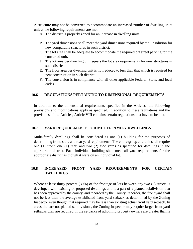A structure may not be converted to accommodate an increased number of dwelling units unless the following requirements are met:

- A. The district is properly zoned for an increase in dwelling units.
- B. The yard dimensions shall meet the yard dimensions required by the Resolution for new comparable structures in such district.
- C. The lot area shall be adequate to accommodate the required off street parking for the converted unit.
- D. The lot area per dwelling unit equals the lot area requirements for new structures in such district.
- E. The floor area per dwelling unit is not reduced to less than that which is required for new construction in such district.
- F. The conversion is in compliance with all other applicable Federal, State, and local codes.

#### **10.6 REGULATIONS PERTAINING TO DIMENSIONAL REQUIREMENTS**

In addition to the dimensional requirements specified in the Articles, the following provisions and modifications apply as specified. In addition to these regulations and the provisions of the Articles, Article VIII contains certain regulations that have to be met.

#### **10.7 YARD REQUIREMENTS FOR MULTI-FAMILY DWELLINGS**

Multi-family dwellings shall be considered as one (1) building for the purposes of determining front, side, and rear yard requirements. The entire group as a unit shall require one (1) front, one (1) rear, and two (2) side yards as specified for dwellings in the appropriate district. Each individual building shall meet all yard requirements for the appropriate district as though it were on an individual lot.

## **10.8 INCREASED FRONT YARD REQUIREMENTS FOR CERTAIN DWELLINGS**

Where at least thirty percent (30%) of the frontage of lots between any two (2) streets is developed with existing or proposed dwellings and is a part of a platted subdivision that has been approved by the county, and recorded by the County Recorder, the front yard shall not be less than the average established front yard setback as determined by the Zoning Inspector even though that required may be less than existing actual front yard setback. In areas that are not platted subdivisions, the Zoning Inspector may require larger front yard setbacks than are required, if the setbacks of adjoining property owners are greater than is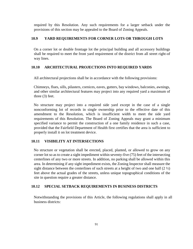required by this Resolution. Any such requirements for a larger setback under the provisions of this section may be appealed to the Board of Zoning Appeals.

## **10.9 YARD REQUIREMENTS FOR CORNER LOTS OR THROUGH LOTS**

On a corner lot or double frontage lot the principal building and all accessory buildings shall be required to meet the front yard requirement of the district from all street right-of way lines.

## **10.10 ARCHITECTURAL PROJECTIONS INTO REQUIRED YARDS**

All architectural projections shall be in accordance with the following provisions:

Chimneys, flues, sills, pilasters, cornices, eaves, gutters, bay windows, balconies, awnings, and other similar architectural features may project into any required yard a maximum of three (3) feet.

No structure may project into a required side yard except in the case of a single nonconforming lot of records in single ownership prior to the effective date of this amendment to the Resolution, which is insufficient width to meet the side yard requirements of this Resolution. The Board of Zoning Appeals may grant a minimum specified variance to permit the construction of a one family residence in such a case, provided that the Fairfield Department of Health first certifies that the area is sufficient to properly install it on lot treatment device.

#### **10.11 VISIBILITY AT INTERSECTIONS**

No structure or vegetation shall be erected, placed, planted, or allowed to grow on any corner lot so as to create a sight impediment within seventy-five (75) feet of the intersecting centerlines of any two or more streets. In addition, no parking shall be allowed within this area. In determining if any sight impediment exists, the Zoning Inspector shall measure the sight distance between the centerlines of such streets at a height of two and one half  $(2 \frac{1}{2})$ feet above the actual grades of the streets, unless unique topographical conditions of the site in question require a greater distance.

#### **10.12 SPECIAL SETBACK REQUIREMENTS IN BUSINESS DISTRICTS**

Notwithstanding the provisions of this Article, the following regulations shall apply in all business districts: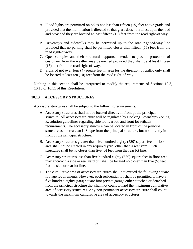- A. Flood lights are permitted on poles not less than fifteen (15) feet above grade and provided that the illumination is directed so that glare does not reflect upon the road and provided they are located at least fifteen (15) feet from the road right-of way.
- B. Driveways and sidewalks may be permitted up to the road right-of-way line provided that no parking shall be permitted closer than fifteen (15) feet from the road right-of-way.
- C. Open canopies and their structural supports, intended to provide protection of customers from the weather may be erected provided they shall be at least fifteen (15) feet from the road right-of-way.
- D. Signs of not over four (4) square feet in area for the direction of traffic only shall be located at least ten (10) feet from the road right-of-way.

Nothing in this section shall be interpreted to modify the requirements of Sections 10.3, 10.10 or 10.11 of this Resolution.

#### **10.13 ACCESSORY STRUCTURES**

Accessory structures shall be subject to the following requirements.

- A. Accessory structures shall not be located directly in front pf the principal structure. All accessory structure will be regulated by Hocking Townships Zoning Resolution guidelines regarding side lot, rear lot, and front lot setback requirements. The accessory structure can be located in front of the principal structure as to create an L-Shape from the principal structure, but not directly in front of the principal structure.
- B. Accessory structures greater than five hundred eighty (580) square feet in floor area shall not be erected in any required yard, other than a rear yard. Such structures shall be no closer than five (5) feet from the rear lot line.
- C. Accessory structures less than five hundred eighty (580) square feet in floor area may encroach a side or rear yard but shall be located no closer than five (5) feet from a side or rear lot line.
- D. The cumulative area of accessory structures shall not exceed the following square footage requirements. However, each residential lot shall be permitted to have a five hundred eighty (580) square foot private garage either attached or detached from the principal structure that shall not count toward the maximum cumulative area of accessory structures. Any non-permanent accessory structure shall count towards the maximum cumulative area of accessory structures: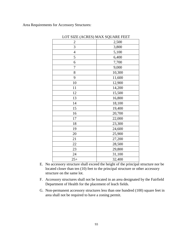Area Requirements for Accessory Structures:

| 2,500  |
|--------|
| 3,800  |
| 5,100  |
| 6,400  |
| 7,700  |
| 9,000  |
| 10,300 |
| 11,600 |
| 12,900 |
| 14,200 |
| 15,500 |
| 16,800 |
| 18,100 |
| 19,400 |
| 20,700 |
| 22,000 |
| 23,300 |
| 24,600 |
| 25,900 |
| 27,200 |
| 28,500 |
| 29,800 |
| 31,100 |
| 32,400 |
|        |

LOT SIZE (ACRES) MAX SOUARE FEET

- E. No accessory structure shall exceed the height of the principal structure nor be located closer than ten (10) feet to the principal structure or other accessory structure on the same lot.
- F. Accessory structures shall not be located in an area designated by the Fairfield Department of Health for the placement of leach fields.
- G. Non-permanent accessory structures less than one hundred (100) square feet in area shall not be required to have a zoning permit.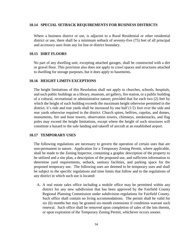#### **10.14 SPECIAL SETBACK REQUIREMENTS FOR BUSINESS DISTRICTS**

Where a business district or use, is adjacent to a Rural Residential or other residential district or use, there shall be a minimum setback of seventy-five (75) feet of all principal and accessory uses from any lot line or district boundary.

#### **10.15 DIRT FLOORS**

No part of any dwelling unit, excepting attached garages, shall be constructed with a dirt or gravel floor. This provision also does not apply to crawl spaces and structures attached to dwelling for storage purposes, but it does apply to basements.

#### **10.16 HEIGHT LIMITS EXCEPTIONS**

The height limitations of this Resolution shall not apply to churches, schools, hospitals, and such public buildings as a library, museum, art gallery, fire station, or a public building of a cultural, recreational or administrative nature; provided that for each two (2) feet by which the height of such building exceeds the maximum height otherwise permitted in the district, it's side and rear yards shall be increased by one half (1/2) foot over the side and rear yards otherwise required in the district. Church spires, belfries, cupolas, and domes, monuments, fire and hose towers, observation towers, chimneys, smokestacks, and flag poles may exceed the height limitations, except where the height of such structures will constitute a hazard to the safe landing and takeoff of aircraft at an established airport.

#### **10.17 TEMPORARY USES**

The following regulations are necessary to govern the operation of certain uses that are non-permanent in nature. Application for a Temporary Zoning Permit, where applicable, shall be made to the Zoning Inspector, containing a graphic description of the property to be utilized and a site plan, a description of the proposed use, and sufficient information to determine yard requirements, setback, sanitary facilities, and parking space for the proposed temporary use. The following uses are deemed to be temporary uses and shall be subject to the specific regulations and time limits that follow and to the regulations of any district in which such use is located:

A. A real estate sales office including a mobile office may be permitted within any district for any new subdivision that has been approved by the Fairfield County Regional Planning Commission under subdivision regulations for Fairfield County. Such office shall contain no living accommodations. The permit shall be valid for six (6) months but may be granted six-month extensions if conditions warrant such renewal. Such office shall be removed upon completion of sales of the lots therein, or upon expiration of the Temporary Zoning Permit, whichever occurs sooner.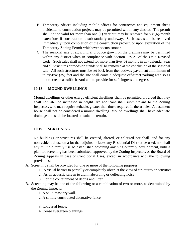- B. Temporary offices including mobile offices for contractors and equipment sheds incidental to construction projects may be permitted within any district. The permit shall not be valid for more than one (1) year but may be renewed for six (6)-month extensions if construction is substantially underway. Such uses shall be removed immediately upon completion of the construction project, or upon expiration of the Temporary Zoning Permit whichever occurs sooner.
- C. The seasonal sale of agricultural produce grown on the premises may be permitted within any district when in compliance with Section [529.21 o](http://codes.ohio.gov/orc/529)f the Ohio Revised Code. Such sales shall not extend for more than five (5) months in any calendar year and all structures or roadside stands shall be removed at the conclusion of the seasonal sale. All such structures must be set back from the roadway pavement a minimum of thirty-five (35) feet and the site shall contain adequate off-street parking area so as not to create a traffic hazard and to provide for safe ingress and egress.

## **10.18 MOUND DWELLINGS**

Mound dwellings or other energy efficient dwellings shall be permitted provided that they shall not later be increased in height. An applicant shall submit plans to the Zoning Inspector, who may require setbacks greater than those required in the articles. A basement house shall not be considered a mound dwelling. Mound dwellings shall have adequate drainage and shall be located on suitable terrain.

#### **10.19 SCREENING**

No buildings or structures shall be erected, altered, or enlarged nor shall land for any nonresidential use on a lot that adjoins or faces any Residential District be used, nor shall any multiple family use be established adjoining any single-family development, until a plan for screening has been submitted, approved by the Zoning Inspector, or the Board of Zoning Appeals in case of Conditional Uses, except in accordance with the following provisions:

- A. Screening shall be provided for one or more of the following purposes:
	- 1. A visual barrier to partially or completely obstruct the view of structures or activities.
	- 2. As an acoustic screen to aid in absorbing or deflecting noise.
	- 3. For the containment of debris and litter.
- B. Screening may be one of the following or a combination of two or more, as determined by the Zoning Inspector.
	- 1. A solid masonry wall.
	- 2. A solidly constructed decorative fence.
	- 3. Louvered fence.
	- 4. Dense evergreen plantings.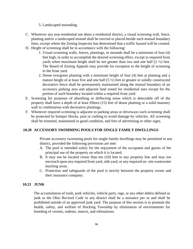5. Landscaped mounding.

- C. Whenever any non-residential use abuts a residential district, a visual screening wall, fence, planting and/or a landscaped mound shall be erected or placed beside such mutual boundary lines, except where the Zoning Inspector has determined that a traffic hazard will be created.
- D. Height of screening shall be in accordance with the following:
	- 1. Visual screening walls, fences, plantings, or mounds shall be a minimum of four (4) feet high, in order to accomplish the desired screening effect, except in required front yards when maximum height shall be not greater than two and one half  $(2 \frac{1}{2})$  feet. The Board of Zoning Appeals may provide for exception to the height of screening in the front yard.
	- 2. Dense evergreen planting with a minimum height of four (4) feet at planting and a mature height of at least five and one half  $(5 \frac{1}{2})$  feet or greater or solidly constructed decorative fence shall be permanently maintained along the mutual boundary of an accessory parking area and adjacent land zoned for residential uses except for the portion of such boundary located within a required front yard.
- E. Screening for purposes of absorbing or deflecting noise which is detectable off of the property shall have a depth of at least fifteen (15) feet of dense planting or a solid masonry wall in combination with decorative plantings.
- F. Whenever required screening is adjacent to parking areas or driveways such screening shall be protected by bumper blocks, post or curbing to avoid damage by vehicles. All screening shall be trimmed, maintained in good condition, and free of advertising or other signs.

#### **10.20 ACCESSORY SWIMMING POOLS FOR SINGLE FAMILY DWELLINGS**

Private accessory swimming pools for single-family dwellings may be permitted in any district, provided the following provisions are met:

- A. The pool is intended solely for the enjoyment of the occupants and guests of the principal use of the property on which it is located.
- B. It may not be located closer than ten (10) feet to any property line and may not encroach upon any required front yard, side yard, or any required on-site wastewater leaching areas.
- C. Protection and safeguards of the pool is strictly between the property owner and their insurance company.

#### **10.21 JUNK**

The accumulation of trash, junk vehicles, vehicle parts, rags, or any other debris defined as junk in the Ohio Revised Code in any district shall be a nuisance per se and shall be prohibited outside of an approved junk yard. The purpose of this section is to promote the health, safety, and welfare of Hocking Township by elimination of environments for breeding of vermin, rodents, insects, and infestations.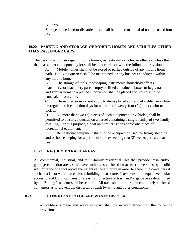A. Tires

Storage of used and/or discarded tires shall be limited to a total of not to exceed four (4).

## **10.22 PARKING AND STORAGE OF MOBILE HOMES AND VEHICLES OTHER THAN PASSENGER CARS.**

The parking and/or storage of mobile homes, recreational vehicles, or other vehicles other than passenger cars upon any lot shall be in accordance with the following provisions:

A. Mobile homes shall not be stored or parked outside of any mobile home park. No living quarters shall be maintained, or any business conducted within any mobile home.

B. The storage of tools, landscaping instruments, household effects, machinery, or machinery parts, empty or filled containers, boxes or bags, trash and similar items in a platted subdivision shall be placed and stored as to be concealed from view.

C. These provisions do not apply to items placed at the road right-of-way line on regular trash collection days for a period of twenty-four (24) hours prior to pick up.

D. No more than two (2) pieces of such equipment, or vehicles, shall be permitted to be stored outside on a parcel containing a single family of two-family dwelling. For this purpose, a boat on a trailer is considered one piece of recreational equipment.

E. Recreational equipment shall not be occupied or used for living, sleeping and/or housekeeping for a period of time exceeding two (2) weeks per calendar year.

#### **10.23 REQUIRED TRASH AREAS**

All commercial, industrial, and multi-family residential uses that provide trash and/or garbage collection areas shall have such areas enclosed on at least three sides by a solid wall or fence one foot above the height of the structure in order to screen the containers if such area is not within an enclosed building or structure. Provisions for adequate vehicular access to and from such area or areas for collection of trash and/or garbage as determined by the Zoning Inspector shall be required. All trash shall be stored in completely enclosed containers as to prevent the dispersal of trash by wind and other conditions.

#### **10.24 OUTDOOR STORAGE AND WASTE DISPOSAL**

All outdoor storage and waste disposal shall be in accordance with the following provisions: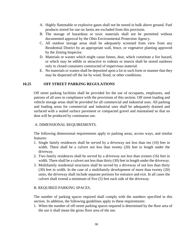- A. Highly flammable or explosive gases shall not be stored in bulk above ground. Fuel products stored for use on farms are excluded from this provision.
- B. The storage of hazardous or toxic materials shall not be permitted without documented approval by the Ohio Environmental Protection Agency.
- C. All outdoor storage areas shall be adequately screened from view from any Residential District by an appropriate wall, fence, or vegetative planting approved by the Zoning Inspector.
- D. Materials or wastes which might cause fumes, dust, which constitute a fire hazard, or which may be edible or attractive to rodents or insects shall be stored outdoors only in closed containers constructed of impervious material.
- E. No materials or wastes shall be deposited upon a lot in such form or manner that they may be dispersed off the lot by wind, flood, or other conditions.

#### **10.25 OFF STREET PARKING REGULATIONS**

Off street parking facilities shall be provided for the use of occupants, employees, and patrons of all uses in compliance with the provisions of this section. Off street loading and vehicle storage areas shall be provided for all commercial and industrial uses. All parking and loading areas for commercial and industrial uses shall be adequately drained and surfaced with a sealed surface pavement or compacted gravel and maintained so that no dust will be produced by continuous use.

#### A. DIMENSIONAL REQUIREMENTS.

The following dimensional requirements apply to parking areas, access ways, and similar features:

- 1. Single family residences shall be served by a driveway not less than ten (10) feet in width. There shall be a culvert not less than twenty (20) feet in length under the driveway.
- 2. Two family residences shall be served by a driveway not less than sixteen (16) feet in width. There shall be a culvert not less than thirty (30) feet in length under the driveway.
- 3. Multifamily residential structures shall be served by a driveway of not less than thirty (30) feet in width. In the case of a multifamily development of more than twenty (20) units, the driveway shall include separate portions for entrance and exit. In all cases the culvert shall extend a minimum of five (5) feet each side of the driveway.

#### B. REQUIRED PARKING SPACES.

The number of parking spaces required shall comply with the numbers specified in this section. In addition, the following guidelines apply to these requirements:

1. When the number of off-street parking spaces required is determined by the floor area of the use it shall mean the gross floor area of the use.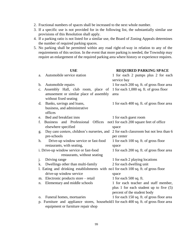- 2. Fractional numbers of spaces shall be increased to the next whole number.
- 3. If a specific use is not provided for in the following list, the substantially similar use provisions of this Resolution shall apply.
- 4. If a parking ratio is not listed for a similar use, the Board of Zoning Appeals determines the number of required parking spaces.
- 5. No parking shall be permitted within any road right-of-way in relation to any of the requirements of this section. In the event that more parking is needed, the Township may require an enlargement of the required parking area where history or experience requires.

#### **USE REQUIRED PARKING SPACE**

| a.                                                                                 | Automobile service station                                                             | 1 for each 2 pumps plus 2 for each         |  |
|------------------------------------------------------------------------------------|----------------------------------------------------------------------------------------|--------------------------------------------|--|
|                                                                                    |                                                                                        | service bay                                |  |
| $\mathbf b$ .                                                                      | Automobile repairs                                                                     | 1 for each 200 sq. ft. of gross floor area |  |
| c.                                                                                 | Assembly Hall, club room, place of                                                     | 1 for each 1,000 sq. ft. of gross floor    |  |
|                                                                                    | amusement or similar place of assembly                                                 | area                                       |  |
|                                                                                    | without fixed seating                                                                  |                                            |  |
| d.                                                                                 | Banks, savings and loans,                                                              | 1 for each 400 sq. ft. of gross floor area |  |
|                                                                                    | business, and administrative                                                           |                                            |  |
|                                                                                    | offices                                                                                |                                            |  |
| e.                                                                                 | Bed and breakfast inns                                                                 | 1 for each guest room                      |  |
| f.                                                                                 | Business and Professional<br>Offices                                                   | not1 for each 200 square feet of office    |  |
|                                                                                    | elsewhere specified                                                                    | space                                      |  |
| g.                                                                                 | Day care centers, children's nurseries, and                                            | 2 for each classroom but not less than 6   |  |
|                                                                                    | pre-schools                                                                            | per center                                 |  |
| h.                                                                                 | Drive-up window service or fast-food                                                   | 1 for each 100 sq. ft. of gross floor      |  |
|                                                                                    | restaurants, with seating,                                                             | space                                      |  |
|                                                                                    | i. Drive-up window service or fast-food                                                | 1 for each 200 sq. ft. of gross floor area |  |
|                                                                                    | restaurants, without seating                                                           |                                            |  |
| $\mathbf{1}$                                                                       | Driving range                                                                          | 1 for each 2 playing locations             |  |
| k.                                                                                 | Dwellings other than multi-family                                                      | 2 for each dwelling unit                   |  |
| 1. Eating and drinking establishments with no1 for each 100 sq. ft. of gross floor |                                                                                        |                                            |  |
|                                                                                    | drive-up window service                                                                | space                                      |  |
| m.                                                                                 | Electronic products store – retail                                                     | 1 for each $500$ sq. ft.                   |  |
| n.                                                                                 | Elementary and middle schools                                                          | 1 for each teacher and staff member,       |  |
|                                                                                    |                                                                                        | plus 1 for each student up to five $(5)$   |  |
|                                                                                    |                                                                                        | percent of the student body                |  |
| 0.                                                                                 | Funeral homes, mortuaries                                                              | 1 for each 150 sq. ft. of gross floor area |  |
|                                                                                    | p. Furniture and appliance stores, household1 for each 400 sq. ft. of gross floor area |                                            |  |
|                                                                                    | equipment or furniture repair shop                                                     |                                            |  |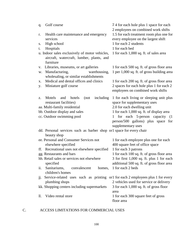| Golf course<br>q.                                                                                             | 74 for each hole plus 1 space for each<br>2 employees on combined work shifts                      |
|---------------------------------------------------------------------------------------------------------------|----------------------------------------------------------------------------------------------------|
| Health care maintenance and emergency<br>r.                                                                   | 1.5 for each treatment room plus one for                                                           |
| services                                                                                                      | every employee on the largest shift                                                                |
| High school<br>S.                                                                                             | 1 for each 2 students                                                                              |
| Hospitals<br>t.                                                                                               | 1 for each bed                                                                                     |
| u. Indoor sales exclusively of motor vehicles,<br>aircraft, watercraft, lumber, plants, and<br>furniture      | 1 for each 1,000 sq. ft. of sales area                                                             |
| Libraries, museums, or art galleries<br>V.                                                                    | 1 for each 500 sq. ft. of gross floor area                                                         |
| Manufacturing,<br>warehousing,<br>w.<br>wholesaling, or similar establishments                                | 1 per 1,000 sq. ft. of gross building area                                                         |
| Medical and dental offices and clinics<br>х.                                                                  | 1 for each 200 sq. ft. of gross floor area                                                         |
| Miniature golf course<br>y.                                                                                   | 2 spaces for each hole plus 1 for each 2<br>employees on combined work shifts                      |
| including<br>hotels<br>(not)<br>Motels<br>and<br>z.                                                           | 1 for each living or sleeping unit plus                                                            |
| restaurant facilities)                                                                                        | space for supplementary uses                                                                       |
| aa. Multi-family residential                                                                                  | 2.0 for each dwelling unit                                                                         |
| bb. Outdoor display and sales                                                                                 | 1 for each 1,000 sq. ft. of display area                                                           |
| cc. Outdoor swimming pool                                                                                     | for each 5-person capacity<br>1<br>(1)<br>person/500 gallons) plus space for<br>supplementary uses |
| dd. Personal services such as barber shop or l space for every chair                                          |                                                                                                    |
| beauty shop                                                                                                   |                                                                                                    |
| ee. Personal and Consumer Services not                                                                        | 1 for each employee plus one for each                                                              |
| elsewhere specified                                                                                           | 400 square feet of office space                                                                    |
| Recreational uses not elsewhere specified<br>ff.                                                              | 1 for each 3 patrons                                                                               |
| gg. Restaurants and bars                                                                                      | 1 for each 100 sq. ft. of gross floor area                                                         |
| hh. Retail sales or services not elsewhere                                                                    | 3 for first 1,000 sq. ft. plus 1 for each                                                          |
| specified                                                                                                     | additional 500 sq. ft. of gross floor area                                                         |
| Sanitariums,<br>ii.<br>convalescent<br>homes,<br>children's homes                                             | 1 for each 2 beds                                                                                  |
| Service-related uses such as printing or 1 for each 2 employees plus 1 for every<br>$\overline{\mathbf{1}}$ . |                                                                                                    |
| plumbing shops                                                                                                | 2 vehicles used for service or delivery                                                            |
| kk. Shopping centers including supermarkets                                                                   | 3 for each 1,000 sq. ft. of gross floor                                                            |
|                                                                                                               | area                                                                                               |
| Video rental store<br>$\mathbf{ll}$ .                                                                         | 1 for each 300 square feet of gross<br>floor area                                                  |
|                                                                                                               |                                                                                                    |

# C. ACCESS LIMITATIONS FOR COMMERCIAL USES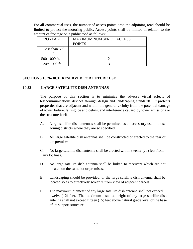For all commercial uses, the number of access points onto the adjoining road should be limited to protect the motoring public. Access points shall be limited in relation to the amount of frontage on a public road as follows:

| <b>FRONTAGE</b> | <b>MAXIMUM NUMBER OF ACCESS</b><br><b>POINTS</b> |
|-----------------|--------------------------------------------------|
| Less than 500   |                                                  |
| 500-1000 ft.    |                                                  |
| Over $1000$ ft  |                                                  |

#### **SECTIONS 10.26-10.31 RESERVED FOR FUTURE USE**

#### **10.32 LARGE SATELLITE DISH ANTENNAS**

The purpose of this section is to minimize the adverse visual effects of telecommunications devices through design and landscaping standards. It protects properties that are adjacent and within the general vicinity from the potential damage of tower failure, falling ice and debris, and interference caused by tower emissions or the structure itself.

- A. Large satellite dish antennas shall be permitted as an accessory use in those zoning districts where they are so specified.
- B. All large satellite dish antennas shall be constructed or erected to the rear of the premises.
- C. No large satellite dish antenna shall be erected within twenty (20) feet from any lot lines.
- D. No large satellite dish antenna shall be linked to receivers which are not located on the same lot or premises.
- E. Landscaping should be provided, or the large satellite dish antenna shall be located so as to effectively screen it from view of adjacent parcels.
- F. The maximum diameter of any large satellite dish antenna shall not exceed twelve (12) feet. The maximum installed height of any large satellite dish antenna shall not exceed fifteen (15) feet above natural grade level or the base of its support structure.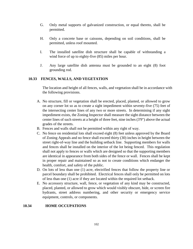- G. Only metal supports of galvanized construction, or equal thereto, shall be permitted.
- H. Only a concrete base or caissons, depending on soil conditions, shall be permitted, unless roof mounted.
- I. The installed satellite dish structure shall be capable of withstanding a wind force of up to eighty-five (85) miles per hour.
- J. Any large satellite dish antenna must be grounded to an eight (8) foot grounding rod.

#### **10.33 FENCES, WALLS, AND VEGETATION**

The location and height of all fences, walls, and vegetation shall be in accordance with the following provisions.

- A. No structure, fill or vegetation shall be erected, placed, planted, or allowed to grow on any corner lot so as to create a sight impediment within seventy-five (75) feet of the intersecting center lines of any two or more streets. In determining if any sight impediment exists, the Zoning Inspector shall measure the sight distance between the center lines of such streets at a height of three feet, nine inches (3'9") above the actual grades of the streets.
- B. Fences and walls shall not be permitted within any right of way.
- C. No fence on residential lots shall exceed eight (8) feet unless approved by the Board of Zoning Appeals and no fence shall exceed thirty (30) inches in height between the street right-of-way line and the building setback line. Supporting members for walls and fences shall be installed on the interior of the lot being fenced. This regulation shall not apply to fences or walls which are designed so that the supporting members are identical in appearance from both sides of the fence or wall. Fences shall be kept in proper repair and maintained so as not to create conditions which endanger the health, comfort, and safety of the public.
- D. On lots of less than one (1) acre, electrified fences that follow the property line or parcel boundary shall be prohibited. Electrical fences shall only be permitted on lots of less than one (1) acre if they are located within the required lot setback.
- E. No accessory structure, wall, fence, or vegetation of any kind may be constructed, placed, planted, or allowed to grow which would visibly obscure, hide, or screen fire hydrants, street address numbering, and other security or emergency service equipment, controls, or components.

## **10.34 HOME OCCUPATIONS**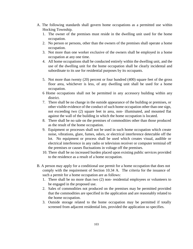- A. The following standards shall govern home occupations as a permitted use within Hocking Township.
	- 1. The owner of the premises must reside in the dwelling unit used for the home occupation.
	- 2. No person or persons, other than the owners of the premises shall operate a home occupation.
	- 3. Not more than one worker exclusive of the owners shall be employed in a home occupation at any one time.
	- 4. All home occupations shall be conducted entirely within the dwelling unit, and the use of the dwelling unit for the home occupation shall be clearly incidental and subordinate to its use for residential purposes by its occupants.
	- 5. Not more than twenty (20) percent or four hundred (400) square feet of the gross floor area, whichever is less, of any dwelling unit shall be used for a home occupation.
	- 6 Home occupations shall not be permitted in any accessory building within any district.
	- 7. There shall be no change in the outside appearance of the building or premises, or other visible evidence of the conduct of such home occupation other than one sign, not exceeding two (2) square feet in area, non- illuminated, and mounted flat against the wall of the building in which the home occupation is located.
	- 8. There shall be no sale on the premises of commodities other than those produced as the result of the home occupation.
	- 9. Equipment or processes shall not be used in such home occupation which create noise, vibrations, glare, fumes, odors, or electrical interference detectable off the lot. No equipment or process shall be used which creates visual, audible or electrical interference in any radio or television receiver or computer terminal off the premises or causes fluctuations in voltage off the premises.
	- 10. There shall be no increased burden placed upon existing public services provided to the residence as a result of a home occupation.
- B. A person may apply for a conditional use permit for a home occupation that does not comply with the requirement of Section 10.34 A. The criteria for the issuance of such a permit for a home occupation are as follows:
	- 1. There shall be no more than two (2) non- residential employees or volunteers to be engaged in the proposed use.
	- 2. Sales of commodities not produced on the premises may be permitted provided that the commodities are specified in the application and are reasonably related to the home occupation.
	- 3. Outside storage related to the home occupation may be permitted if totally screened from adjacent residential lots, provided the application so specifies.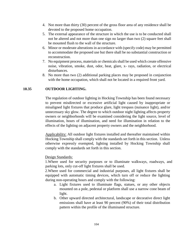- 4. Not more than thirty (30) percent of the gross floor area of any residence shall be devoted to the proposed home occupation.
- 5. The external appearance of the structure in which the use is to be conducted shall not be altered and not more than one sign no larger than two (2) square feet shall be mounted flush to the wall of the structure.
- 6. Minor or moderate alterations in accordance with (specify code) may be permitted to accommodate the proposed use but there shall be no substantial construction or reconstruction.
- 7. No equipment process, materials or chemicals shall be used which create offensive noise, vibration, smoke, dust, odor, heat, glare, x- rays, radiation, or electrical disturbances.
- 8. No more than two (2) additional parking places may be proposed in conjunction with the home occupation, which shall not be located in a required front yard.

### **10.35 OUTDOOR LIGHTING.**

The regulation of outdoor lighting in Hocking Township has been found necessary to prevent misdirected or excessive artificial light caused by inappropriate or misaligned light fixtures that produce glare, light trespass (nuisance light), and/or unnecessary sky glow. The degree to which outdoor night lighting affects property owners or neighborhoods will be examined considering the light source, level of illumination, hours of illumination, and need for illumination in relation to the effects of the lighting on adjacent property owners and the neighborhood.

Applicability: All outdoor light fixtures installed and thereafter maintained within Hocking Township shall comply with the standards set forth in this section. Unless otherwise expressly exempted, lighting installed by Hocking Township shall comply with the standards set forth in this section.

### Design Standards:

1.Where used for security purposes or to illuminate walkways, roadways, and parking lots, only cut-off light fixtures shall be used.

2.Where used for commercial and industrial purposes, all light fixtures shall be equipped with automatic timing devices, which turn off or reduce the lighting during non-operating hours and comply with the following:

- a. Light fixtures used to illuminate flags, statues, or any other objects mounted on a pole, pedestal or platform shall use a narrow cone beam of light.
- b. Other upward directed architectural, landscape or decorative direct light emissions shall have at least 90 percent (90%) of their total distribution pattern within the profile of the illuminated structure.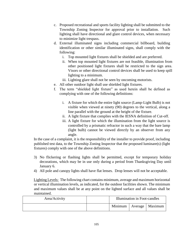- c. Proposed recreational and sports facility lighting shall be submitted to the Township Zoning Inspector for approval prior to installation. Such lighting shall have directional and glare control devices, when necessary to minimize light trespass.
- d. External illuminated signs including commercial billboard, building identification or other similar illuminated signs, shall comply with the following:
	- i. Top mounted light fixtures shall be shielded and are preferred.
	- ii. When top mounted light fixtures are not feasible, illumination from other positioned light fixtures shall be restricted to the sign area. Visors or other directional control devices shall be used to keep spill lighting to a minimum.
	- iii. Lighting glare shall not be seen by oncoming motorists.
- e. All other outdoor light shall use shielded light fixtures.
- f. The term "shielded light fixture" as used herein shall be defined as complying with one of the following definitions:
	- i. A fixture for which the entire light source (Lamp-Light Bulb) is not visible when viewed at ninety (90) degrees to the vertical, along a line parallel with the ground at the height of the fixture.
	- ii. A light fixture that complies with the IESNA definition of Cut-off.
	- iii. A light fixture for which the illumination from the light source is controlled by a prismatic refractor in such a way that the bare lamp (light bulb) cannot be viewed directly by an observer from any angle.

In the case of a complaint, it is the responsibility of the installer to provide proof, including published test data, to the Township Zoning Inspector that the proposed luminare(s) (light fixtures) comply with one of the above definitions.

- 3) No flickering or flashing lights shall be permitted, except for temporary holiday decorations, which may be in use only during a period from Thanksgiving Day until January 6.
- 4) All pole and canopy lights shall have flat lenses. Drop lenses will not be acceptable.

Lighting Levels: The following chart contains minimum, average and maximum horizontal or vertical illumination levels, as indicated, for the outdoor facilities shown. The minimum and maximum values shall be at any point on the lighted surface and all values shall be maintained.

| Area/Activity | Illumination in Foot-candles |  |  |
|---------------|------------------------------|--|--|
|               | Minimum   Average   Maximum  |  |  |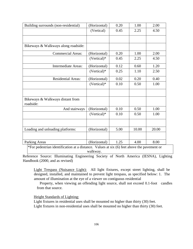| Building surrounds (non-residential)                                                                            | (Horizontal)  | 0.20                                                | 1.00  | 2.00  |
|-----------------------------------------------------------------------------------------------------------------|---------------|-----------------------------------------------------|-------|-------|
|                                                                                                                 | (Vertical)    | 0.45                                                | 2.25  | 4.50  |
|                                                                                                                 |               |                                                     |       |       |
|                                                                                                                 |               |                                                     |       |       |
| Bikeways & Walkways along roadside:                                                                             |               |                                                     |       |       |
| <b>Commercial Areas:</b>                                                                                        | (Horizontal)  | 0.20                                                | 1.00  | 2.00  |
|                                                                                                                 | (Vertical)*   | 0.45                                                | 2.25  | 4.50  |
| <b>Intermediate Areas:</b>                                                                                      | (Horizontal)  | 0.12                                                | 0.60  | 1.20  |
|                                                                                                                 | $(Vertical)*$ | 0.25                                                | 1.10  | 2.50  |
| <b>Residential Areas:</b>                                                                                       | (Horizontal)  | 0.02                                                | 0.20  | 0.40  |
|                                                                                                                 | (Vertical)*   | 0.10                                                | 0.50  | 1.00  |
|                                                                                                                 |               |                                                     |       |       |
| Bikeways & Walkways distant from                                                                                |               |                                                     |       |       |
| roadside:                                                                                                       |               |                                                     |       |       |
| And stairways                                                                                                   | (Horizontal)  | 0.10                                                | 0.50  | 1.00  |
|                                                                                                                 | $(Vertical)*$ | 0.10                                                | 0.50  | 1.00  |
|                                                                                                                 |               |                                                     |       |       |
| Loading and unloading platforms:                                                                                | (Horizontal)  | 5.00                                                | 10.00 | 20.00 |
|                                                                                                                 |               |                                                     |       |       |
| Parking Areas<br>$\sqrt{2}$ and $\sqrt{2}$ and $\sqrt{2}$ and $\sqrt{2}$ and $\sqrt{2}$ and $\sqrt{2}$<br>11.11 | (Horizontal)  | 1.25<br>$\sqrt{2}$ $\sqrt{2}$ $\sqrt{2}$ $\sqrt{1}$ | 4.00  | 8.00  |

\*For pedestrian identification at a distance. Values at six (6) feet above the pavement or walkway.

Reference Source: Illuminating Engineering Society of North America (IESNA), Lighting Handbook (2000, and as revised)

Light Trespass (Nuisance Light): All light fixtures, except street lighting, shall be designed, installed, and maintained to prevent light trespass, as specified below: 1. The amount of illumination at the eye of a viewer on contiguous residential

 Property, when viewing an offending light source, shall not exceed 0.1-foot candles from that source.

Height Standards of Lighting:

Light fixtures in residential uses shall be mounted no higher than thirty (30) feet. Light fixtures in non-residential uses shall be mounted no higher than thirty (30) feet.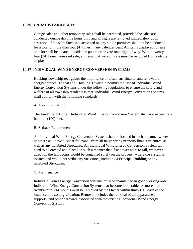### **10.36 GARAGE/YARD SALES**

Garage sales and other temporary sales shall be permitted, provided the sales are conducted during daytime hours only and all signs are removed immediately upon cessation of the sale. Such sale activated on any single premises shall not be conducted for a total of more than four (4) times in any calendar year. All items displayed for sale on a lot shall be located outside the public or private road right of way. Within twentyfour (24) hours from said sale, all items that were on sale must be removed from outside display.

### **10.37 INDIVIDUAL WIND ENERGY CONVERSION SYSTEMS**

Hocking Township recognizes the importance of clean, sustainable, and renewable energy sources. To that end, Hocking Township permits the Use of Individual Wind Energy Conversion Systems under the following regulations to ensure the safety and welfare of all township residents is met. Individual Wind Energy Conversion Systems shall comply with the following standards:

### A. Maximum Height

The tower height of an Individual Wind Energy Conversion System shall not exceed one hundred (100) feet.

### B. Setback Requirements

An Individual Wind Energy Conversion System shall be located in such a manner where its tower will have a "clear fall zone" from all neighboring property lines, Structures, as well as any inhabited Structures. An Individual Wind Energy Conversion System will need to be erected and placed in such a manner that if its tower were to fall, whatever direction the fall occurs would be contained solely on the property where the system is located and would not strike any Structures, including a Principal Building or any inhabited Structures.

### C. Maintenance

Individual Wind Energy Conversion Systems must be maintained in good working order. Individual Wind Energy Conversion Systems that become inoperable for more than twenty-four (24) months must be removed by the Owner within thirty (30) days of the issuance of a zoning violation. Removal includes the removal of all apparatuses, supports, and other hardware associated with the existing Individual Wind Energy Conversion System.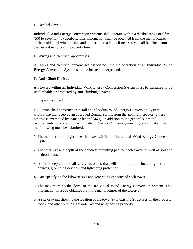### D. Decibel Levels

Individual Wind Energy Conversion Systems shall operate within a decibel range of fifty (50) to seventy (70) decibels. This information shall be obtained from the manufacturer of the residential wind turbine and all decibel readings, if necessary, shall be taken from the nearest neighboring property line.

E. Wiring and electrical apparatuses

All wires and electrical apparatuses associated with the operation of an Individual Wind Energy Conversion System shall be located underground.

F. Anti-Climb Devices

All towers within an Individual Wind Energy Conversion System must be designed to be unclimbable or protected by anti-climbing devices.

### G. Permit Required

No Person shall construct or install an Individual Wind Energy Conversion System without having received an approved Zoning Permit from the Zoning Inspector (unless otherwise exempted by state or federal laws). In addition to the general submittal requirements for a Zoning Permit listed in Section 4.3, an engineering report that shows the following must be submitted:

- 1. The number and height of each tower within the Individual Wind Energy Conversion System.
- 2. The total size and depth of the concrete mounting pad for each tower, as well as soil and bedrock data.
- 3. A list or depiction of all safety measures that will be on the unit including anti-climb devices, grounding devices, and lightening protection.
- 4. Data specifying the kilowatt size and generating capacity of each tower.
- 5. The maximum decibel level of the Individual Wind Energy Conversion System. This information must be obtained from the manufacturer of the tower(s).
- 6. A site drawing showing the location of the tower(s) to existing Structures on the property, roads, and other public rights-of-way and neighboring property.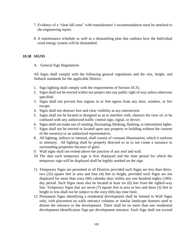- 7. Evidence of a "clear fall zone" with manufacturer's recommendation must be attached to the engineering report.
- 8. A maintenance schedule as well as a dismantling plan that outlines how the Individual wind energy system will be dismantled.

### **10.38 SIGNS**

### A. General Sign Regulations

All Signs shall comply with the following general regulations and the size, height, and Setback standards for the applicable District.

- 1. Sign lighting shall comply with the requirements of Section 10.35.
- 2. Signs shall not be erected within nor project into any public right of way unless otherwise specified.
- 3. Signs shall not prevent free ingress to or free egress from any door, window, or fire escape.
- 4. Signs shall not obstruct free and clear visibility at any intersection.
- 5. Signs shall not be located or designed so as to interfere with, obstruct the view of, or be confused with any authorized traffic control sign, signal, or device.
- 6. Signs shall not make use of rotating, fluctuating, blinking, flashing, or intermittent lights.
- 7. Signs shall not be erected or located upon any property or building without the consent of the owner(s) or an authorized representative.
- 8. All lighting, indirect or internal, shall consist of constant illumination, which is uniform in intensity. All lighting shall be properly directed so as to not create a nuisance to surrounding properties because of glare.
- 9. Wall signs shall not extend above the junction of any roof and wall.
- 10. The date each temporary sign is first displayed and the time period for which the temporary sign will be displayed shall be legibly marked on the sign.
- 11. Temporary Signs are permitted in all Districts provided such Signs are less than thirtytwo (32) square feet in area and four (4) feet in height, provided such Signs are not displayed for more than sixty (60) calendar days within any one hundred eighty (180) day period. Such Signs must also be located at least six (6) feet from the rightof-way line. Temporary Signs that are seven (7) square feet in area or less and three (3) feet in height or less shall not be subject to the sixty (60) day time limit.
- 12. Permanent Signs identifying a residential development shall be limited to Wall Signs only, with placement on walls entrance columns or similar landscape features used to denote the entrance to the development. There shall be no more than one residential development identification Sign per development entrance. Each Sign shall not exceed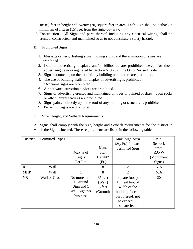six (6) feet in height and twenty (20) square feet in area. Each Sign shall be Setback a minimum of fifteen (15) feet from the right–of– way.

- 13. Construction All Signs and parts thereof, including any electrical wiring, shall be erected, constructed, and maintained so as to not constitute a safety hazard.
- B. Prohibited Signs
	- 1. Message centers, flashing signs, moving signs, and the animation of signs are prohibited.
	- 2. Outdoor advertising displays and/or billboards are prohibited except for those advertising devices regulated by Section [519.20 of](http://codes.ohio.gov/orc/519) the Ohio Revised Code.
	- 3. Signs mounted upon the roof of any building or structure are prohibited.
	- 4. The use of building walls for display of advertising is prohibited.
	- 5. "A" frame signs are prohibited.
	- 6. Air activated attraction devices are prohibited.
	- 7. Signs or advertising erected and maintained on trees or painted or drawn upon rocks or other natural features are prohibited.
	- 8. Signs painted directly upon the roof of any building or structure is prohibited.
	- 9. Projecting signs are prohibited.
- C. Size, Height, and Setback Requirements.

All Signs shall comply with the size, height and Setback requirements for the district in which the Sign is located. These requirements are listed in the following table:

| District   | Permitted Types |               |          | Max. Sign Area     | Min.      |
|------------|-----------------|---------------|----------|--------------------|-----------|
|            |                 |               |          | (Sq. Ft.) for each | Setback   |
|            |                 |               | Max.     | permitted Sign     | from      |
|            |                 | Max. $#$ of   | Sign     |                    | R.O.W     |
|            |                 | <b>Signs</b>  | Height*  |                    | (Monument |
|            |                 | Per Lot       | (Ft.)    |                    | Signs)    |
| <b>RR</b>  | Wall            |               | 8        | 2                  | N/A       |
| <b>MHP</b> | Wall            |               | 8        | $\overline{2}$     | N/A       |
| NB         | Wall or Ground  | No more than  | 35 feet  | 1 square foot per  | 20        |
|            |                 | 1 Ground      | (Wall)   | 1 lineal foot of   |           |
|            |                 | Sign and 1    | 8 feet   | width of the       |           |
|            |                 | Wall Sign per | (Ground) | building face or   |           |
|            |                 | business      |          | part thereof, not  |           |
|            |                 |               |          | to exceed 80       |           |
|            |                 |               |          | square feet.       |           |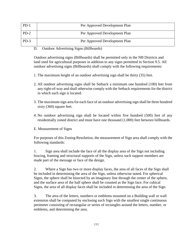| $PD-1$ | Per Approved Development Plan |
|--------|-------------------------------|
| $PD-2$ | Per Approved Development Plan |
| $PD-3$ | Per Approved Development Plan |

D. Outdoor Advertising Signs (Billboards)

Outdoor advertising signs (Billboards) shall be permitted only in the NB Districts and land used for agricultural purposes in addition to any signs permitted in Section 9.5. All outdoor advertising signs (Billboards) shall comply with the following requirements:

- 1. The maximum height of an outdoor advertising sign shall be thirty (35) feet.
- 2. All outdoor advertising signs shall be Setback a minimum one hundred (100) feet from any right-of-way and shall otherwise comply with the Setback requirements for the district in which such sign is located.
- 3. The maximum sign area for each face of an outdoor advertising sign shall be three hundred sixty (360) square feet.
- 4. No outdoor advertising sign shall be located within five hundred (500) feet of any residentially zoned district and must have one thousand (1,000) feet between billboards.
- E. Measurement of Signs

For purposes of this Zoning Resolution, the measurement of Sign area shall comply with the following standards:

1. Sign area shall include the face of all the display area of the Sign not including bracing, framing and structural supports of the Sign, unless such support members are made part of the message or face of the design.

2. Where a Sign has two or more display faces, the area of all faces of the Sign shall be included in determining the area of the Sign, unless otherwise noted. For spherical Signs, the sphere shall be bisected by an imaginary line through the center of the sphere, and the surface area of the half sphere shall be counted as the Sign face. For cubical Signs, the area of all display faces shall be included in determining the area of the Sign.

3. The area of the letters, numbers or emblems mounted on a Building wall or wall extension shall be computed by enclosing such Sign with the smallest single continuous perimeter consisting of rectangular or series of rectangles around the letters, number, or emblems, and determining the area.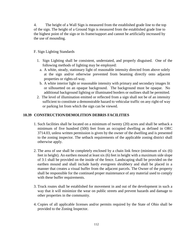4. The height of a Wall Sign is measured from the established grade line to the top of the sign. The height of a Ground Sign is measured from the established grade line to the highest point of the sign or its frame/support and cannot be artificially increased by the use of mounding.

### F. Sign Lighting Standards

- 1. Sign Lighting shall be consistent, understated, and properly disguised. One of the following methods of lighting may be employed:
	- a. A white, steady, stationary light of reasonable intensity directed from above solely at the sign and/or otherwise prevented from beaming directly onto adjacent properties or rights-of-way.
	- b. A white interior light or reasonable intensity with primary and secondary images lit or silhouetted on an opaque background. The background must be opaque. No additional background lighting or illuminated borders or outlines shall be permitted.
- 2. The level of illumination emitted or reflected from a sign shall not be of an intensity sufficient to constitute a demonstrable hazard to vehicular traffic on any right-of way or parking lot from which the sign can be viewed.

### **10.39 CONSTRUCTION/DEMOLITION DEBRIS FACILITIES**

- 1. Such facilities shall be located on a minimum of twenty (20) acres and shall be setback a minimum of five hundred (500) feet from an occupied dwelling as defined in ORC [3714.03, u](http://codes.ohio.gov/orc/3714)nless written permission is given by the owner of the dwelling and is presented to the zoning inspector. The setback requirements of the applicable zoning district shall otherwise apply.
- 2. The area of use shall be completely enclosed by a chain link fence (minimum of six (6) feet in height). An earthen mound at least six (6) feet in height with a maximum side slope of 3:1 shall be provided on the inside of the fence. Landscaping shall be provided on the earthen mound and shall include hardy evergreen shrubbery and shall be placed in a manner that creates a visual buffer from the adjacent parcels. The Owner of the property shall be responsible for the continued proper maintenance of any material used to comply with these buffer requirements.
- 3. Truck routes shall be established for movement in and out of the development in such a way that it will minimize the wear on public streets and prevent hazards and damage to other properties in the community.
- 4. Copies of all applicable licenses and/or permits required by the State of Ohio shall be provided to the Zoning Inspector.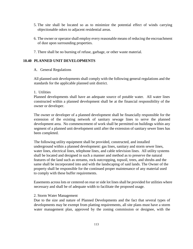- 5. The site shall be located so as to minimize the potential effect of winds carrying objectionable odors to adjacent residential areas.
- 6. The owner or operator shall employ every reasonable means of reducing the encroachment of dust upon surrounding properties.
- 7. There shall be no burning of refuse, garbage, or other waste material.

#### **10.40 PLANNED UNIT DEVELOPMENTS**

#### A. General Regulations

All planned unit developments shall comply with the following general regulations and the standards for the applicable planned unit district.

#### 1. Utilities

Planned developments shall have an adequate source of potable water. All water lines constructed within a planned development shall be at the financial responsibility of the owner or developer.

The owner or developer of a planned development shall be financially responsible for the extension of the existing network of sanitary sewage lines to serve the planned development area. No commencement of work shall be permitted on buildings within any segment of a planned unit development until after the extension of sanitary sewer lines has been completed.

The following utility equipment shall be provided, constructed, and installed underground within a planned development: gas lines, sanitary and storm sewer lines, water lines, electrical lines, telephone lines, and cable television lines. All utility systems shall be located and designed in such a manner and method as to preserve the natural features of the land such as streams, rock outcropping, topsoil, trees, and shrubs and the same shall be incorporated into and with the landscaping of said lands. The Owner of the property shall be responsible for the continued proper maintenance of any material used to comply with these buffer requirements.

Easements across lots or centered on rear or side lot lines shall be provided for utilities where necessary and shall be of adequate width to facilitate the proposed usage.

#### 2. Storm Water Management

Due to the size and nature of Planned Developments and the fact that several types of developments may be exempt from platting requirements, all site plans must have a storm water management plan, approved by the zoning commission or designee, with the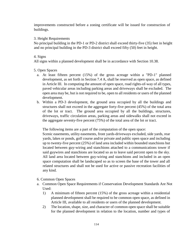improvements constructed before a zoning certificate will be issued for construction of buildings.

### 3. Height Requirements

No principal building in the PD-1 or PD-2 district shall exceed thirty-five (35) feet in height and no principal building in the PD-3 district shall exceed fifty (50) feet in height.

### 4. Signs

All signs within a planned development shall be in accordance with Section 10.38.

### 5. Open Spaces

- a. At least fifteen percent (15%) of the gross acreage within a "PD-1" planned development, as set forth in Section 7.4 A, shall be reserved as open space, as defined in Article III. In computing the amount of open space, road rights-of-way of all types, paved vehicular areas including parking areas and driveways shall be excluded. The open area may be, but is not required to be, open to all residents or users of the planned development.
- b. Within a PD-3 development, the ground area occupied by all the buildings and structures shall not exceed in the aggregate forty-five percent (45%) of the total area of the lot or tract. The ground area occupied by all the buildings, structures, driveways, traffic circulation areas, parking areas and sidewalks shall not exceed in the aggregate seventy-five percent (75%) of the total area of the lot or tract.

The following items are a part of the computation of the open space:

Scenic easements, utility easements, front yards-driveways excluded, side yards, rear yards, lakes or ponds, golf course and/or private and public open space and including up to twenty-five percent (25%) of land area included within bounded stanchions but located between guy-wiring and stanchions attached to a communications tower if said guywires and stanchions are located so as to leave said percent open to the sky. All land area located between guy-wiring and stanchions and included in an open space computation shall be landscaped so as to screen the base of the tower and all related structures and shall not be used for active or passive recreation facilities of any kind.

### 6. Common Open Spaces

- a. Common Open Space Requirements if Conservation Development Standards Are Not Used:
	- 1) A minimum of fifteen percent (15%) of the gross acreage within a residential planned development shall be required to be common open space, as defined in Article III, available to all residents or users of the planned development.
	- 2) The location, shape, size, and character of common open space shall be suitable for the planned development in relation to the location, number and types of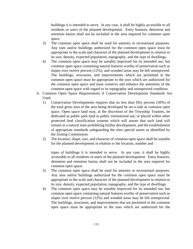buildings it is intended to serve. In any case, it shall be highly accessible to all residents or users of the planned development. Entry features, detention and retention basins shall not be included in the area required for common open space.

- 3) The common open space shall be used for amenity or recreational purposes. Any uses and/or buildings authorized for the common open space must be appropriate to the scale and character of the planned development in relation to its size, density, expected population, topography, and the type of dwellings.
- 4) The common open space may be suitably improved for its intended use, but common open space containing natural features worthy of preservation such as slopes over twelve percent (12%), and wooded areas may be left unimproved. The buildings, structures, and improvements which are permitted in the common open space must be appropriate to the uses which are authorized for the common open space and must conserve and enhance the amenities of the common open space with regard to its topography and unimproved condition.
- b. Common Open Space Requirements if Conservation Development Standards Are Used:
	- 1) Conservation Developments requires that no less than fifty percent (50%) of the total gross area of the area being developed be set-a-side as common open space. Open space land may, at the discretion of the Township Trustees, be dedicated as public park land or public institutional use; or placed within other protected land classification systems which will assure that such land will remain in a natural state prohibiting further development, and the establishment of appropriate standards safeguarding the sites special assets as identified by the Zoning Commission.
	- 2) The location, shape, size, and character of common open space shall be suitable for the planned development in relation to the location, number and

types of buildings it is intended to serve. In any case, it shall be highly accessible to all residents or users of the planned development. Entry features, detention and retention basins shall not be included in the area required for common open space.

- 3) The common open space shall be used for amenity or recreational purposes. Any uses and/or buildings authorized for the common open space must be appropriate to the scale and character of the planned development in relation to its size, density, expected population, topography, and the type of dwellings.
- 4) The common open space may be suitably improved for its intended use, but common open space containing natural features worthy of preservation such as slopes over twelve percent (12%) and wooded areas may be left unimproved. The buildings, structures, and improvements that are permitted in the common open space must be appropriate to the uses which are authorized for the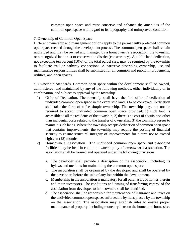common open space and must conserve and enhance the amenities of the common open space with regard to its topography and unimproved condition.

### 7. Ownership of Common Open Space

Different ownership and management options apply to the permanently protected common open space created through the development process. The common open space shall remain undivided and may be owned and managed by a homeowner's association, the township, or a recognized land trust or conservation district (conservancy). A public land dedication, not exceeding ten percent (10%) of the total parcel size, may be required by the township to facilitate trail or pathway connections. A narrative describing ownership, use and maintenance responsibilities shall be submitted for all common and public improvements, utilities, and open spaces.

a. Ownership Standards. Common open space within the development shall be owned, administered, and maintained by any of the following methods, either individually or in combination, and subject to approval by the township.

- 1) Offer of Dedication. The township shall have the first offer of dedication of undivided common open space in the event said land is to be conveyed. Dedication shall take the form of a fee simple ownership. The township may, but not be required to accept undivided common open space provided: 1) such land is accessible to all the residents of the township; 2) there is no cost of acquisition other than incidental costs related to the transfer of ownership; 3) the township agrees to maintain such lands. Where the township accepts dedication of common open space that contains improvements, the township may require the posting of financial security to ensure structural integrity of improvements for a term not to exceed eighteen (18) months.
- 2) Homeowners Association. The undivided common open space and associated facilities may be held in common ownership by a homeowner's association. The association shall be formed and operated under the following provisions:
	- a. The developer shall provide a description of the association, including its bylaws and methods for maintaining the common open space.
	- b. The association shall be organized by the developer and shall be operated by the developer, before the sale of any lots within the development.
	- c. Membership in the association is mandatory for all purchasers of homes therein and their successors. The conditions and timing of transferring control of the association from developer to homeowners shall be identified.
	- d. The association shall be responsible for maintenance of insurance and taxes on the undivided common open space, enforceable by liens placed by the township on the association. The association may establish rules to ensure proper maintenance of property, including monetary liens on the homes and home sites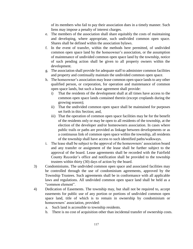of its members who fail to pay their association dues in a timely manner. Such liens may impose a penalty of interest charges.

- e. The members of the association shall share equitably the costs of maintaining and developing, where appropriate, such undivided common open space. Shares shall be defined within the association bylaws.
- f. In the event of transfer, within the methods here permitted, of undivided common open space land by the homeowner's association, or the assumption of maintenance of undivided common open space land by the township, notice of such pending action shall be given to all property owners within the development.
- g. The association shall provide for adequate staff to administer common facilities and property and continually maintain the undivided common open space.
- h. The homeowner's association may lease common open space lands to any other qualified person, or corporation, for operation and maintenance of common open space lands, but such a lease agreement shall provide:
	- i) That the residents of the development shall at all times have access to the common open space lands contained therein (except croplands during the growing season);
	- ii) That the undivided common open space shall be maintained for purposes set forth in this Section; and,
	- iii) That the operation of common open space facilities may be for the benefit of the residents only or may be open to all residents of the township, at the election of the developer and/or homeowners association. In cases where public trails or paths are provided as linkage between developments or as a continuous link of common open space within the township, all residents of the township shall have access to such identified paths/walkways.
- i. The lease shall be subject to the approval of the homeowners' association board and any transfer or assignment of the lease shall be further subject to the approval of the board. Lease agreements shall be recorded with the Fairfield County Recorder's office and notification shall be provided to the township trustees within thirty (30) days of action by the board.
- 3) Condominiums. The undivided common open space and associated facilities may be controlled through the use of condominium agreements, approved by the Township Trustees. Such agreements shall be in conformance with all applicable laws and regulations. All undivided common open space land shall be held as a "common element".
- 4) Dedication of Easements. The township may, but shall not be required to, accept easements for public use of any portion or portions of undivided common open space land, title of which is to remain in ownership by condominium or homeowners' association, provided:
	- a. Such land is accessible to township residents.
	- b. There is no cost of acquisition other than incidental transfer of ownership costs.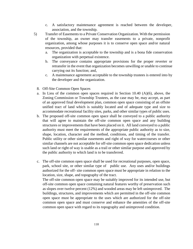- c. A satisfactory maintenance agreement is reached between the developer, association, and the township.
- 5) Transfer of Easements to a Private Conservation Organization. With the permission of the township, an owner may transfer easements to a private, nonprofit organization, among whose purposes it is to conserve open space and/or natural resources, provided that:
	- a. The organization is acceptable to the township and is a bona fide conservation organization with perpetual existence.
	- b. The conveyance contains appropriate provisions for the proper reverter or retransfer in the event that organization becomes unwilling or unable to continue carrying out its function; and,
	- c. A maintenance agreement acceptable to the township trustees is entered into by the developer and the organization.
	- 8. Off-Site Common Open Spaces
	- a. In Lieu of the common open spaces required in Section 10.40 (A)(6), above, the Zoning Commission or Township Trustees, as the case may be, may accept, as part of an approved final development plan, common open space consisting of an offsite unified tract of land which is suitably located and of adequate type and size to accommodate recreational facility sites, parks, and other similar types of public uses.
	- b. The proposed off-site common open space shall be conveyed to a public authority that will agree to maintain the off-site common open space and any building structures or improvements that have been placed on it. All land conveyed to a public authority must meet the requirements of the appropriate public authority as to size, shape, location, character and the method, conditions, and timing of the transfer. Public utility or other similar easements and right of way for watercourses or other similar channels are not acceptable for off-site common open space dedication unless such land or right of way is usable as a trail or other similar purpose and approved by the public authority to which land is to be transferred.
	- c. The off-site common open space shall be used for recreational purposes, open space, park, school site, or other similar type of public use. Any uses and/or buildings authorized for the off- site common open space must be appropriate in relation to the location, size, shape, and topography of the tract.

The off-site common open space may be suitably improved for its intended use, but off-site common open space containing natural features worthy of preservation such as slopes over twelve percent (12%) and wooded areas may be left unimproved. The buildings, structures, and improvements which are permitted in the off-site common open space must be appropriate to the uses which are authorized for the off-site common open space and must conserve and enhance the amenities of the off-site common open space with regard to its topography and unimproved condition.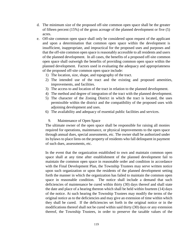- d. The minimum size of the proposed off-site common open space shall be the greater of fifteen percent (15%) of the gross acreage of the planned development or five (5) acres.
- e. Off-site common open space shall only be considered upon request of the applicant and upon a determination that common open space within the development is insufficient, inappropriate, and impractical for the proposed uses and purposes and that the off-site common open space is reasonably accessible to all residents and users of the planned development. In all cases, the benefits of a proposed off-site common open space shall outweigh the benefits of providing common open space within the planned development. Factors used in evaluating the adequacy and appropriateness of the proposed off-site common open space include:
	- 1) The location, size, shape, and topography of the tract.
	- 2) The intended use of the tract and the existing and proposed amenities, improvements, and facilities.
	- 3) The access to and location of the tract in relation to the planned development.
	- 4) The method and degree of integration of the tract with the planned development.
	- 5) The character of the Zoning District in which the tract is located, the uses permissible within the district and the compatibility of the proposed uses with adjoining development and uses.
	- 6) The availability and adequacy of essential public facilities and services.

#### 9. Maintenance of Open Space

The ultimate owner of the open space shall be responsible for raising all monies required for operations, maintenance, or physical improvements to the open space through annual dues, special assessments, etc. The owner shall be authorized under its bylaws to place liens on the property of residents who fall delinquent in payment of such dues, assessments, etc.

In the event that the organization established to own and maintain common open space shall at any time after establishment of the planned development fail to maintain the common open space in reasonable order and condition in accordance with the Final Development Plan, the Township Trustees may serve written notice upon such organization or upon the residents of the planned development setting forth the manner in which the organization has failed to maintain the common open space in reasonable condition. The notice shall include a demand that such deficiencies of maintenance be cured within thirty (30) days thereof and shall state the date and place of a hearing thereon which shall be held within fourteen (14) days of the notice. At such hearing the Township Trustees may modify the terms of the original notice as to the deficiencies and may give an extension of time within which they shall be cured. If the deficiencies set forth in the original notice or in the modifications thereof shall not be cured within said thirty (30) days or any extension thereof, the Township Trustees, in order to preserve the taxable values of the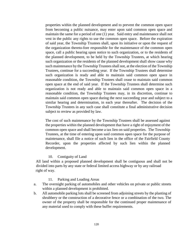properties within the planned development and to prevent the common open space from becoming a public nuisance, may enter upon said common open space and maintain the same for a period of one (1) year. Said entry and maintenance shall not vest in the public any rights to use the common open space. Before the expiration of said year, the Township Trustees shall, upon its initiative or upon the request of the organization thereto-fore responsible for the maintenance of the common open space, call a public hearing upon notice to such organization, or to the residents of the planned development, to be held by the Township Trustees, at which hearing such organization or the residents of the planned development shall show cause why such maintenance by the Township Trustees shall not, at the election of the Township Trustees, continue for a succeeding year. If the Township Trustees shall determine such organization is ready and able to maintain said common open space in reasonable condition, the Township Trustees shall cease to maintain said common open space at the end of said year. If the Township Trustees shall determine such organization is not ready and able to maintain said common open space in a reasonable condition, the Township Trustees may, in its discretion, continue to maintain said common open space during the next succeeding year and subject to a similar hearing and determination, in each year thereafter. The decision of the Township Trustees in any such case shall constitute a final administrative decision subject to review as provided by law.

The cost of such maintenance by the Township Trustees shall be assessed against the properties within the planned development that have a right of enjoyment of the common open space and shall become a tax lien on said properties. The Township Trustees, at the time of entering upon said common open space for the purpose of maintenance, shall file a notice of such lien in the office of the Fairfield County Recorder, upon the properties affected by such lien within the planned development.

### 10. Contiguity of Land

All land within a proposed planned development shall be contiguous and shall not be divided into parts by any state or federal limited access highway or by any railroad right of way.

### 11. Parking and Loading Areas

- a. The overnight parking of automobiles and other vehicles on private or public streets within a planned development is prohibited.
- b. All automobile parking lots shall be screened from adjoining streets by the planting of shrubbery or the construction of a decorative fence or a combination of the two. The owner of the property shall be responsible for the continued proper maintenance of any material used to comply with these buffer requirements.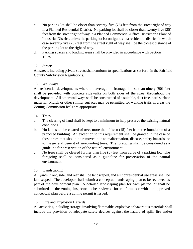- c. No parking lot shall be closer than seventy-five (75) feet from the street right of way in a Planned Residential District. No parking lot shall be closer than twenty-five (25) feet from the street right of way in a Planned Commercial-Office District or a Planned Industrial District, unless the parking lot is contiguous to a residential district, in which case seventy-five (75) feet from the street right of way shall be the closest distance of the parking lot to the right of way.
- d. Parking spaces and loading areas shall be provided in accordance with Section 10.25.

# 12. Streets

All streets including private streets shall conform to specifications as set forth in the Fairfield County Subdivision Regulations.

# 13. Walkways

All residential developments where the average lot frontage is less than ninety (90) feet shall be provided with concrete sidewalks on both sides of the street throughout the development. All other walkways shall be constructed of a suitable, dust free, hard surface material. Mulch or other similar surfaces may be permitted for walking trails in areas the Zoning Commission feels are appropriate.

- 14. Trees
- a. The clearing of land shall be kept to a minimum to help preserve the existing natural conditions.
- b. No land shall be cleared of trees more than fifteen (15) feet from the foundation of a proposed building. An exception to this requirement shall be granted in the case of those trees that should be removed due to malformation, disease, safety hazards, or to the general benefit of surrounding trees. The foregoing shall be considered as a guideline for preservation of the natural environment.
- c. No trees shall be cleared further than five (5) feet from curbs of a parking lot. The foregoing shall be considered as a guideline for preservation of the natural environment.

# 15. Landscaping

All yards, front, side, and rear shall be landscaped, and all nonresidential use areas shall be landscaped. The developer shall submit a conceptual landscaping plan to be reviewed as part of the development plan. A detailed landscaping plan for each platted lot shall be submitted to the zoning inspector to be reviewed for conformance with the approved conceptual plan before a zoning permit is issued.

# 16. Fire and Explosion Hazards

All activities, including storage, involving flammable, explosive or hazardous materials shall include the provision of adequate safety devices against the hazard of spill, fire and/or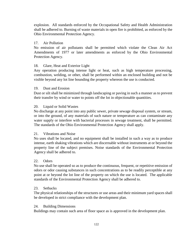explosion. All standards enforced by the Occupational Safety and Health Administration shall be adhered to. Burning of waste materials in open fire is prohibited, as enforced by the Ohio Environmental Protection Agency.

### 17. Air Pollution

No emission of air pollutants shall be permitted which violate the Clean Air Act Amendments of 1977 or later amendments as enforced by the Ohio Environmental Protection Agency.

### 18. Glare, Heat and Exterior Light

Any operation producing intense light or heat, such as high temperature processing, combustion, welding, or other, shall be performed within an enclosed building and not be visible beyond any lot line bounding the property whereon the use is conducted.

### 19. Dust and Erosion

Dust or silt shall be minimized through landscaping or paving in such a manner as to prevent their transfer by wind or water to points off the lot in objectionable quantities.

### 20. Liquid or Solid Wastes

No discharge at any point into any public sewer, private sewage disposal system, or stream, or into the ground, of any materials of such nature or temperature as can contaminate any water supply or interfere with bacterial processes in sewage treatment, shall be permitted. The standards of the Ohio Environmental Protection Agency shall apply.

### 21. Vibrations and Noise

No uses shall be located, and no equipment shall be installed in such a way as to produce intense, earth shaking vibrations which are discernable without instruments at or beyond the property line of the subject premises. Noise standards of the Environmental Protection Agency shall be adhered to.

### 22. Odors

No use shall be operated so as to produce the continuous, frequent, or repetitive emission of odors or odor causing substances in such concentrations as to be readily perceptible at any point at or beyond the lot line of the property on which the use is located. The applicable standards of the Environmental Protection Agency shall be adhered to.

### 23. Setbacks

The physical relationships of the structures or use areas and their minimum yard spaces shall be developed in strict compliance with the development plan.

### 24. Building Dimensions

Buildings may contain such area of floor space as is approved in the development plan.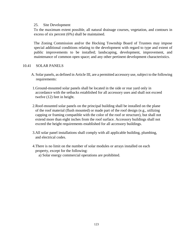#### 25. Site Development

To the maximum extent possible, all natural drainage courses, vegetation, and contours in excess of six percent (6%) shall be maintained.

The Zoning Commission and/or the Hocking Township Board of Trustees may impose special additional conditions relating to the development with regard to type and extent of public improvements to be installed; landscaping, development, improvement, and maintenance of common open space; and any other pertinent development characteristics.

#### 10.41 SOLAR PANELS

- A. Solar panels, as defined in Article III, are a permitted accessory use, subject to the following requirements:
- 1.Ground-mounted solar panels shall be located in the side or rear yard only in accordance with the setbacks established for all accessory uses and shall not exceed twelve (12) feet in height.
- 2.Roof-mounted solar panels on the principal building shall be installed on the plane of the roof material (flush mounted) or made part of the roof design (e.g., utilizing capping or framing compatible with the color of the roof or structure), but shall not extend more than eight inches from the roof surface. Accessory buildings shall not exceed the height requirements established for all accessory buildings.
- 3.All solar panel installations shall comply with all applicable building, plumbing, and electrical codes.
- 4.There is no limit on the number of solar modules or arrays installed on each property, except for the following:

a) Solar energy commercial operations are prohibited.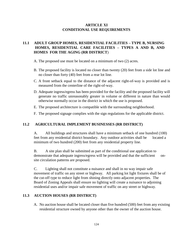# **ARTICLE XI CONDITIONAL USE REQUIREMENTS**

# **11.1 ADULT GROUP HOMES, RESIDENTIAL FACILITIES – TYPE B, NURSING HOMES, RESIDENTIAL CARE FACILITIES – TYPES A AND B, AND HOMES FOR THE AGING (RR DISTRICT**)

A. The proposed use must be located on a minimum of two (2) acres.

- B. The proposed facility is located no closer than twenty (20) feet from a side lot line and no closer than forty (40) feet from a rear lot line.
- C. A front setback equal to the distance of the adjacent right-of-way is provided and is measured from the centerline of the right-of-way.
- D. Adequate ingress/egress has been provided for the facility and the proposed facility will generate no traffic unreasonably greater in volume or different in nature than would otherwise normally occur in the district in which the use is proposed.
- E. The proposed architecture is compatible with the surrounding neighborhood.
- F. The proposed signage complies with the sign regulations for the applicable district.

### **11.2 AGRICULTURAL IMPLEMENT BUSINESSES (RR DISTRICT)**

A. All buildings and structures shall have a minimum setback of one hundred (100) feet from any residential district boundary. Any outdoor activities shall be located a minimum of two hundred (200) feet from any residential property line.

B. A site plan shall be submitted as part of the conditional use application to demonstrate that adequate ingress/egress will be provided and that the sufficient onsite circulation patterns are proposed.

C. Lighting shall not constitute a nuisance and shall in no way impair safe movement of traffic on any street or highway. All parking lot light fixtures shall be of the cut-off type to reduce light from shining directly onto adjacent properties. The Board of Zoning Appeals shall ensure no lighting will create a nuisance to adjoining residential uses and/or impair safe movement of traffic on any street or highway.

## **11.3 AUCTION HOUSES (RR DISTRICT)**

A. No auction house shall be located closer than five hundred (500) feet from any existing residential structure owned by anyone other than the owner of the auction house.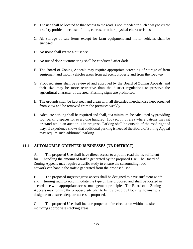- B. The use shall be located so that access to the road is not impeded in such a way to create a safety problem because of hills, curves, or other physical characteristics.
- C. All storage of sale items except for farm equipment and motor vehicles shall be enclosed
- D. No noise shall create a nuisance.
- E. No out of door auctioneering shall be conducted after dark.
- F. The Board of Zoning Appeals may require appropriate screening of storage of farm equipment and motor vehicles areas from adjacent property and from the roadway.
- G. Proposed signs shall be reviewed and approved by the Board of Zoning Appeals, and their size may be more restrictive than the district regulations to preserve the agricultural character of the area. Flashing signs are prohibited.
- H. The grounds shall be kept neat and clean with all discarded merchandise kept screened from view and be removed from the premises weekly.
- I. Adequate parking shall be required and shall, at a minimum, be calculated by providing four parking spaces for every one hundred (100) sq. ft. of area where patrons may sit or stand while an auction is in progress. Parking shall be outside of the road right of way. If experience shows that additional parking is needed the Board of Zoning Appeal may require such additional parking.

### **11.4 AUTOMOBILE ORIENTED BUSINESSES (NB DISTRICT)**

A. The proposed Use shall have direct access to a public road that is sufficient for handling the amount of traffic generated by the proposed Use. The Board of Zoning Appeals may require a traffic study to ensure the surrounding road network can handle the traffic generated from the proposed Use.

B. The proposed ingress/egress access shall be designed to have sufficient width and turning radii to accommodate the type of Use proposed and shall be located in accordance with appropriate access management principles. The Board of Zoning Appeals may require the proposed site plan to be reviewed by Hocking Township's designee to ensure adequate access is proposed.

C. The proposed Use shall include proper on-site circulation within the site, including appropriate stacking areas.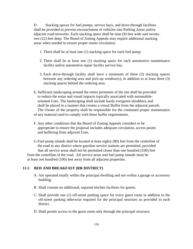D. Stacking spaces for fuel pumps, service bays, and drive-through facilities shall be provided to prevent encroachment of vehicles into Parking Areas and/or adjacent road networks. Each stacking space shall be nine (9) feet wide and twentytwo (22) feet deep. The Board of Zoning Appeals may require additional stacking areas when needed to ensure proper onsite circulation.

- 1. There shall be at least one (1) stacking space for each fuel pump.
- 2. There shall be at least one (1) stacking space for each automotive maintenance facility and/or automotive repair facility service bay.
- 3. Each drive-through facility shall have a minimum of three (3) stacking spaces between any ordering area and pick-up window(s), in addition to at least three (3) stacking spaces behind the ordering area.
- E. Sufficient landscaping around the entire perimeter of the site shall be provided to reduce the noise and visual impacts typically associated with automobileoriented Uses. The landscaping shall include hardy evergreen shrubbery and shall be placed in a manner that creates a visual Buffer from the adjacent parcels. The Owner of the property shall be responsible for the continued proper maintenance of any material used to comply with these buffer requirements.
- F. Any other conditions that the Board of Zoning Appeals considers to be appropriate to ensure the proposal includes adequate circulation, access points and buffering from adjacent Uses.

G.Fuel pump islands shall be located at least eighty (80) feet from the centerline of the road in any district where gasoline service stations are permitted, provided that all service areas shall not be permitted closer than one hundred (100) feet from the centerline of the road. All service areas and fuel pump islands must be at least one hundred (100) feet away from all adjacent properties.

### **11.5 BED AND BREAKFAST (RR DISTRICT)**

- A. Are operated totally within the principal dwelling and not within a garage or accessory building
- B. Shall contain no additional, separate kitchen facilities for guests.
- C. Shall provide one (1) off-street parking space for every guest room in addition to the off-street parking otherwise required for the principal structure as provided in each district.
- D. Shall permit access to the guest room only through the principal structure.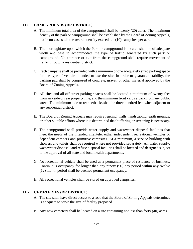# **11.6 CAMPGROUNDS (RR DISTRICT)**

- A. The minimum total area of the campground shall be twenty (20) acres. The maximum density of the park or campground shall be established by the Board of Zoning Appeals, but in no case shall the overall density exceed ten (10) campsites per acre.
- B. The thoroughfare upon which the Park or campground is located shall be of adequate width and base to accommodate the type of traffic generated by such park or campground. No entrance or exit from the campground shall require movement of traffic through a residential district.
- C. Each campsite shall be provided with a minimum of one adequately sized parking space for the type of vehicle intended to use the site. In order to guarantee stability, the parking pad shall be composed of concrete, gravel, or other material approved by the Board of Zoning Appeals.
- D. All sites and all off street parking spaces shall be located a minimum of twenty feet from any side or rear property line, and the minimum front yard setback from any public street. The minimum side or rear setbacks shall be three hundred feet when adjacent to any residential district.
- E. The Board of Zoning Appeals may require fencing, walls, landscaping, earth mounds, or other suitable efforts where it is determined that buffering or screening is necessary.
- F. The campground shall provide water supply and wastewater disposal facilities that meet the needs of the intended clientele, either independent recreational vehicles or dependent campers and primitive campsites. At a minimum, a service building with showers and toilets shall be required where not provided separately. All water supply, wastewater disposal, and refuse disposal facilities shall be located and designed subject to the approval of all state and local health departments.
- G. No recreational vehicle shall be used as a permanent place of residence or business. Continuous occupancy for longer than any ninety (90) day period within any twelve (12) month period shall be deemed permanent occupancy.
- H. All recreational vehicles shall be stored on approved campsites.

### **11.7 CEMETERIES (RR DISTRICT)**

- A. The site shall have direct access to a road that the Board of Zoning Appeals determines is adequate to serve the size of facility proposed.
- B. Any new cemetery shall be located on a site containing not less than forty (40) acres.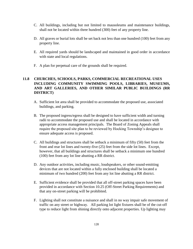- C. All buildings, including but not limited to mausoleums and maintenance buildings, shall not be located within three hundred (300) feet of any property line.
- D. All graves or burial lots shall be set back not less than one hundred (100) feet from any property line.
- E. All required yards should be landscaped and maintained in good order in accordance with state and local regulations.
- F. A plan for perpetual care of the grounds shall be required.

# **11.8 CHURCHES, SCHOOLS, PARKS, COMMERCIAL RECREATIONAL USES INCLUDING COMMUNITY SWIMMING POOLS, LIBRARIES, MUSEUMS, AND ART GALLERIES, AND OTHER SIMILAR PUBLIC BUILDINGS (RR DISTRICT)**

- A. Sufficient lot area shall be provided to accommodate the proposed use, associated buildings, and parking.
- B. The proposed ingress/egress shall be designed to have sufficient width and turning radii to accommodate the proposed use and shall be located in accordance with appropriate access management principals. The Board of Zoning Appeals shall require the proposed site plan to be reviewed by Hocking Township's designee to ensure adequate access is proposed.
- C. All buildings and structures shall be setback a minimum of fifty (50) feet from the front and rear lot lines and twenty-five (25) feet from the side lot lines. Except, however, that all buildings and structures shall be setback a minimum one hundred (100) feet from any lot line abutting a RR district.
- D. Any outdoor activities, including music, loudspeakers, or other sound-emitting devices that are not located within a fully enclosed building shall be located a minimum of two hundred (200) feet from any lot line abutting a RR district.
- E. Sufficient evidence shall be provided that all off-street parking spaces have been provided in accordance with Section 10.25 (Off-Street Parking Requirements) and that any on-street parking will be prohibited.
- F. Lighting shall not constitute a nuisance and shall in no way impair safe movement of traffic on any street or highway. All parking lot light fixtures shall be of the cut-off type to reduce light from shining directly onto adjacent properties. Up lighting may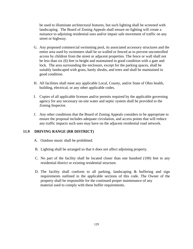be used to illuminate architectural features, but such lighting shall be screened with landscaping. The Board of Zoning Appeals shall ensure no lighting will create a nuisance to adjoining residential uses and/or impair safe movement of traffic on any street or highway.

- G. Any proposed commercial swimming pool, its associated accessory structures and the entire area used by swimmers shall be so walled or fenced as to prevent uncontrolled access by children from the street or adjacent properties. The fence or wall shall not be less than six (6) feet in height and maintained in good condition with a gate and lock. The area surrounding the enclosure, except for the parking spaces, shall be suitably landscaped with grass, hardy shrubs, and trees and shall be maintained in good condition.
- H. All facilities shall meet any applicable Local, County, and/or State of Ohio health, building, electrical, or any other applicable codes.
- I. Copies of all applicable licenses and/or permits required by the applicable governing agency for any necessary on-site water and septic system shall be provided to the Zoning Inspector.
- J. Any other conditions that the Board of Zoning Appeals considers to be appropriate to ensure the proposal includes adequate circulation, and access points that will reduce any traffic impacts such uses may have on the adjacent residential road network.

# **11.9 DRIVING RANGE (RR DISTRICT)**

- A. Outdoor music shall be prohibited.
- B. Lighting shall be arranged so that it does not affect adjoining property.
- C. No part of the facility shall be located closer than one hundred (100) feet to any residential district or existing residential structure.
- D. The facility shall conform to all parking, landscaping  $\&$  buffering and sign requirements outlined in the applicable sections of this code. The Owner of the property shall be responsible for the continued proper maintenance of any material used to comply with these buffer requirements.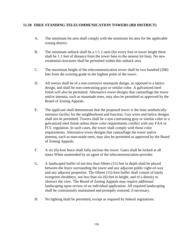# **11.10 FREE STANDING TELECOMMUNICATION TOWERS (RR DISTRICT)**

- A. The minimum lot area shall comply with the minimum lot area for the applicable zoning district.
- B. The minimum setback shall be a 1:1.1 ratio (for every foot in tower height there shall be 1.1 feet of distance from the tower base to the nearest lot line). No new residential structures shall be permitted within this setback area.
- C. The maximum height of the telecommunication tower shall be two hundred (200) feet from the existing grade to the highest point of the tower.
- D. All towers shall be of a non-corrosive monopole design, as opposed to a lattice design, and shall be non-contrasting gray or similar color. A galvanized steel finish will also be permitted. Alternative tower designs that camouflage the tower and/or antenna, such as manmade trees, may also be permitted as approved by the Board of Zoning Appeals.
- E. The applicant shall demonstrate that the proposed tower is the least aesthetically intrusive facility for the neighborhood and function. Guy wires and lattice designs shall not be permitted. Towers shall be a non-contrasting gray or similar color or a galvanized steel finish unless these color requirements conflict with any FAA or FCC regulation. In such cases, the tower shall comply with those color requirements. Alternative tower designs that camouflage the tower and/or antenna, such as man-made trees, may also be permitted as approved by the Board of Zoning Appeals.
- F. A six (6)-foot fence shall fully enclose the tower. Gates shall be locked at all times When unattended by an agent of the telecommunication provider.
- G. A landscaped buffer of not less than fifteen (15) feet in depth shall be placed between the fence surrounding the tower and any adjacent public right-of-way and any adjacent properties. The fifteen (15)-foot buffer shall consist of hardy evergreen shrubbery, not less than six (6) feet in height, and of a density to obstruct the view. The Board of Zoning Appeals may require additional landscaping upon review of an individual application. All required landscaping shall be continuously maintained and promptly restored, if necessary.
- H. No lighting shall be permitted, except as required by federal regulations.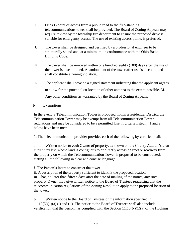- I. One (1) point of access from a public road to the free-standing telecommunications tower shall be provided. The Board of Zoning Appeals may require review by the township fire department to ensure the proposed drive is suitable for emergency access. The use of existing access points is preferred.
- J. The tower shall be designed and certified by a professional engineer to be structurally sound and, at a minimum, in conformance with the Ohio Basic Building Code.
- K. The tower shall be removed within one hundred eighty (180) days after the use of the tower is discontinued. Abandonment of the tower after use is discontinued shall constitute a zoning violation.
- L. The applicant shall provide a signed statement indicating that the applicant agrees to allow for the potential co-location of other antenna to the extent possible. M. Any other conditions as warranted by the Board of Zoning Appeals.
- N. Exemptions

In the event, a Telecommunication Tower is proposed within a residential District, the Telecommunication Tower may be exempt from all Telecommunication Tower regulations and may be considered to be a permitted Use, if criteria listed in 1 and 2 below have been met:

1. The telecommunication provider provides each of the following by certified mail:

a. Written notice to each Owner of property, as shown on the County Auditor's then current tax list, whose land is contiguous to or directly across a Street or roadway from the property on which the Telecommunication Tower is proposed to be constructed, stating all the following in clear and concise language:

i. The Person's intent to construct the tower.

ii. A description of the property sufficient to identify the proposed location. iii. That, no later than fifteen days after the date of mailing of the notice, any such property Owner may give written notice to the Board of Trustees requesting that the telecommunication regulations of the Zoning Resolution apply to the proposed location of the tower.

b. Written notice to the Board of Trustees of the information specified in  $11.10(N)(1)(a)$  (i) and (ii). The notice to the Board of Trustees shall also include verification that the person has complied with the Section  $11.10(N)(1)(a)$  of the Hocking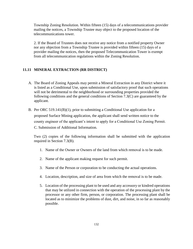Township Zoning Resolution. Within fifteen (15) days of a telecommunications provider mailing the notices, a Township Trustee may object to the proposed location of the telecommunications tower.

2. If the Board of Trustees does not receive any notice from a notified property Owner nor any objection from a Township Trustee is provided within fifteen (15) days of a provider mailing the notices, then the proposed Telecommunication Tower is exempt from all telecommunication regulations within the Zoning Resolution.

### **11.11 MINERAL EXTRACTION (RR DISTRICT)**

- A. The Board of Zoning Appeals may permit a Mineral Extraction in any District where it is listed as a Conditional Use, upon submission of satisfactory proof that such operations will not be detrimental to the neighborhood or surrounding properties provided the following conditions and the general conditions of Section 7.3(C) are guaranteed by the applicant.
- B. Per ORC [519.141\(B\)\(1\),](http://codes.ohio.gov/orc/519) prior to submitting a Conditional Use application for a proposed Surface Mining application, the applicant shall send written notice to the county engineer of the applicant's intent to apply for a Conditional Use Zoning Permit. C. Submission of Additional Information.

Two (2) copies of the following information shall be submitted with the application required in Section 7.3(B).

- 1. Name of the Owner or Owners of the land from which removal is to be made.
- 2. Name of the applicant making request for such permit.
- 3. Name of the Person or corporation to be conducting the actual operations.
- 4. Location, description, and size of area from which the removal is to be made.
- 5. Location of the processing plant to be used and any accessory or kindred operations that may be utilized in connection with the operation of the processing plant by the processor or any other firm, person, or corporation. The processing plant shall be located as to minimize the problems of dust, dirt, and noise, in so far as reasonably possible.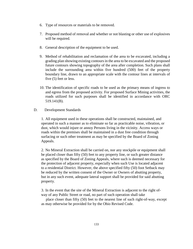- 6. Type of resources or materials to be removed.
- 7. Proposed method of removal and whether or not blasting or other use of explosives will be required.
- 8. General description of the equipment to be used.
- 9. Method of rehabilitation and reclamation of the area to be excavated, including a grading plan showing existing contours in the area to be excavated and the proposed future contours showing topography of the area after completion. Such plans shall include the surrounding area within five hundred (500) feet of the property boundary line, drawn to an appropriate scale with the contour lines at intervals of five (5) feet or less.
- 10. The identification of specific roads to be used as the primary means of ingress to and egress from the proposed activity. For proposed Surface Mining activities, the roads utilized for such purposes shall be identified in accordance with ORC [519.141\(B\).](http://codes.ohio.gov/orc/519)
- D. Development Standards

1. All equipment used in these operations shall be constructed, maintained, and operated in such a manner as to eliminate so far as practicable noise, vibration, or dust, which would injure or annoy Persons living in the vicinity. Access ways or roads within the premises shall be maintained in a dust free condition through surfacing or such other treatment as may be specified by the Board of Zoning Appeals.

2. No Mineral Extraction shall be carried on, nor any stockpile or equipment shall be placed closer than fifty (50) feet to any property line, or such greater distance as specified by the Board of Zoning Appeals, where such is deemed necessary for the protection of adjacent property, especially when such Use is located adjacent to a residential District. However, the above specified fifty (50) foot Setback may be reduced by the written consent of the Owner or Owners of abutting property, but in any such event, adequate lateral support shall be provided for said abutting property.

3. In the event that the site of the Mineral Extraction is adjacent to the right ofway of any Public Street or road, no part of such operation shall take

 place closer than fifty (50) feet to the nearest line of such right-of-way, except as may otherwise be provided for by the Ohio Revised Code.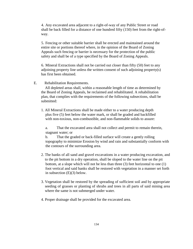4. Any excavated area adjacent to a right-of-way of any Public Street or road shall be back filled for a distance of one hundred fifty (150) feet from the right-ofway.

5. Fencing or other suitable barrier shall be erected and maintained around the entire site or portions thereof where, in the opinion of the Board of Zoning Appeals such fencing or barrier is necessary for the protection of the public safety and shall be of a type specified by the Board of Zoning Appeals.

6. Mineral Extractions shall not be carried out closer than fifty (50) feet to any adjoining property line unless the written consent of such adjoining property(s) has first been obtained.

### E. Rehabilitation Requirements.

 All depleted areas shall, within a reasonable length of time as determined by the Board of Zoning Appeals, be reclaimed and rehabilitated. A rehabilitation plan, that complies with the requirements of the following subsections, shall be submitted:

1. All Mineral Extractions shall be made either to a water producing depth plus five (5) feet below the water mark, or shall be graded and backfilled with non-toxious, non-combustible, and non-flammable solids to assure:

a. That the excavated area shall not collect and permit to remain therein, stagnant water; or

b. That the graded or back-filled surface will create a gently rolling topography to minimize Erosion by wind and rain and substantially conform with the contours of the surrounding area.

- 2. The banks of all sand and gravel excavations in a water producing excavation, and to the pit bottom in a dry operation, shall be sloped to the water line on the pit bottom, at a slope which will not be less than three (3) feet horizontal to one (1) foot vertical and said banks shall be restored with vegetation in a manner set forth in subsection (E)(3) below.
- 3. Vegetation shall be restored by the spreading of sufficient soil and by appropriate seeding of grasses or planting of shrubs and trees in all parts of said mining area where the same is not submerged under water.
- 4. Proper drainage shall be provided for the excavated area.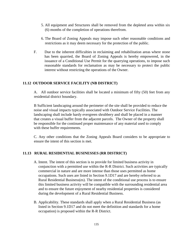- 5. All equipment and Structures shall be removed from the depleted area within six (6) months of the completion of operations therefrom.
- 6. The Board of Zoning Appeals may impose such other reasonable conditions and restrictions as it may deem necessary for the protection of the public.
- F. Due to the inherent difficulties in reclaiming and rehabilitation areas where stone has been quarried, the Board of Zoning Appeals is hereby empowered, in the issuance of a Conditional Use Permit for the quarrying operations, to impose such reasonable standards for reclamation as may be necessary to protect the public interest without restricting the operations of the Owner.

### **11.12 OUTDOOR SERVICE FACILITY (NB DISTRICT)**

A. All outdoor service facilities shall be located a minimum of fifty (50) feet from any residential district boundary.

B Sufficient landscaping around the perimeter of the site shall be provided to reduce the noise and visual impacts typically associated with Outdoor Service Facilities. The landscaping shall include hardy evergreen shrubbery and shall be placed in a manner that creates a visual buffer from the adjacent parcels. The Owner of the property shall be responsible for the continued proper maintenance of any material used to comply with these buffer requirements.

C. Any other conditions that the Zoning Appeals Board considers to be appropriate to ensure the intent of this section is met.

#### **11.13 RURAL RESIDENTIAL BUSINESSES (RR DISTRICT)**

- A. Intent. The intent of this section is to provide for limited business activity in conjunction with a permitted use within the R-R District. Such activities are typically commercial in nature and are more intense than those uses permitted as home occupations. Such uses are listed in Section 9.1D17 and are hereby referred to as Rural Residential Business(es). The intent of the conditional use process is to ensure this limited business activity will be compatible with the surrounding residential area and to ensure the future enjoyment of nearby residential properties is considered during the development of a Rural Residential Business.
- B. Applicability. These standards shall apply when a Rural Residential Business (as listed in Section 9.1D17 and do not meet the definition and standards for a home occupation) is proposed within the R-R District.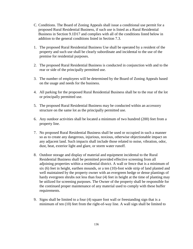- C. Conditions. The Board of Zoning Appeals shall issue a conditional use permit for a proposed Rural Residential Business, if such use is listed as a Rural Residential Business in Section 9.1D17 and complies with all of the conditions listed below in addition to the general conditions listed in Section 7.3.
- 1. The proposed Rural Residential Business Use shall be operated by a resident of the property and such use shall be clearly subordinate and incidental to the use of the premise for residential purposes.
- 2. The proposed Rural Residential Business is conducted in conjunction with and to the rear or side of the principally permitted use.
- 3. The number of employees will be determined by the Board of Zoning Appeals based on the usage and needs for the business.
- 4. All parking for the proposed Rural Residential Business shall be to the rear of the lot or principally permitted use.
- 5. The proposed Rural Residential Business may be conducted within an accessory structure on the same lot as the principally permitted use.
- 6. Any outdoor activities shall be located a minimum of two hundred (200) feet from a property line.
- 7. No proposed Rural Residential Business shall be used or occupied in such a manner so as to create any dangerous, injurious, noxious, otherwise objectionable impact on any adjacent land. Such impacts shall include those related to noise, vibration, odor, dust, heat, exterior light and glare, or storm water runoff.
- 8. Outdoor storage and display of material and equipment incidental to the Rural Residential Business shall be permitted provided effective screening from all adjoining properties within a residential district. A wall or fence that is a minimum of six (6) feet in height, earthen mounds, or a ten (10)-foot wide strip of land planted and well maintained by the property owner with an evergreen hedge or dense plantings of hardy evergreen shrubs not less than four (4) feet in height at the time of planting may be utilized for screening purposes. The Owner of the property shall be responsible for the continued proper maintenance of any material used to comply with these buffer requirements.
- 9. Signs shall be limited to a four (4) square foot wall or freestanding sign that is a minimum of ten (10) feet from the right-of-way line. A wall sign shall be limited to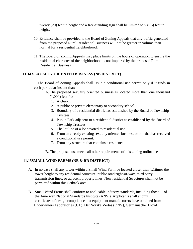twenty (20) feet in height and a free-standing sign shall be limited to six (6) feet in height.

- 10. Evidence shall be provided to the Board of Zoning Appeals that any traffic generated from the proposed Rural Residential Business will not be greater in volume than normal for a residential neighborhood.
- 11. The Board of Zoning Appeals may place limits on the hours of operation to ensure the residential character of the neighborhood is not impaired by the proposed Rural Residential Business.

### **11.14 SEXUALLY ORIENTED BUSINESS (NB DISTRICT)**

 The Board of Zoning Appeals shall issue a conditional use permit only if it finds in each particular instant that:

- A. The proposed sexually oriented business is located more than one thousand (1,000) feet from:
	- 1. A church
	- 2. A public or private elementary or secondary school
	- 3. Boundary of a residential district as established by the Board of Township **Trustees**
	- 4. Public Park adjacent to a residential district as established by the Board of Township Trustees
	- 5. The lot line of a lot devoted to residential use
	- 6. From an already existing sexually oriented business or one that has received a conditional use permit.
	- 7. From any structure that contains a residence
- B. The proposed use meets all other requirements of this zoning ordinance

### **11.15SMALL WIND FARMS (NB & RR DISTRICT)**

- A. In no case shall any tower within a Small Wind Farm be located closer than 1.1times the tower height to any residential Structure, public road/right-of-way, third party transmission lines, or adjacent property lines. New residential Structures shall not be permitted within this Setback area.
- B. Small Wind Farms shall conform to applicable industry standards, including those of the American National Standards Institute (ANSI). Applicants shall submit certificates of design compliance that equipment manufacturers have obtained from Underwriters Laboratories (UL), Det Norske Vertas (DNV), Germanischer Lloyd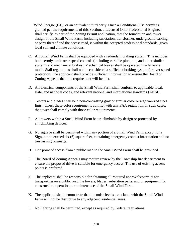Wind Energie (GL), or an equivalent third party. Once a Conditional Use permit is granted per the requirements of this Section, a Licensed Ohio Professional Engineer shall certify, as part of the Zoning Permit application, that the foundation and tower design of the Small Wind Farm, including substation, transformer, underground cabling, or parts thereof and the access road, is within the accepted professional standards, given local soil and climate conditions.

- C. All Small Wind Farm shall be equipped with a redundant braking system. This includes both aerodynamic over speed controls (including variable pitch, tip, and other similar systems and mechanical brakes). Mechanical brakes shall be operated in a fail-safe mode. Stall regulations shall not be considered a sufficient braking system for over speed protection. The applicant shall provide sufficient information to ensure the Board of Zoning Appeals that this requirement will be met.
- D. All electrical components of the Small Wind Farm shall conform to applicable local, state, and national codes, and relevant national and international standards (ANSI).
- E. Towers and blades shall be a non-contrasting gray or similar color or a galvanized steel finish unless these color requirements conflict with any FAA regulation. In such cases, the tower shall comply with those color requirements.
- F. All towers within a Small Wind Farm be un-climbable by design or protected by anticlimbing devices.
- G. No signage shall be permitted within any portion of a Small Wind Farm except for a Sign, not to exceed six (6) square feet, containing emergency contact information and no trespassing language.
- H. One point of access from a public road to the Small Wind Farm shall be provided.
- I. The Board of Zoning Appeals may require review by the Township fire department to ensure the proposed drive is suitable for emergency access. The use of existing access points is preferred.
- J. The applicant shall be responsible for obtaining all required approvals/permits for transporting on a public road the towers, blades, substation parts, and or equipment for construction, operation, or maintenance of the Small Wind Farm.
- K. The applicant shall demonstrate that the noise levels associated with the Small Wind Farm will not be disruptive to any adjacent residential areas.
- L. No lighting shall be permitted, except as required by Federal regulations.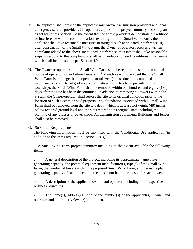- M. The applicant shall provide the applicable microwave transmission providers and local emergency service providers/911 operators copies of the project summary and site plan as set for in this Section. To the extent that the above providers demonstrate a likelihood of interference with its communications resulting from the Small Wind Farm, the applicant shall take reasonable measures to mitigate such anticipated interference. If, after construction of the Small Wind Farm, the Owner or operator receives a written complaint related to the above-mentioned interference, the Owner shall take reasonable steps to respond to the complaint or shall be in violation of said Conditional Use permit, which shall be punishable per Section 4.9.
- N. The Owner or operator of the Small Wind Farm shall be required to submit an annual notice of operation on or before January  $31<sup>st</sup>$  of each year. In the event that the Small Wind Farm is no longer being operated or utilized (unless due to documented maintenance or electrical grid issues and written notice has been provided to the township), the Small Wind Farm shall be removed within one hundred and eighty (180) days after the Use has been discontinued. In addition to removing all towers within the system, the Owner/operator shall restore the site to its original condition prior to the location of such system on said property. Any foundation associated with a Small Wind Farm shall be removed from the site to a depth which is at least forty-eight (48) inches below restored ground level and the site restored to its original state including the planting of any grasses or cover crops. All transmission equipment, Buildings and fences shall also be removed.
- O. Submittal Requirements

The following information must be submitted with the Conditional Use application (in addition to the items required in Section 7.3(B)).

1. A Small Wind Farm project summary including to the extent available the following items:

a. A general description of the project, including its approximate name plate generating capacity; the potential equipment manufacturer(s) type(s) of the Small Wind Farm, the number of towers within the proposed Small Wind Farm, and the name plat generating capacity of each tower, and the maximum height proposed for each tower.

b. A description of the applicant, owner, and operator, including their respective business Structures.

2. The name(s), address(es), and phone number(s) of the applicant(s), Owner and operator, and all property Owner(s), if known.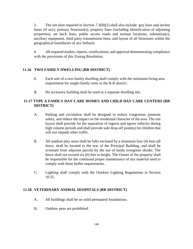3. The site plan required in Section 7.3(B)(5) shall also include: guy lines and anchor bases (if any), primary Structure(s), property lines (including identification of adjoining properties), set back lines, public access roads and turnout locations, substation(s), ancillary equipment, third party transmission lines, and layout of all Structures within the geographical boundaries of any Setback.

4. All required studies, reports, certifications, and approval demonstrating compliance with the provisions of this Zoning Resolution.

# **11.16 TWO FAMILY DWELLING (RR DISTRICT)**

- A. Each unit of a two-family dwelling shall comply with the minimum living area requirement for single-family units in the R-R district.
- B. No accessory building shall be used as a separate dwelling site.

# **11.17 TYPE A FAMILY DAY-CARE HOMES AND CHILD DAY CARE CENTERS (RR DISTRICT)**

- A. Parking and circulation shall be designed to reduce congestion, promote safety, and reduce the impact on the residential character of the area. The site layout shall provide for the separation of ingress and egress vehicles during high volume periods and shall provide safe drop-off point(s) for children that will not impede other traffic.
- B. All outdoor play areas shall be fully enclosed by a minimum four (4) foot tall fence, shall be located to the rear of the Principal Building, and shall be screened from adjacent parcels by the use of hardy evergreen shrubs. The fence shall not exceed six (6) feet in height. The Owner of the property shall be responsible for the continued proper maintenance of any material used to comply with these buffer requirements.
- C. Lighting shall comply with the Outdoor Lighting Regulations in Section 10.35.

## **11.18 VETERINARY ANIMAL HOSPITALS (RR DISTRICT)**

- A. All buildings shall be on solid permanent foundations.
- B. Outdoor pens are prohibited.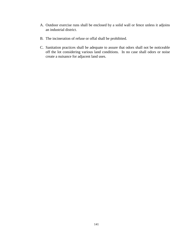- A. Outdoor exercise runs shall be enclosed by a solid wall or fence unless it adjoins an industrial district.
- B. The incineration of refuse or offal shall be prohibited.
- C. Sanitation practices shall be adequate to assure that odors shall not be noticeable off the lot considering various land conditions. In no case shall odors or noise create a nuisance for adjacent land uses.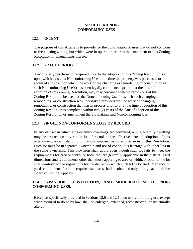## **ARTICLE XII NON-CONFORMING USES**

### **12.1 INTENT**

The purpose of this Article is to provide for the continuation of uses that do not conform to the existing zoning, but which were in operation prior to the enactment of this Zoning Resolution or amendments thereto.

## **12.2 GRACE PERIOD**

Any property purchased or acquired prior to the adoption of this Zoning Resolution, (a) upon which existed a Nonconforming Use at the time the property was purchased or acquired and (b) upon which the work of the changing or remodeling or construction of such Nonconforming Use(s) has been legally commenced prior to at the time of adoption of this Zoning Resolution, may in accordance with the provisions of this Zoning Resolution be used for the Nonconforming Use for which such changing, remodeling, or construction was undertaken provided that the work of changing, remodeling, or construction that was in process prior to or at the time of adoption of this Zoning Resolution is completed within two (2) years of the date of adoption of this Zoning Resolution or amendment thereto making said Nonconforming Use**.**

### **12.3 SINGLE NON-CONFORMING LOTS OF RECORD**

In any district in which single-family dwellings are permitted, a single-family dwelling may be erected on any single lot of record at the effective date of adoption of this amendment, notwithstanding limitations imposed by other provisions of this Resolution. Such lot must be in separate ownership and not of continuous frontage with other lots in the same ownership. This provision shall apply even though such lot fails to meet the requirements for area or width, or both, that are generally applicable in the district. Yard dimensions and requirements other than those applying to area or width, or both, of the lot shall conform to the regulations for the district in which such lot is located. Variance of yard requirements from the required standards shall be obtained only through action of the Board of Zoning Appeals.

# **12.4 EXPANSION, SUBSTITUTION, AND MODIFICATIONS OF NON-CONFORMING USES.**

Except as specifically provided in Sections 12.6 and 12.10, no non-conforming use, except when required to do so by law, shall be enlarged, extended, reconstructed, or structurally altered.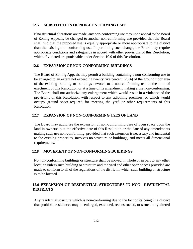#### **12.5 SUBSTITUTION OF NON-CONFORMING USES**

If no structural alterations are made, any non-conforming use may upon appeal to the Board of Zoning Appeals, be changed to another non-conforming use provided that the Board shall find that the proposed use is equally appropriate or more appropriate to the district than the existing non-conforming use. In permitting such change, the Board may require appropriate conditions and safeguards in accord with other provisions of this Resolution, which if violated are punishable under Section 10.9 of this Resolution.

#### **12.6 EXPANSION OF NON-CONFORMING BUILDINGS**

The Board of Zoning Appeals may permit a building containing a non-conforming use to be enlarged to an extent not exceeding twenty five percent (25%) of the ground floor area of the existing building or buildings devoted to a non-conforming use at the time of enactment of this Resolution or at a time of its amendment making a use non-conforming. The Board shall not authorize any enlargement which would result in a violation of the provisions of this Resolution with respect to any adjoining premises, or which would occupy ground space-required for meeting the yard or other requirements of this Resolution.

#### **12.7 EXPANSION OF NON-CONFORMING USES OF LAND**

The Board may authorize the expansion of non-conforming uses of open space upon the land in ownership at the effective date of this Resolution or the date of any amendments making such use non-conforming, provided that such extension is necessary and incidental to the existing properties, involves no structure or buildings, and meets all dimensional requirements.

#### **12.8 MOVEMENT OF NON-CONFORMING BUILDINGS**

No non-conforming buildings or structure shall be moved in whole or in part to any other location unless such building or structure and the yard and other open spaces provided are made to conform to all of the regulations of the district in which such building or structure is to be located.

## **12.9 EXPANSION OF RESIDENTIAL STRUCTURES IN NON –RESIDENTIAL DISTRICTS**

Any residential structure which is non-conforming due to the fact of its being in a district that prohibits residences may be enlarged, extended, reconstructed, or structurally altered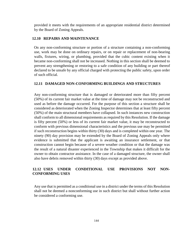provided it meets with the requirements of an appropriate residential district determined by the Board of Zoning Appeals.

## **12.10 REPAIRS AND MAINTENANCE**

On any non-conforming structure or portion of a structure containing a non-conforming use, work may be done on ordinary repairs, or on repair or replacement of non-bearing walls, fixtures, wiring, or plumbing, provided that the cubic content existing when it became non-conforming shall not be increased. Nothing in this section shall be deemed to prevent any strengthening or restoring to a safe condition of any building or part thereof declared to be unsafe by any official charged with protecting the public safety, upon order of such official.

### **12.11 DAMAGED NON-CONFORMING BUILDINGS AND STRUCTURES**

Any non-conforming structure that is damaged or deteriorated more than fifty percent (50%) of its current fair market value at the time of damage may not be reconstructed and used as before the damage occurred. For the purpose of this section a structure shall be considered as deteriorated when the Zoning Inspector determines that at least fifty percent (50%) of the main structural members have collapsed. In such instances new construction shall conform to all dimensional requirements as required by this Resolution. If the damage is fifty percent (50%) or less of its current fair market value, it may be reconstructed to conform with previous dimensional characteristics and the previous use may be permitted if such reconstruction begins within thirty (30) days and is completed within one year. The ninety (90) day provision may be extended by the Board of Zoning Appeals only where evidence is submitted that the applicant is awaiting an insurance settlement, or that construction cannot begin because of a severe weather condition or that the damage was the result of a natural disaster experienced in the Township that makes it difficult for the owner to obtain contractor assistance. In the case of a damaged structure, the owner shall also have debris removed within thirty (30) days except as provided above.

# **12.12 USES UNDER CONDITIONAL USE PROVISIONS NOT NON-CONFORMING USES**

Any use that is permitted as a conditional use in a district under the terms of this Resolution shall not be deemed a nonconforming use in such district but shall without further action be considered a conforming use.